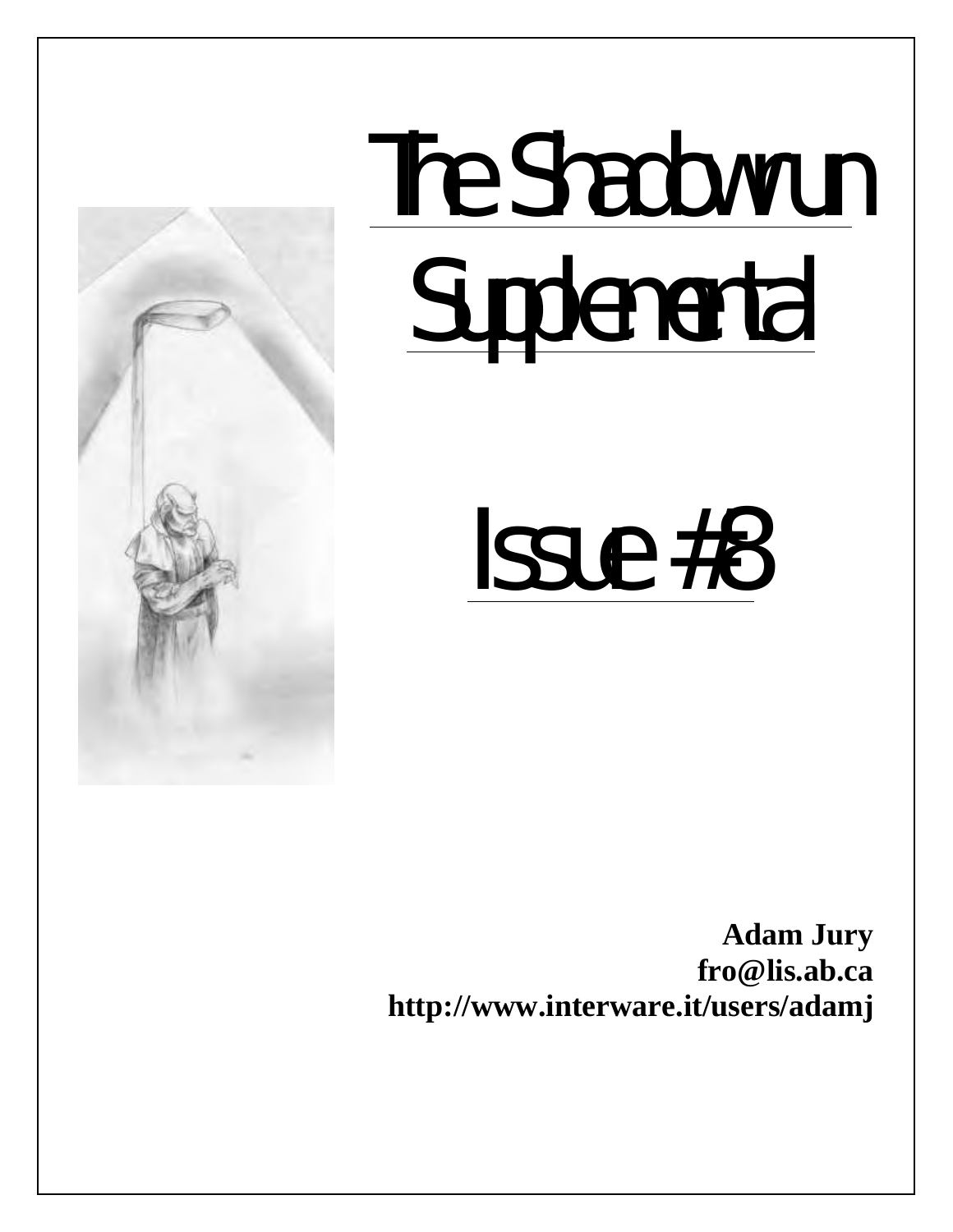

# The Shadowrun **Supplemental**

Issue #8

**Adam Jury fro@lis.ab.ca http://www.interware.it/users/adamj**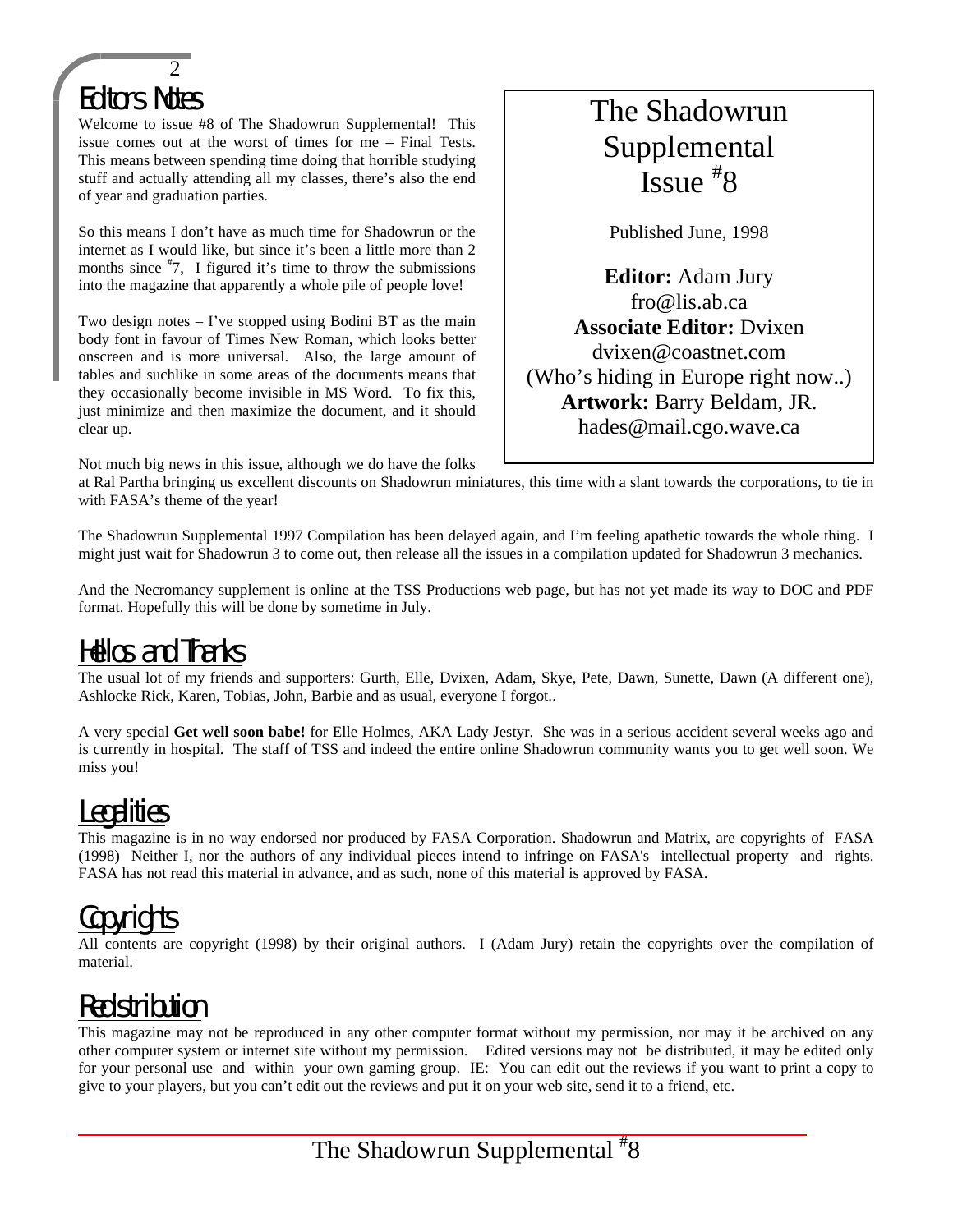

Welcome to issue #8 of The Shadowrun Supplemental! This issue comes out at the worst of times for me – Final Tests. This means between spending time doing that horrible studying stuff and actually attending all my classes, there's also the end of year and graduation parties.

So this means I don't have as much time for Shadowrun or the internet as I would like, but since it's been a little more than 2 months since  $\overline{z}$ , I figured it's time to throw the submissions into the magazine that apparently a whole pile of people love!

Two design notes  $-$  I've stopped using Bodini BT as the main body font in favour of Times New Roman, which looks better onscreen and is more universal. Also, the large amount of tables and suchlike in some areas of the documents means that they occasionally become invisible in MS Word. To fix this, just minimize and then maximize the document, and it should clear up.

Not much big news in this issue, although we do have the folks

# The Shadowrun Supplemental Issue # 8

Published June, 1998

**Editor:** Adam Jury fro@lis.ab.ca **Associate Editor:** Dvixen dvixen@coastnet.com (Who's hiding in Europe right now..) **Artwork:** Barry Beldam, JR. hades@mail.cgo.wave.ca

at Ral Partha bringing us excellent discounts on Shadowrun miniatures, this time with a slant towards the corporations, to tie in with FASA's theme of the year!

The Shadowrun Supplemental 1997 Compilation has been delayed again, and I'm feeling apathetic towards the whole thing. I might just wait for Shadowrun 3 to come out, then release all the issues in a compilation updated for Shadowrun 3 mechanics.

And the Necromancy supplement is online at the TSS Productions web page, but has not yet made its way to DOC and PDF format. Hopefully this will be done by sometime in July.

# Hellos and Thanks

The usual lot of my friends and supporters: Gurth, Elle, Dvixen, Adam, Skye, Pete, Dawn, Sunette, Dawn (A different one), Ashlocke Rick, Karen, Tobias, John, Barbie and as usual, everyone I forgot..

A very special **Get well soon babe!** for Elle Holmes, AKA Lady Jestyr. She was in a serious accident several weeks ago and is currently in hospital. The staff of TSS and indeed the entire online Shadowrun community wants you to get well soon. We miss you!

# Legalities

This magazine is in no way endorsed nor produced by FASA Corporation. Shadowrun and Matrix, are copyrights of FASA (1998) Neither I, nor the authors of any individual pieces intend to infringe on FASA's intellectual property and rights. FASA has not read this material in advance, and as such, none of this material is approved by FASA.

# **Copyrights**

All contents are copyright (1998) by their original authors. I (Adam Jury) retain the copyrights over the compilation of material.

# Redistribution

This magazine may not be reproduced in any other computer format without my permission, nor may it be archived on any other computer system or internet site without my permission. Edited versions may not be distributed, it may be edited only for your personal use and within your own gaming group. IE: You can edit out the reviews if you want to print a copy to give to your players, but you can't edit out the reviews and put it on your web site, send it to a friend, etc.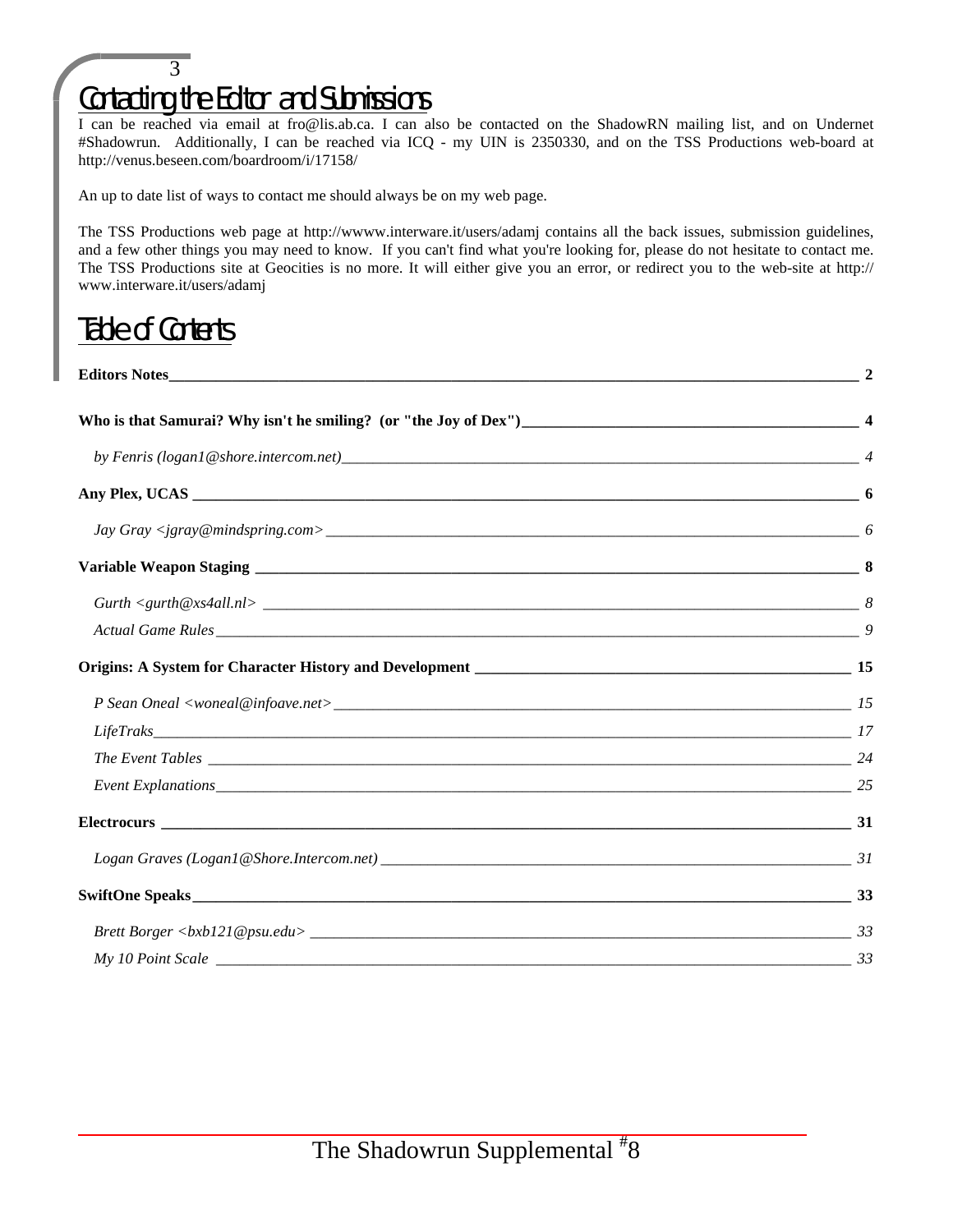# 3 Contacting the Editor and Submissions

I can be reached via email at fro@lis.ab.ca. I can also be contacted on the ShadowRN mailing list, and on Undernet #Shadowrun. Additionally, I can be reached via ICQ - my UIN is 2350330, and on the TSS Productions web-board at http://venus.beseen.com/boardroom/i/17158/

An up to date list of ways to contact me should always be on my web page.

The TSS Productions web page at http://wwww.interware.it/users/adamj contains all the back issues, submission guidelines, and a few other things you may need to know. If you can't find what you're looking for, please do not hesitate to contact me. The TSS Productions site at Geocities is no more. It will either give you an error, or redirect you to the web-site at http:// www.interware.it/users/adamj

# Table of Contents

| <b>Editors Notes</b> |  |
|----------------------|--|
|                      |  |
|                      |  |
|                      |  |
|                      |  |
|                      |  |
|                      |  |
|                      |  |
|                      |  |
|                      |  |
|                      |  |
|                      |  |
|                      |  |
|                      |  |
|                      |  |
|                      |  |
|                      |  |
|                      |  |
|                      |  |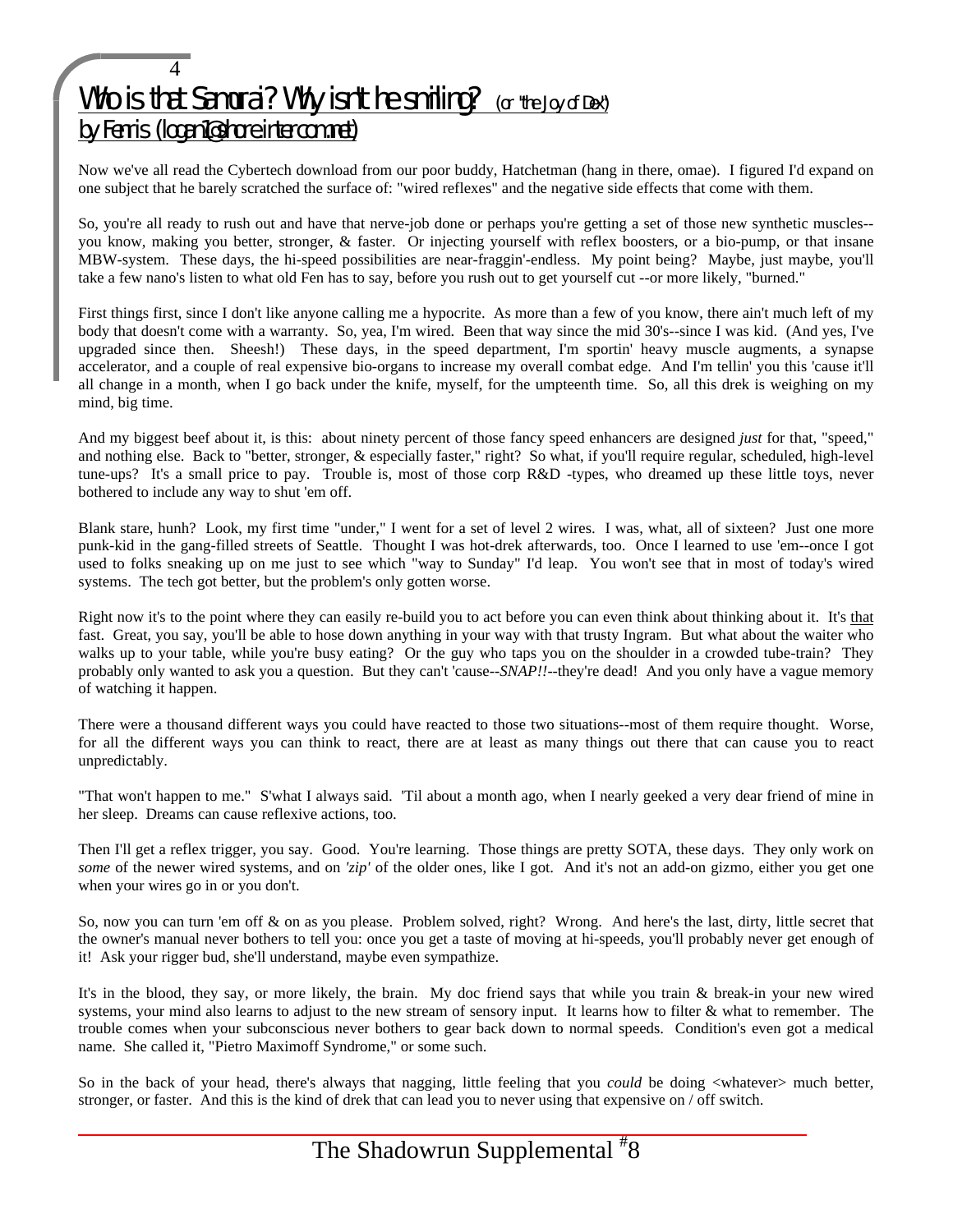## 4 Who is that Samurai? Why isn't he smiling? (or "the Joy of Dex") by Fenris (logan1@shore.intercom.net)

Now we've all read the Cybertech download from our poor buddy, Hatchetman (hang in there, omae). I figured I'd expand on one subject that he barely scratched the surface of: "wired reflexes" and the negative side effects that come with them.

So, you're all ready to rush out and have that nerve-job done or perhaps you're getting a set of those new synthetic muscles-you know, making you better, stronger, & faster. Or injecting yourself with reflex boosters, or a bio-pump, or that insane MBW-system. These days, the hi-speed possibilities are near-fraggin'-endless. My point being? Maybe, just maybe, you'll take a few nano's listen to what old Fen has to say, before you rush out to get yourself cut --or more likely, "burned."

First things first, since I don't like anyone calling me a hypocrite. As more than a few of you know, there ain't much left of my body that doesn't come with a warranty. So, yea, I'm wired. Been that way since the mid 30's--since I was kid. (And yes, I've upgraded since then. Sheesh!) These days, in the speed department, I'm sportin' heavy muscle augments, a synapse accelerator, and a couple of real expensive bio-organs to increase my overall combat edge. And I'm tellin' you this 'cause it'll all change in a month, when I go back under the knife, myself, for the umpteenth time. So, all this drek is weighing on my mind, big time.

And my biggest beef about it, is this: about ninety percent of those fancy speed enhancers are designed *just* for that, "speed," and nothing else. Back to "better, stronger, & especially faster," right? So what, if you'll require regular, scheduled, high-level tune-ups? It's a small price to pay. Trouble is, most of those corp R&D -types, who dreamed up these little toys, never bothered to include any way to shut 'em off.

Blank stare, hunh? Look, my first time "under," I went for a set of level 2 wires. I was, what, all of sixteen? Just one more punk-kid in the gang-filled streets of Seattle. Thought I was hot-drek afterwards, too. Once I learned to use 'em--once I got used to folks sneaking up on me just to see which "way to Sunday" I'd leap. You won't see that in most of today's wired systems. The tech got better, but the problem's only gotten worse.

Right now it's to the point where they can easily re-build you to act before you can even think about thinking about it. It's that fast. Great, you say, you'll be able to hose down anything in your way with that trusty Ingram. But what about the waiter who walks up to your table, while you're busy eating? Or the guy who taps you on the shoulder in a crowded tube-train? They probably only wanted to ask you a question. But they can't 'cause--*SNAP!!*--they're dead! And you only have a vague memory of watching it happen.

There were a thousand different ways you could have reacted to those two situations--most of them require thought. Worse, for all the different ways you can think to react, there are at least as many things out there that can cause you to react unpredictably.

"That won't happen to me." S'what I always said. 'Til about a month ago, when I nearly geeked a very dear friend of mine in her sleep. Dreams can cause reflexive actions, too.

Then I'll get a reflex trigger, you say. Good. You're learning. Those things are pretty SOTA, these days. They only work on *some* of the newer wired systems, and on *'zip'* of the older ones, like I got. And it's not an add-on gizmo, either you get one when your wires go in or you don't.

So, now you can turn 'em off & on as you please. Problem solved, right? Wrong. And here's the last, dirty, little secret that the owner's manual never bothers to tell you: once you get a taste of moving at hi-speeds, you'll probably never get enough of it! Ask your rigger bud, she'll understand, maybe even sympathize.

It's in the blood, they say, or more likely, the brain. My doc friend says that while you train & break-in your new wired systems, your mind also learns to adjust to the new stream of sensory input. It learns how to filter & what to remember. The trouble comes when your subconscious never bothers to gear back down to normal speeds. Condition's even got a medical name. She called it, "Pietro Maximoff Syndrome," or some such.

So in the back of your head, there's always that nagging, little feeling that you *could* be doing <whatever> much better, stronger, or faster. And this is the kind of drek that can lead you to never using that expensive on / off switch.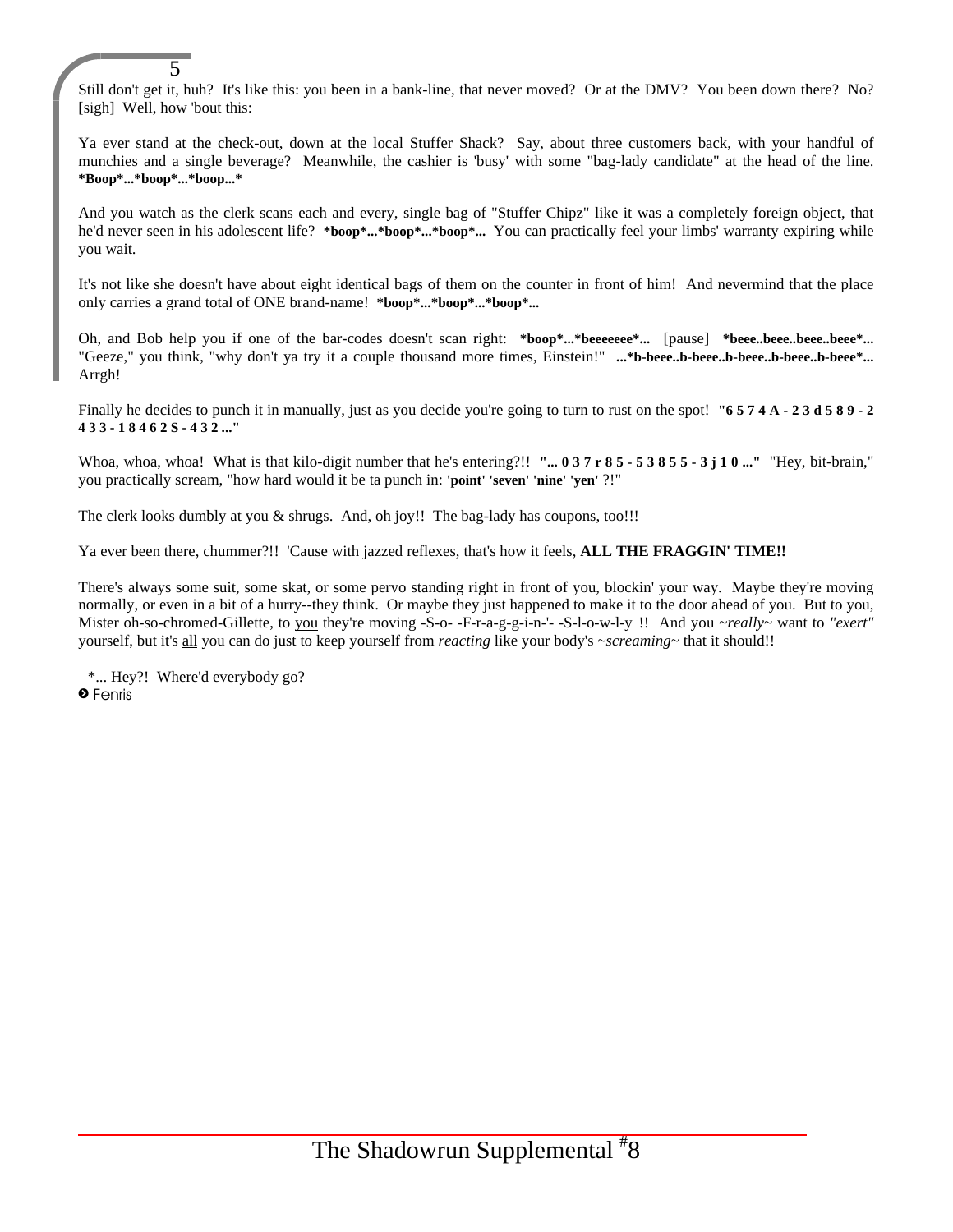Still don't get it, huh? It's like this: you been in a bank-line, that never moved? Or at the DMV? You been down there? No? [sigh] Well, how 'bout this:

Ya ever stand at the check-out, down at the local Stuffer Shack? Say, about three customers back, with your handful of munchies and a single beverage? Meanwhile, the cashier is 'busy' with some "bag-lady candidate" at the head of the line. **\*Boop\*...\*boop\*...\*boop...\***

And you watch as the clerk scans each and every, single bag of "Stuffer Chipz" like it was a completely foreign object, that he'd never seen in his adolescent life? **\*boop\*...\*boop\*...\*boop\*...** You can practically feel your limbs' warranty expiring while you wait.

It's not like she doesn't have about eight identical bags of them on the counter in front of him! And nevermind that the place only carries a grand total of ONE brand-name! **\*boop\*...\*boop\*...\*boop\*...**

Oh, and Bob help you if one of the bar-codes doesn't scan right: **\*boop\*...\*beeeeeee\*...** [pause] **\*beee..beee..beee..beee\*...** "Geeze," you think, "why don't ya try it a couple thousand more times, Einstein!" **...\*b-beee..b-beee..b-beee..b-beee..b-beee\*...** Arrgh!

Finally he decides to punch it in manually, just as you decide you're going to turn to rust on the spot! "6 5 7 4 A - 2 3 d 5 8 9 - 2 **4 3 3 - 1 8 4 6 2 S - 4 3 2 ..."**

Whoa, whoa! What is that kilo-digit number that he's entering?!! "... 0 3 7 r 8 5 - 5 3 8 5 5 - 3 j 1 0 ..." "Hey, bit-brain," you practically scream, "how hard would it be ta punch in: **'point' 'seven' 'nine' 'yen'** ?!"

The clerk looks dumbly at you & shrugs. And, oh joy!! The bag-lady has coupons, too!!!

Ya ever been there, chummer?!! 'Cause with jazzed reflexes, that's how it feels, **ALL THE FRAGGIN' TIME!!**

There's always some suit, some skat, or some pervo standing right in front of you, blockin' your way. Maybe they're moving normally, or even in a bit of a hurry--they think. Or maybe they just happened to make it to the door ahead of you. But to you, Mister oh-so-chromed-Gillette, to you they're moving -S-o- -F-r-a-g-g-i-n-'- -S-l-o-w-l-y !! And you ~*really*~ want to *"exert"* yourself, but it's all you can do just to keep yourself from *reacting* like your body's ~*screaming*~ that it should!!

\*... Hey?! Where'd everybody go? » Fenris

5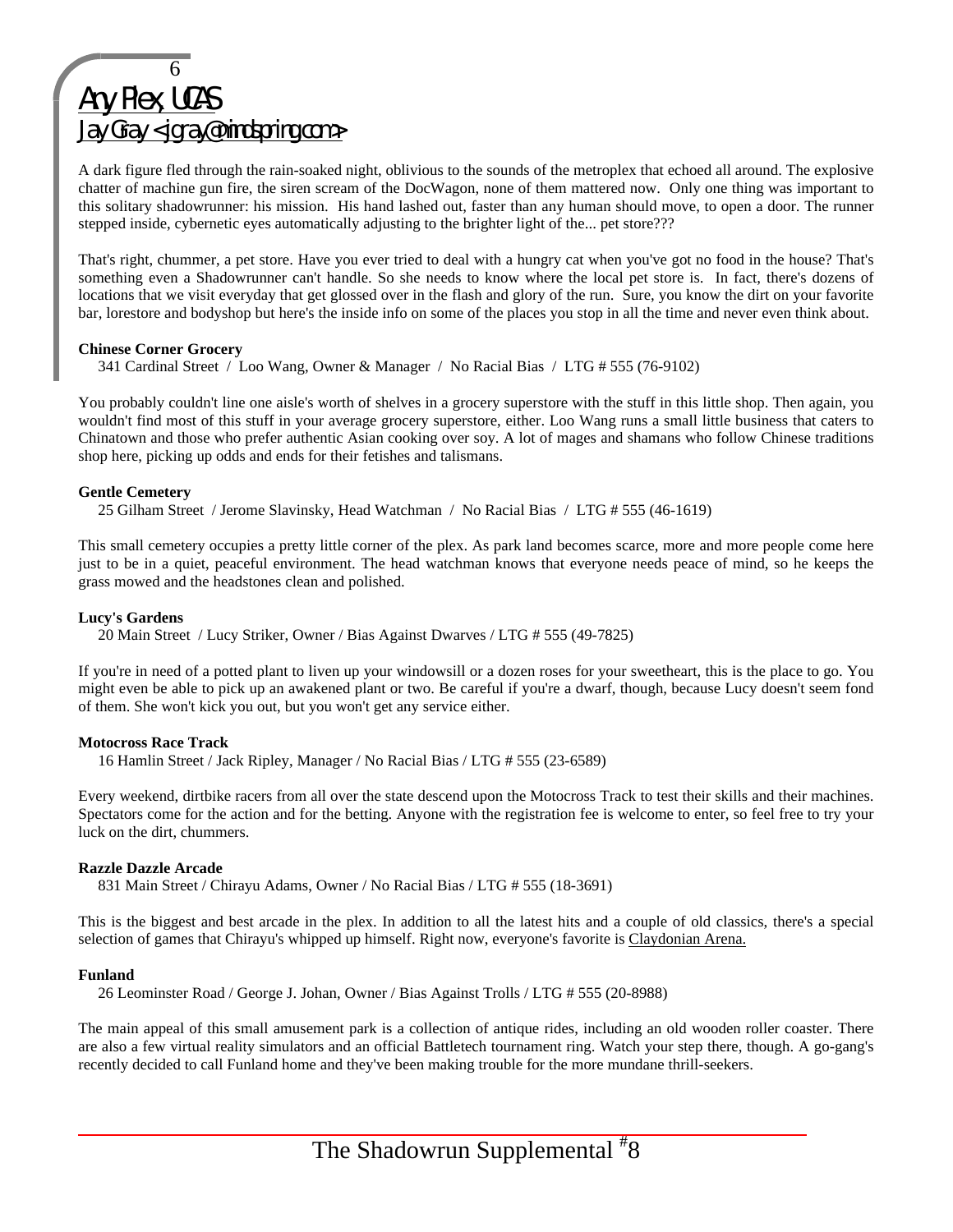## 6 Any Plex, UCAS Jay Gray <jgray@mindspring.com>

A dark figure fled through the rain-soaked night, oblivious to the sounds of the metroplex that echoed all around. The explosive chatter of machine gun fire, the siren scream of the DocWagon, none of them mattered now. Only one thing was important to this solitary shadowrunner: his mission. His hand lashed out, faster than any human should move, to open a door. The runner stepped inside, cybernetic eyes automatically adjusting to the brighter light of the... pet store???

That's right, chummer, a pet store. Have you ever tried to deal with a hungry cat when you've got no food in the house? That's something even a Shadowrunner can't handle. So she needs to know where the local pet store is. In fact, there's dozens of locations that we visit everyday that get glossed over in the flash and glory of the run. Sure, you know the dirt on your favorite bar, lorestore and bodyshop but here's the inside info on some of the places you stop in all the time and never even think about.

#### **Chinese Corner Grocery**

341 Cardinal Street / Loo Wang, Owner & Manager / No Racial Bias / LTG # 555 (76-9102)

You probably couldn't line one aisle's worth of shelves in a grocery superstore with the stuff in this little shop. Then again, you wouldn't find most of this stuff in your average grocery superstore, either. Loo Wang runs a small little business that caters to Chinatown and those who prefer authentic Asian cooking over soy. A lot of mages and shamans who follow Chinese traditions shop here, picking up odds and ends for their fetishes and talismans.

#### **Gentle Cemetery**

25 Gilham Street / Jerome Slavinsky, Head Watchman / No Racial Bias / LTG # 555 (46-1619)

This small cemetery occupies a pretty little corner of the plex. As park land becomes scarce, more and more people come here just to be in a quiet, peaceful environment. The head watchman knows that everyone needs peace of mind, so he keeps the grass mowed and the headstones clean and polished.

#### **Lucy's Gardens**

20 Main Street / Lucy Striker, Owner / Bias Against Dwarves / LTG # 555 (49-7825)

If you're in need of a potted plant to liven up your windowsill or a dozen roses for your sweetheart, this is the place to go. You might even be able to pick up an awakened plant or two. Be careful if you're a dwarf, though, because Lucy doesn't seem fond of them. She won't kick you out, but you won't get any service either.

#### **Motocross Race Track**

16 Hamlin Street / Jack Ripley, Manager / No Racial Bias / LTG # 555 (23-6589)

Every weekend, dirtbike racers from all over the state descend upon the Motocross Track to test their skills and their machines. Spectators come for the action and for the betting. Anyone with the registration fee is welcome to enter, so feel free to try your luck on the dirt, chummers.

#### **Razzle Dazzle Arcade**

831 Main Street / Chirayu Adams, Owner / No Racial Bias / LTG # 555 (18-3691)

This is the biggest and best arcade in the plex. In addition to all the latest hits and a couple of old classics, there's a special selection of games that Chirayu's whipped up himself. Right now, everyone's favorite is Claydonian Arena.

#### **Funland**

26 Leominster Road / George J. Johan, Owner / Bias Against Trolls / LTG # 555 (20-8988)

The main appeal of this small amusement park is a collection of antique rides, including an old wooden roller coaster. There are also a few virtual reality simulators and an official Battletech tournament ring. Watch your step there, though. A go-gang's recently decided to call Funland home and they've been making trouble for the more mundane thrill-seekers.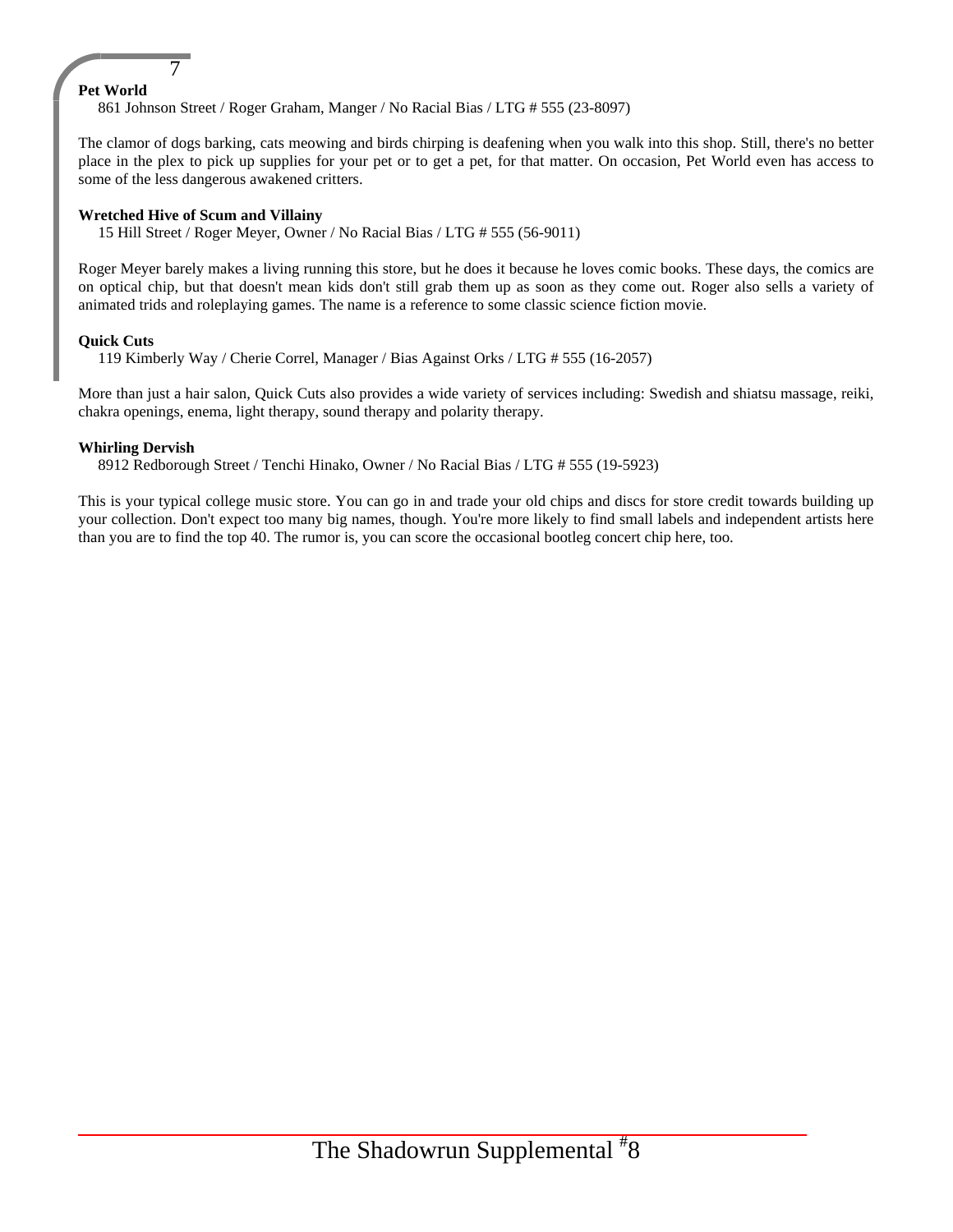#### **Pet World**

861 Johnson Street / Roger Graham, Manger / No Racial Bias / LTG # 555 (23-8097)

The clamor of dogs barking, cats meowing and birds chirping is deafening when you walk into this shop. Still, there's no better place in the plex to pick up supplies for your pet or to get a pet, for that matter. On occasion, Pet World even has access to some of the less dangerous awakened critters.

#### **Wretched Hive of Scum and Villainy**

7

15 Hill Street / Roger Meyer, Owner / No Racial Bias / LTG # 555 (56-9011)

Roger Meyer barely makes a living running this store, but he does it because he loves comic books. These days, the comics are on optical chip, but that doesn't mean kids don't still grab them up as soon as they come out. Roger also sells a variety of animated trids and roleplaying games. The name is a reference to some classic science fiction movie.

#### **Quick Cuts**

119 Kimberly Way / Cherie Correl, Manager / Bias Against Orks / LTG # 555 (16-2057)

More than just a hair salon, Quick Cuts also provides a wide variety of services including: Swedish and shiatsu massage, reiki, chakra openings, enema, light therapy, sound therapy and polarity therapy.

#### **Whirling Dervish**

8912 Redborough Street / Tenchi Hinako, Owner / No Racial Bias / LTG # 555 (19-5923)

This is your typical college music store. You can go in and trade your old chips and discs for store credit towards building up your collection. Don't expect too many big names, though. You're more likely to find small labels and independent artists here than you are to find the top 40. The rumor is, you can score the occasional bootleg concert chip here, too.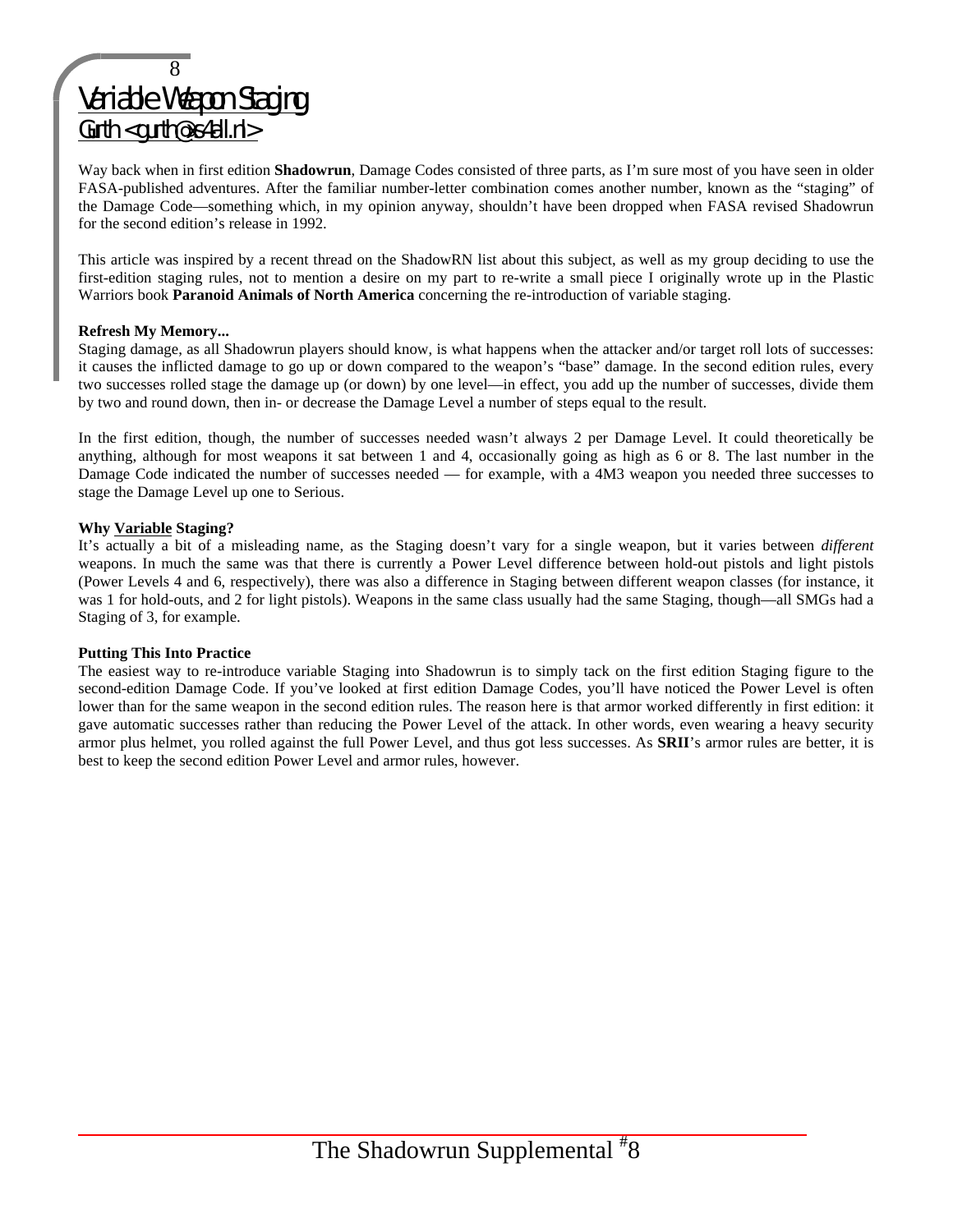## 8 Variable Weapon Staging Gurth <gurth@xs4all.nl>

Way back when in first edition **Shadowrun**, Damage Codes consisted of three parts, as I'm sure most of you have seen in older FASA-published adventures. After the familiar number-letter combination comes another number, known as the "staging" of the Damage Code—something which, in my opinion anyway, shouldn't have been dropped when FASA revised Shadowrun for the second edition's release in 1992.

This article was inspired by a recent thread on the ShadowRN list about this subject, as well as my group deciding to use the first-edition staging rules, not to mention a desire on my part to re-write a small piece I originally wrote up in the Plastic Warriors book **Paranoid Animals of North America** concerning the re-introduction of variable staging.

#### **Refresh My Memory...**

Staging damage, as all Shadowrun players should know, is what happens when the attacker and/or target roll lots of successes: it causes the inflicted damage to go up or down compared to the weapon's "base" damage. In the second edition rules, every two successes rolled stage the damage up (or down) by one level—in effect, you add up the number of successes, divide them by two and round down, then in- or decrease the Damage Level a number of steps equal to the result.

In the first edition, though, the number of successes needed wasn't always 2 per Damage Level. It could theoretically be anything, although for most weapons it sat between 1 and 4, occasionally going as high as 6 or 8. The last number in the Damage Code indicated the number of successes needed — for example, with a 4M3 weapon you needed three successes to stage the Damage Level up one to Serious.

#### **Why Variable Staging?**

It's actually a bit of a misleading name, as the Staging doesn't vary for a single weapon, but it varies between *different* weapons. In much the same was that there is currently a Power Level difference between hold-out pistols and light pistols (Power Levels 4 and 6, respectively), there was also a difference in Staging between different weapon classes (for instance, it was 1 for hold-outs, and 2 for light pistols). Weapons in the same class usually had the same Staging, though—all SMGs had a Staging of 3, for example.

#### **Putting This Into Practice**

The easiest way to re-introduce variable Staging into Shadowrun is to simply tack on the first edition Staging figure to the second-edition Damage Code. If you've looked at first edition Damage Codes, you'll have noticed the Power Level is often lower than for the same weapon in the second edition rules. The reason here is that armor worked differently in first edition: it gave automatic successes rather than reducing the Power Level of the attack. In other words, even wearing a heavy security armor plus helmet, you rolled against the full Power Level, and thus got less successes. As **SRII**'s armor rules are better, it is best to keep the second edition Power Level and armor rules, however.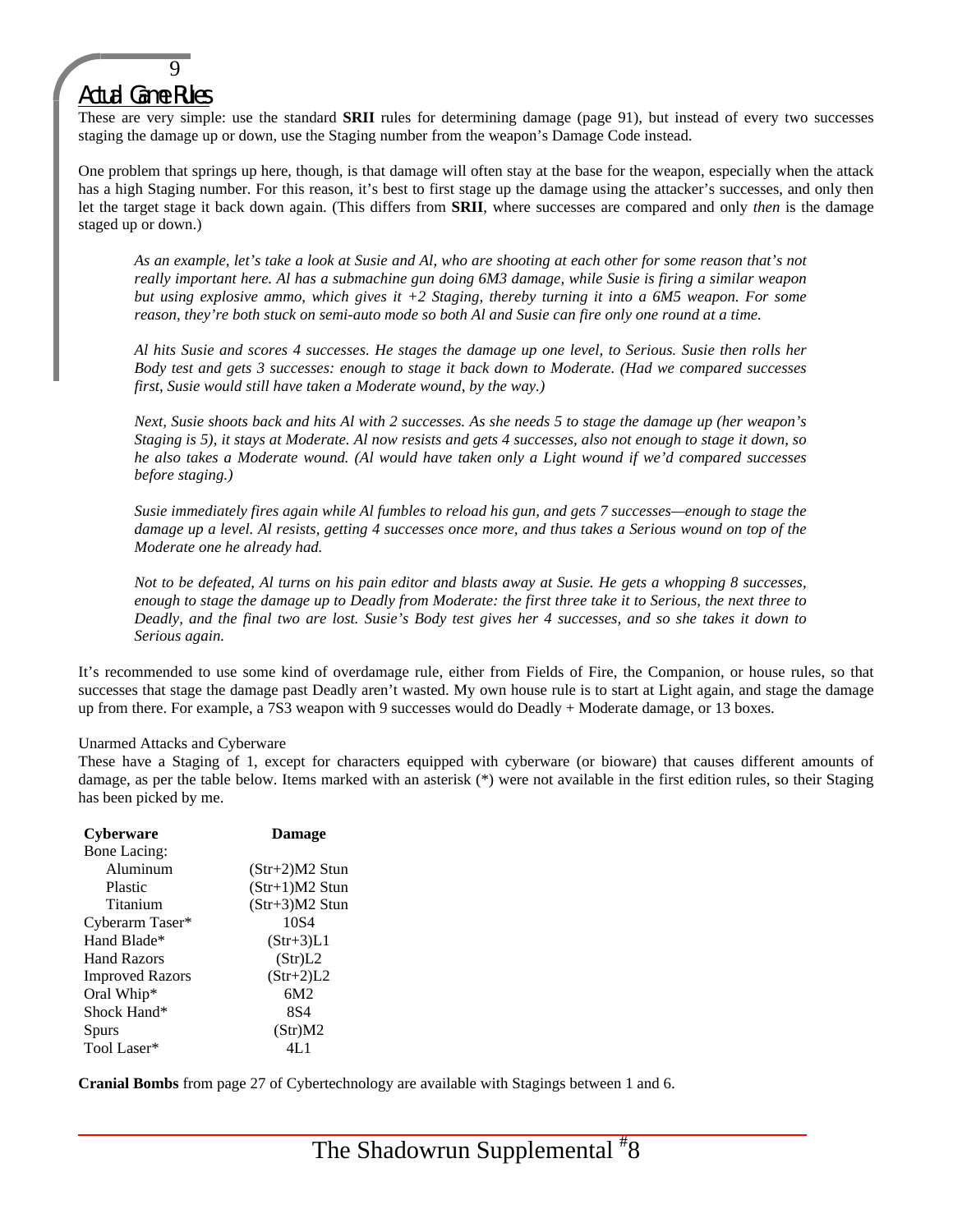## Actual Game Rules

 $\overline{9}$ 

These are very simple: use the standard **SRII** rules for determining damage (page 91), but instead of every two successes staging the damage up or down, use the Staging number from the weapon's Damage Code instead.

One problem that springs up here, though, is that damage will often stay at the base for the weapon, especially when the attack has a high Staging number. For this reason, it's best to first stage up the damage using the attacker's successes, and only then let the target stage it back down again. (This differs from **SRII**, where successes are compared and only *then* is the damage staged up or down.)

*As an example, let's take a look at Susie and Al, who are shooting at each other for some reason that's not really important here. Al has a submachine gun doing 6M3 damage, while Susie is firing a similar weapon but using explosive ammo, which gives it +2 Staging, thereby turning it into a 6M5 weapon. For some reason, they're both stuck on semi-auto mode so both Al and Susie can fire only one round at a time.*

*Al hits Susie and scores 4 successes. He stages the damage up one level, to Serious. Susie then rolls her Body test and gets 3 successes: enough to stage it back down to Moderate. (Had we compared successes first, Susie would still have taken a Moderate wound, by the way.)*

*Next, Susie shoots back and hits Al with 2 successes. As she needs 5 to stage the damage up (her weapon's Staging is 5), it stays at Moderate. Al now resists and gets 4 successes, also not enough to stage it down, so he also takes a Moderate wound. (Al would have taken only a Light wound if we'd compared successes before staging.)*

*Susie immediately fires again while Al fumbles to reload his gun, and gets 7 successes—enough to stage the damage up a level. Al resists, getting 4 successes once more, and thus takes a Serious wound on top of the Moderate one he already had.*

*Not to be defeated, Al turns on his pain editor and blasts away at Susie. He gets a whopping 8 successes, enough to stage the damage up to Deadly from Moderate: the first three take it to Serious, the next three to Deadly, and the final two are lost. Susie's Body test gives her 4 successes, and so she takes it down to Serious again.*

It's recommended to use some kind of overdamage rule, either from Fields of Fire, the Companion, or house rules, so that successes that stage the damage past Deadly aren't wasted. My own house rule is to start at Light again, and stage the damage up from there. For example, a 7S3 weapon with 9 successes would do Deadly + Moderate damage, or 13 boxes.

#### Unarmed Attacks and Cyberware

These have a Staging of 1, except for characters equipped with cyberware (or bioware) that causes different amounts of damage, as per the table below. Items marked with an asterisk (\*) were not available in the first edition rules, so their Staging has been picked by me.

| <b>Cyberware</b>       | <b>Damage</b>    |
|------------------------|------------------|
| Bone Lacing:           |                  |
| Aluminum               | $(Str+2)M2$ Stun |
| Plastic                | $(Str+1)M2$ Stun |
| Titanium               | $(Str+3)M2$ Stun |
| Cyberarm Taser*        | 10 <sub>S4</sub> |
| Hand Blade*            | $(Str+3)L1$      |
| <b>Hand Razors</b>     | (Str)L2          |
| <b>Improved Razors</b> | $(Str+2)L2$      |
| Oral Whip*             | 6M2              |
| Shock Hand*            | 8S4              |
| <b>Spurs</b>           | (Str)M2          |
| Tool Laser*            | 4L 1             |

**Cranial Bombs** from page 27 of Cybertechnology are available with Stagings between 1 and 6.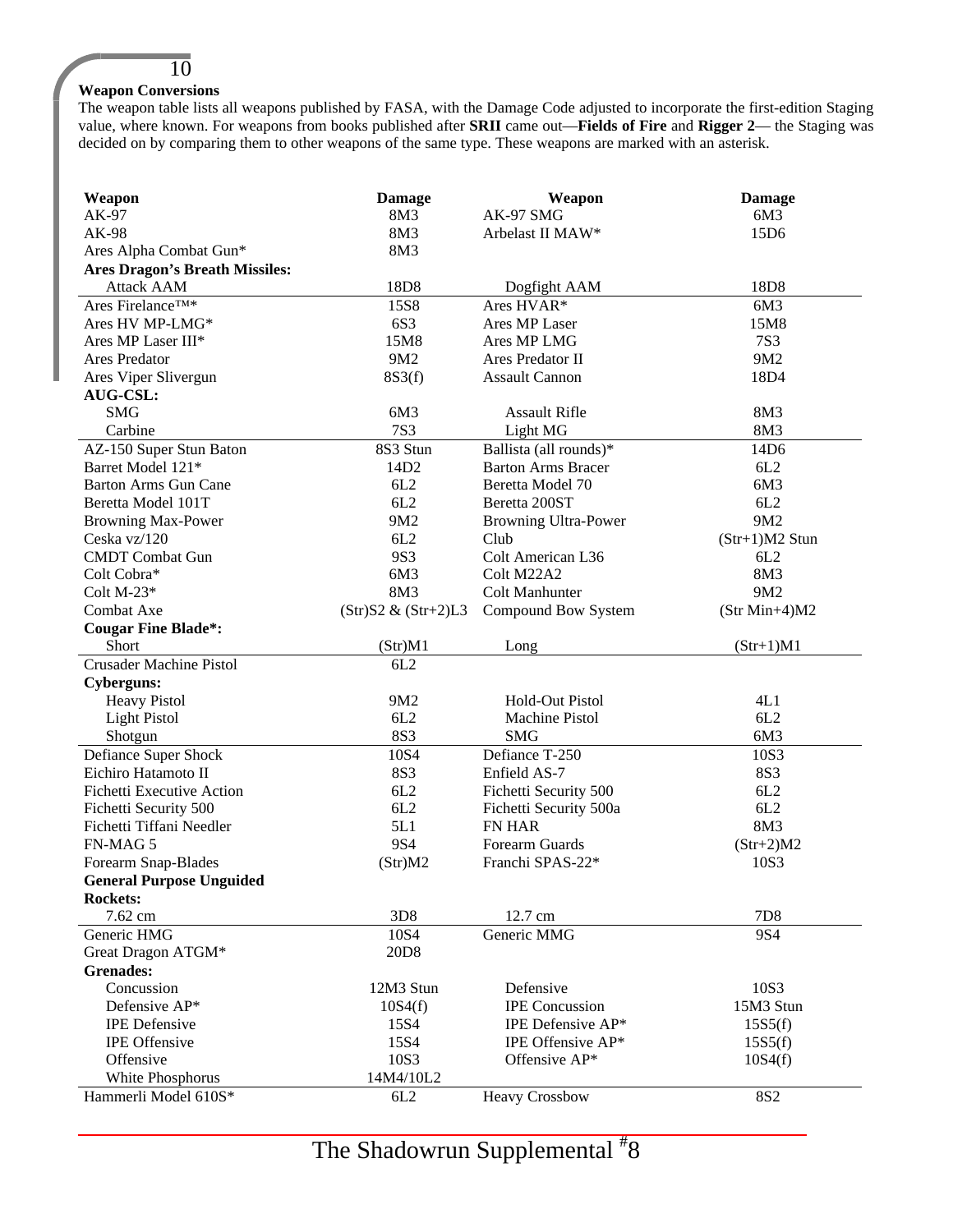#### **Weapon Conversions**

10

The weapon table lists all weapons published by FASA, with the Damage Code adjusted to incorporate the first-edition Staging value, where known. For weapons from books published after **SRII** came out—**Fields of Fire** and **Rigger 2**— the Staging was decided on by comparing them to other weapons of the same type. These weapons are marked with an asterisk.

| Weapon                                | <b>Damage</b>          | Weapon                      | <b>Damage</b>    |
|---------------------------------------|------------------------|-----------------------------|------------------|
| AK-97                                 | 8M3                    | AK-97 SMG                   | 6M3              |
| AK-98                                 | 8M3                    | Arbelast II MAW*            | 15D6             |
| Ares Alpha Combat Gun*                | 8M3                    |                             |                  |
| <b>Ares Dragon's Breath Missiles:</b> |                        |                             |                  |
| <b>Attack AAM</b>                     | 18D8                   | Dogfight AAM                | 18D <sub>8</sub> |
| Ares Firelance™*                      | <b>15S8</b>            | Ares HVAR*                  | 6M3              |
| Ares HV MP-LMG*                       | 6S3                    | Ares MP Laser               | 15M8             |
| Ares MP Laser III*                    | 15M8                   | Ares MP LMG                 | <b>7S3</b>       |
| Ares Predator                         | 9M2                    | Ares Predator II            | 9M2              |
| Ares Viper Slivergun                  | 8S3(f)                 | <b>Assault Cannon</b>       | 18D4             |
| <b>AUG-CSL:</b>                       |                        |                             |                  |
| <b>SMG</b>                            | 6M3                    | <b>Assault Rifle</b>        | 8M3              |
| Carbine                               | <b>7S3</b>             | Light MG                    | 8M3              |
| AZ-150 Super Stun Baton               | 8S3 Stun               | Ballista (all rounds)*      | 14D6             |
| Barret Model 121*                     | 14D <sub>2</sub>       | <b>Barton Arms Bracer</b>   | 6L2              |
| <b>Barton Arms Gun Cane</b>           | 6L2                    | Beretta Model 70            | 6M3              |
| Beretta Model 101T                    | 6L2                    | Beretta 200ST               | 6L2              |
| <b>Browning Max-Power</b>             | 9M2                    | <b>Browning Ultra-Power</b> | 9M2              |
| Ceska vz/120                          | 6L2                    | Club                        | $(Str+1)M2$ Stun |
| <b>CMDT</b> Combat Gun                | 9S3                    | Colt American L36           | 6L2              |
| Colt Cobra*                           | 6M3                    | Colt M22A2                  | 8M3              |
| Colt $M-23*$                          | 8M3                    | Colt Manhunter              | 9M2              |
| Combat Axe                            | $(Str)S2 \& (Str+2)L3$ | Compound Bow System         | $(Str Min+4)M2$  |
| <b>Cougar Fine Blade*:</b>            |                        |                             |                  |
| Short                                 | (Str)M1                | Long                        | $(Str+1)M1$      |
| <b>Crusader Machine Pistol</b>        | 6L2                    |                             |                  |
| <b>Cyberguns:</b>                     |                        |                             |                  |
| <b>Heavy Pistol</b>                   | 9M2                    | Hold-Out Pistol             | 4L1              |
| <b>Light Pistol</b>                   | 6L2                    | Machine Pistol              | 6L2              |
| Shotgun                               | <b>8S3</b>             | <b>SMG</b>                  | 6M3              |
| Defiance Super Shock                  | 10S4                   | Defiance T-250              | 10S3             |
| Eichiro Hatamoto II                   | <b>8S3</b>             | Enfield AS-7                | <b>8S3</b>       |
| Fichetti Executive Action             | 6L2                    | Fichetti Security 500       | 6L2              |
| Fichetti Security 500                 | 6L2                    | Fichetti Security 500a      | 6L2              |
| Fichetti Tiffani Needler              | 5L1                    | FN HAR                      | 8M3              |
| FN-MAG 5                              | <b>9S4</b>             | Forearm Guards              | $(Str+2)M2$      |
| Forearm Snap-Blades                   | (Str)M2                | Franchi SPAS-22*            | 10S3             |
| <b>General Purpose Unguided</b>       |                        |                             |                  |
| <b>Rockets:</b>                       |                        |                             |                  |
| 7.62 cm                               | 3D <sub>8</sub>        | 12.7 cm                     | 7D <sub>8</sub>  |
| Generic HMG                           | 10S4                   | Generic MMG                 | <b>9S4</b>       |
| Great Dragon ATGM*                    | 20D <sub>8</sub>       |                             |                  |
| <b>Grenades:</b>                      |                        |                             |                  |
| Concussion                            | 12M3 Stun              | Defensive                   | 10S3             |
| Defensive AP*                         | 10S4(f)                | <b>IPE</b> Concussion       | 15M3 Stun        |
| <b>IPE</b> Defensive                  | 15S4                   | IPE Defensive AP*           | 15S5(f)          |
| <b>IPE</b> Offensive                  | 15S4                   | IPE Offensive AP*           | 15S5(f)          |
| Offensive                             | 10S3                   | Offensive AP*               | 10S4(f)          |
| White Phosphorus                      | 14M4/10L2              |                             |                  |
| Hammerli Model 610S*                  | 6L2                    | <b>Heavy Crossbow</b>       | <b>8S2</b>       |
|                                       |                        |                             |                  |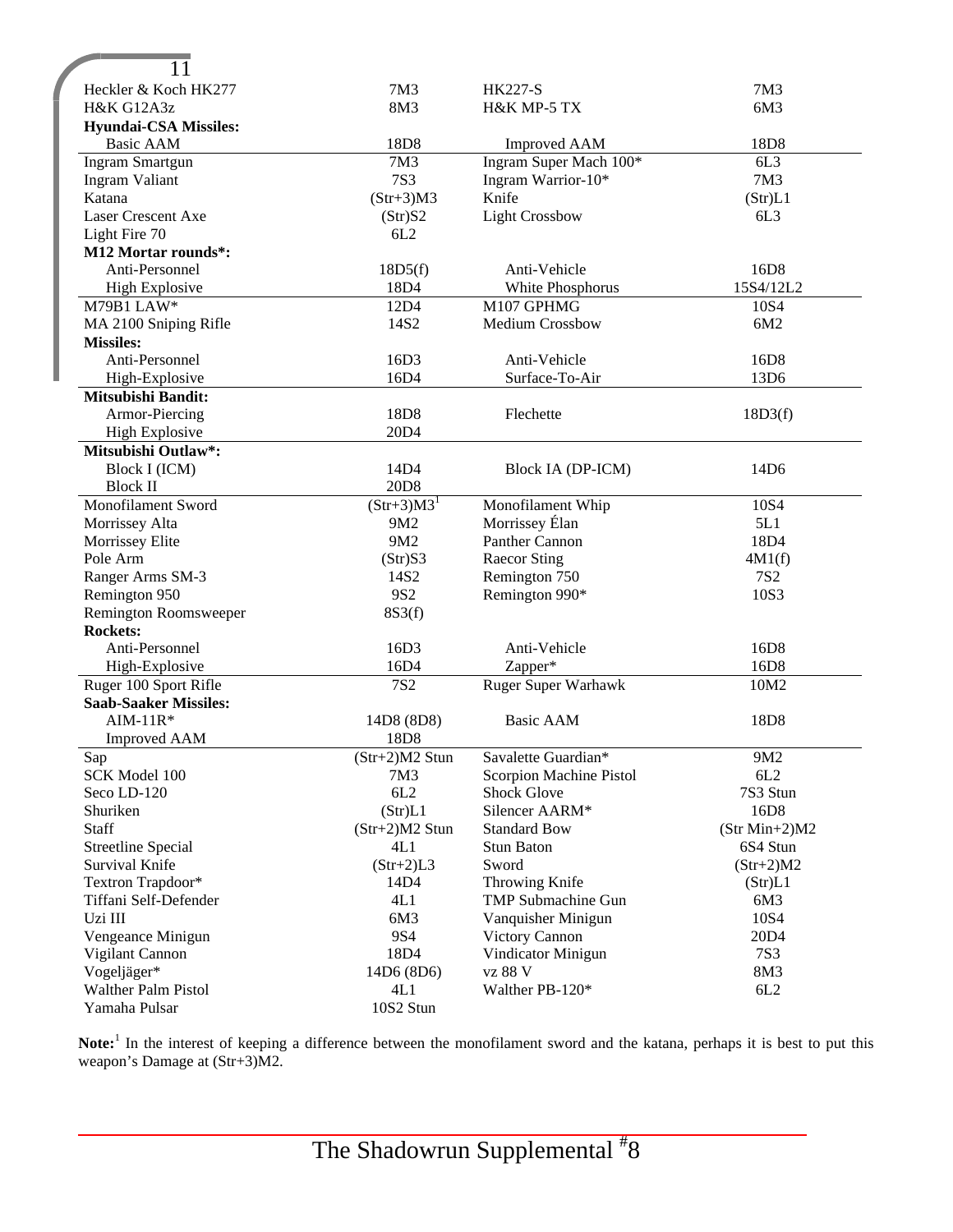| 11                           |                         |                                                |                   |
|------------------------------|-------------------------|------------------------------------------------|-------------------|
| Heckler & Koch HK277         | 7M3                     | <b>HK227-S</b>                                 | 7M3               |
| <b>H&amp;K G12A3z</b>        | 8M3                     | H&K MP-5 TX                                    | 6M3               |
| <b>Hyundai-CSA Missiles:</b> |                         |                                                |                   |
| <b>Basic AAM</b>             | 18D8                    | <b>Improved AAM</b>                            | 18D8              |
| <b>Ingram Smartgun</b>       | 7M3                     | Ingram Super Mach 100*                         | 6L3               |
| <b>Ingram Valiant</b>        | <b>7S3</b>              | Ingram Warrior-10*                             | 7M3               |
| Katana                       | $(Str+3)M3$             | Knife                                          | (Str)L1           |
| Laser Crescent Axe           | (Str)S2                 | <b>Light Crossbow</b>                          | 6L3               |
| Light Fire 70                | 6L2                     |                                                |                   |
| M12 Mortar rounds*:          |                         |                                                |                   |
| Anti-Personnel               | 18D5(f)                 | Anti-Vehicle                                   | 16D8              |
| <b>High Explosive</b>        | 18D4                    | White Phosphorus                               | 15S4/12L2         |
| M79B1 LAW*                   | 12D4                    | M107 GPHMG                                     | 10S4              |
| MA 2100 Sniping Rifle        | 14S2                    | <b>Medium Crossbow</b>                         | 6M2               |
| <b>Missiles:</b>             |                         |                                                |                   |
| Anti-Personnel               | 16D3                    | Anti-Vehicle                                   | 16D8              |
| High-Explosive               | 16D4                    | Surface-To-Air                                 | 13D6              |
| <b>Mitsubishi Bandit:</b>    |                         |                                                |                   |
| Armor-Piercing               | 18D8                    | Flechette                                      | 18D3(f)           |
| <b>High Explosive</b>        | 20D4                    |                                                |                   |
| Mitsubishi Outlaw*:          |                         |                                                |                   |
| Block I (ICM)                | 14D4                    | Block IA (DP-ICM)                              | 14D6              |
| <b>Block II</b>              | 20D <sub>8</sub>        |                                                |                   |
| Monofilament Sword           | $(Str+3)M3^1$           | Monofilament Whip                              | 10S4              |
| Morrissey Alta               | 9M2                     | Morrissey Élan                                 | 5L1               |
| Morrissey Elite              | 9M2                     | Panther Cannon                                 | 18D4              |
| Pole Arm                     | (Str)S3                 | <b>Raecor Sting</b>                            | 4M1(f)            |
| Ranger Arms SM-3             | 14S2                    | Remington 750                                  | <b>7S2</b>        |
| Remington 950                | 9S <sub>2</sub>         | Remington 990*                                 | 10S3              |
| Remington Roomsweeper        | 8S3(f)                  |                                                |                   |
| <b>Rockets:</b>              |                         |                                                |                   |
| Anti-Personnel               | 16D3                    | Anti-Vehicle                                   | 16D <sub>8</sub>  |
| High-Explosive               | 16D4                    | Zapper*                                        | 16D8              |
| Ruger 100 Sport Rifle        | <b>7S2</b>              |                                                | 10M2              |
| <b>Saab-Saaker Missiles:</b> |                         | <b>Ruger Super Warhawk</b>                     |                   |
| $AIM-11R*$                   | 14D8 (8D8)              | Basic AAM                                      | 18 <sub>D</sub> 8 |
| <b>Improved AAM</b>          | 18D8                    |                                                |                   |
|                              |                         |                                                |                   |
| Sap<br>SCK Model 100         | $(Str+2)M2$ Stun<br>7M3 | Savalette Guardian*<br>Scorpion Machine Pistol | 9M2<br>6L2        |
| Seco LD-120                  | 6L2                     | <b>Shock Glove</b>                             | 7S3 Stun          |
|                              |                         |                                                | 16D8              |
| Shuriken<br>Staff            | (Str)L1                 | Silencer AARM*                                 |                   |
| <b>Streetline Special</b>    | $(Str+2)M2$ Stun        | <b>Standard Bow</b><br><b>Stun Baton</b>       | $(Str Min+2)M2$   |
|                              | 4L1                     |                                                | 6S4 Stun          |
| Survival Knife               | $(Str+2)L3$             | Sword                                          | $(Str+2)M2$       |
| Textron Trapdoor*            | 14D4                    | Throwing Knife                                 | (Str)L1           |
| Tiffani Self-Defender        | 4L1                     | TMP Submachine Gun                             | 6M3               |
| Uzi III                      | 6M3                     | Vanquisher Minigun                             | 10S4              |
| Vengeance Minigun            | <b>9S4</b>              | Victory Cannon                                 | 20D4              |
| Vigilant Cannon              | 18D4                    | Vindicator Minigun                             | <b>7S3</b>        |
| Vogeljäger*                  | 14D6 (8D6)              | vz 88 V                                        | 8M3               |
| Walther Palm Pistol          | 4L1                     | Walther PB-120*                                | 6L2               |
| Yamaha Pulsar                | 10S2 Stun               |                                                |                   |

Note:<sup>1</sup> In the interest of keeping a difference between the monofilament sword and the katana, perhaps it is best to put this weapon's Damage at (Str+3)M2.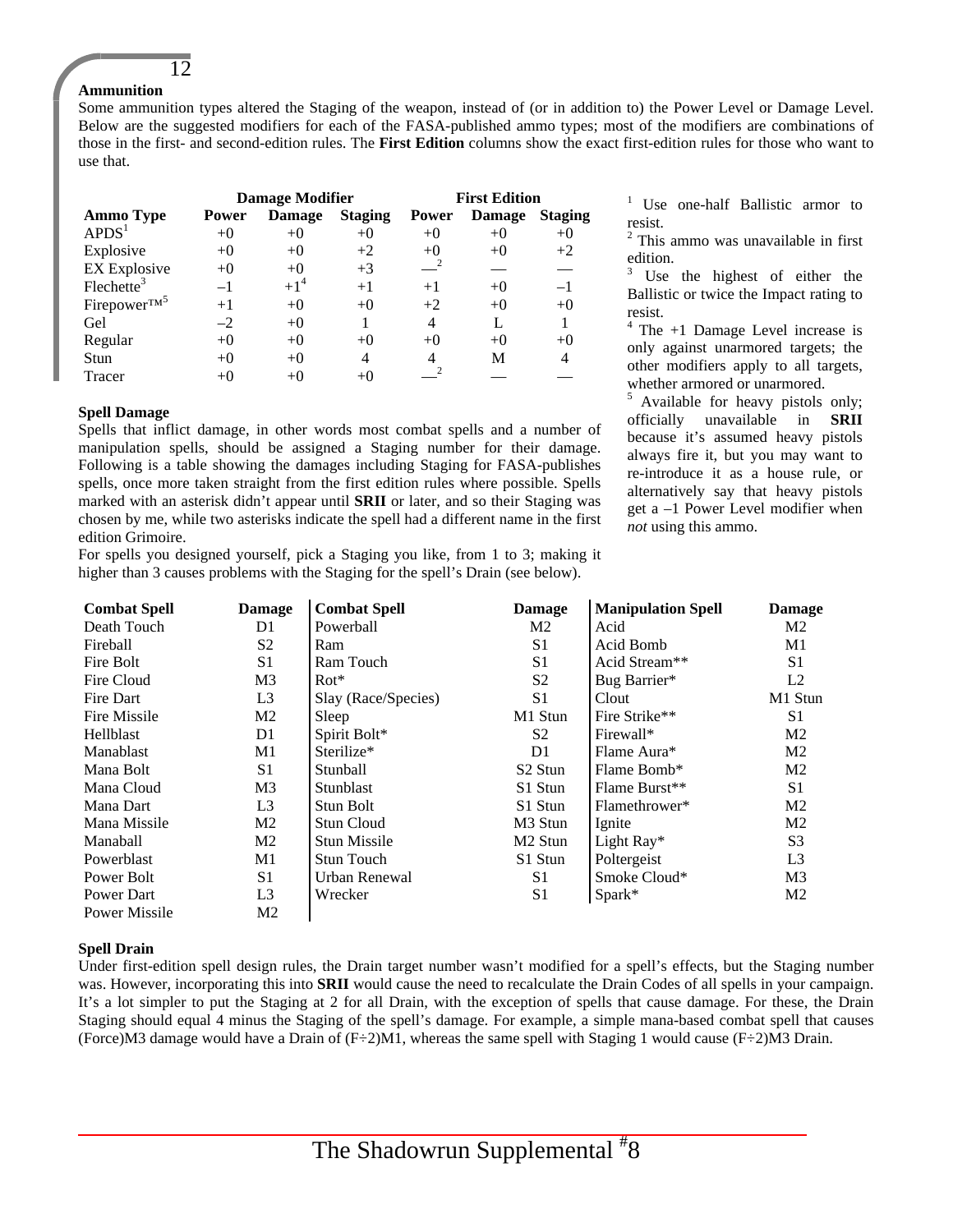#### 12 **Ammunition**

Some ammunition types altered the Staging of the weapon, instead of (or in addition to) the Power Level or Damage Level. Below are the suggested modifiers for each of the FASA-published ammo types; most of the modifiers are combinations of those in the first- and second-edition rules. The **First Edition** columns show the exact first-edition rules for those who want to use that.

|                           |              | <b>Damage Modifier</b> |                | <b>First Edition</b> |               |                |  |
|---------------------------|--------------|------------------------|----------------|----------------------|---------------|----------------|--|
| <b>Ammo Type</b>          | <b>Power</b> | <b>Damage</b>          | <b>Staging</b> | <b>Power</b>         | <b>Damage</b> | <b>Staging</b> |  |
| APDS <sup>1</sup>         | $+0$         | $+0$                   | $+0$           | $+0$                 | $+0$          | $+0$           |  |
| Explosive                 | $+0$         | $+0$                   | $+2$           | $+()$                | $+0$          | $+2$           |  |
| <b>EX Explosive</b>       | $+0$         | $+0$                   | $+3$           |                      |               |                |  |
| $F$ lechette <sup>3</sup> | $-1$         | $+1^4$                 | $+1$           | $+1$                 | $+()$         | $-1$           |  |
| Firepower <sup>TM5</sup>  | $+1$         | $+0$                   | $+0$           | $+2$                 | $+0$          | $+0$           |  |
| Gel                       | $-2$         | $+0$                   |                | 4                    |               |                |  |
| Regular                   | $+()$        | $+0$                   | $+0$           | $+()$                | $^{+0}$       | $+0$           |  |
| Stun                      | $+()$        | $+()$                  | 4              |                      | M             | 4              |  |
| Tracer                    |              |                        | $+()$          |                      |               |                |  |

#### **Spell Damage**

Spells that inflict damage, in other words most combat spells and a number of manipulation spells, should be assigned a Staging number for their damage. Following is a table showing the damages including Staging for FASA-publishes spells, once more taken straight from the first edition rules where possible. Spells marked with an asterisk didn't appear until **SRII** or later, and so their Staging was chosen by me, while two asterisks indicate the spell had a different name in the first edition Grimoire.

For spells you designed yourself, pick a Staging you like, from 1 to 3; making it higher than 3 causes problems with the Staging for the spell's Drain (see below).

<sup>1</sup> Use one-half Ballistic armor to resist.

<sup>2</sup> This ammo was unavailable in first edition.

 $3$  Use the highest of either the Ballistic or twice the Impact rating to resist.

 $4$  The  $+1$  Damage Level increase is only against unarmored targets; the other modifiers apply to all targets, whether armored or unarmored.

<sup>5</sup> Available for heavy pistols only; officially unavailable in **SRII** because it's assumed heavy pistols always fire it, but you may want to re-introduce it as a house rule, or alternatively say that heavy pistols get a –1 Power Level modifier when *not* using this ammo.

| <b>Combat Spell</b>  | <b>Damage</b>  | <b>Combat Spell</b> | <b>Damage</b>       | <b>Manipulation Spell</b> | <b>Damage</b>  |
|----------------------|----------------|---------------------|---------------------|---------------------------|----------------|
| Death Touch          | D1             | Powerball           | M <sub>2</sub>      | Acid                      | M2             |
| Fireball             | S <sub>2</sub> | Ram                 | S <sub>1</sub>      | Acid Bomb                 | M1             |
| Fire Bolt            | S1             | Ram Touch           | S <sub>1</sub>      | Acid Stream**             | S <sub>1</sub> |
| Fire Cloud           | M <sub>3</sub> | $Rot*$              | S <sub>2</sub>      | Bug Barrier*              | L2             |
| Fire Dart            | L <sub>3</sub> | Slay (Race/Species) | S <sub>1</sub>      | Clout                     | M1 Stun        |
| Fire Missile         | M <sub>2</sub> | Sleep               | M1 Stun             | Fire Strike**             | S <sub>1</sub> |
| Hellblast            | D1             | Spirit Bolt*        | S <sub>2</sub>      | Firewall*                 | M <sub>2</sub> |
| <b>Manablast</b>     | M1             | Sterilize*          | D1                  | Flame Aura*               | M <sub>2</sub> |
| Mana Bolt            | S <sub>1</sub> | Stunball            | S <sub>2</sub> Stun | Flame Bomb*               | M <sub>2</sub> |
| Mana Cloud           | M <sub>3</sub> | Stunblast           | S1 Stun             | Flame Burst**             | S <sub>1</sub> |
| Mana Dart            | L <sub>3</sub> | Stun Bolt           | S1 Stun             | Flamethrower*             | M <sub>2</sub> |
| Mana Missile         | M2             | Stun Cloud          | M <sub>3</sub> Stun | Ignite                    | M2             |
| Manaball             | M <sub>2</sub> | <b>Stun Missile</b> | M <sub>2</sub> Stun | Light Ray*                | S <sub>3</sub> |
| Powerblast           | M1             | <b>Stun Touch</b>   | S1 Stun             | Poltergeist               | L <sub>3</sub> |
| Power Bolt           | S <sub>1</sub> | Urban Renewal       | S1                  | Smoke Cloud*              | M <sub>3</sub> |
| Power Dart           | L <sub>3</sub> | Wrecker             | S <sub>1</sub>      | Spark*                    | M <sub>2</sub> |
| <b>Power Missile</b> | M2             |                     |                     |                           |                |

#### **Spell Drain**

Under first-edition spell design rules, the Drain target number wasn't modified for a spell's effects, but the Staging number was. However, incorporating this into **SRII** would cause the need to recalculate the Drain Codes of all spells in your campaign. It's a lot simpler to put the Staging at 2 for all Drain, with the exception of spells that cause damage. For these, the Drain Staging should equal 4 minus the Staging of the spell's damage. For example, a simple mana-based combat spell that causes (Force)M3 damage would have a Drain of  $(F\div 2)$ M1, whereas the same spell with Staging 1 would cause  $(F\div 2)$ M3 Drain.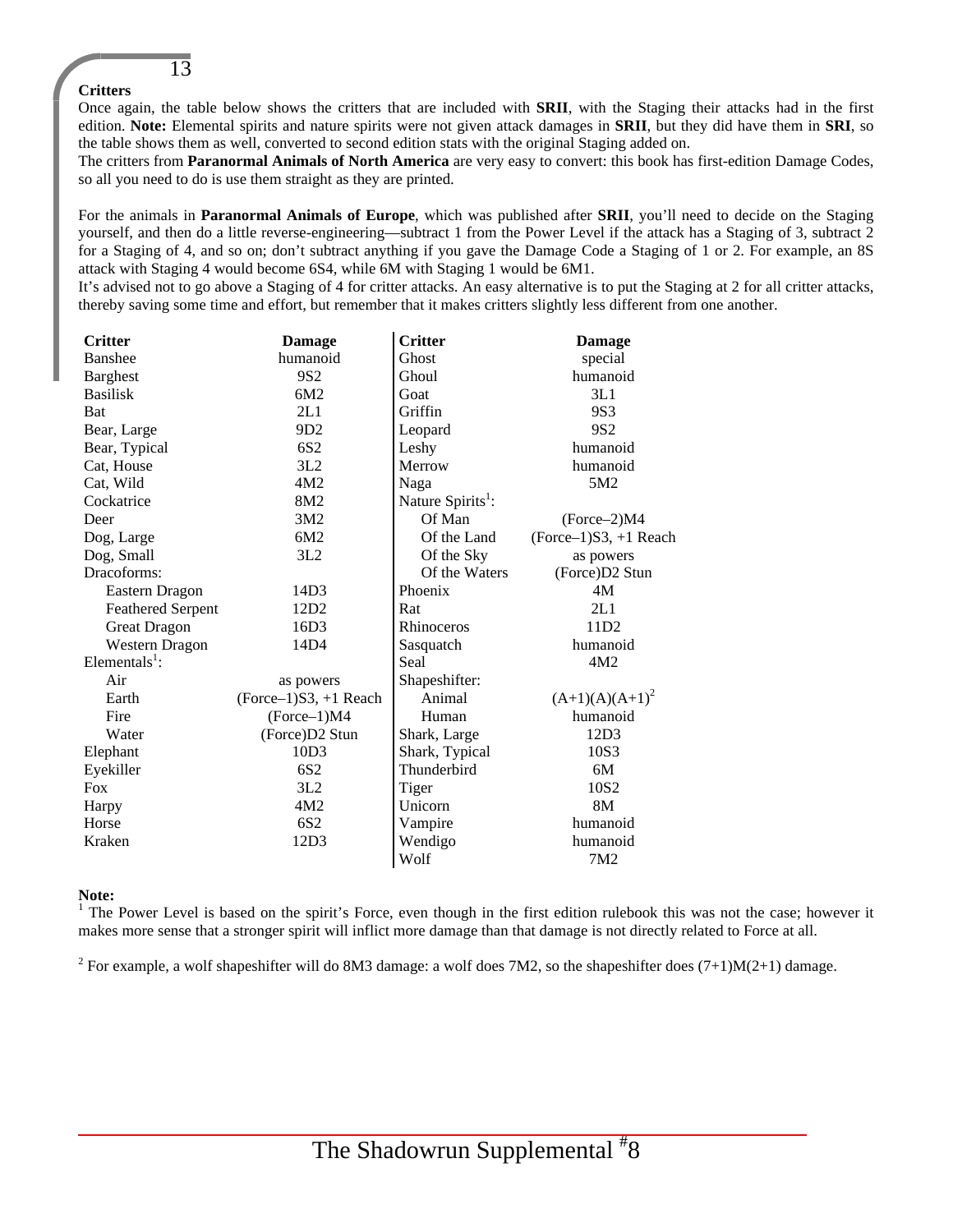#### **Critters**

13

Once again, the table below shows the critters that are included with **SRII**, with the Staging their attacks had in the first edition. **Note:** Elemental spirits and nature spirits were not given attack damages in **SRII**, but they did have them in **SRI**, so the table shows them as well, converted to second edition stats with the original Staging added on.

The critters from **Paranormal Animals of North America** are very easy to convert: this book has first-edition Damage Codes, so all you need to do is use them straight as they are printed.

For the animals in **Paranormal Animals of Europe**, which was published after **SRII**, you'll need to decide on the Staging yourself, and then do a little reverse-engineering—subtract 1 from the Power Level if the attack has a Staging of 3, subtract 2 for a Staging of 4, and so on; don't subtract anything if you gave the Damage Code a Staging of 1 or 2. For example, an 8S attack with Staging 4 would become 6S4, while 6M with Staging 1 would be 6M1.

It's advised not to go above a Staging of 4 for critter attacks. An easy alternative is to put the Staging at 2 for all critter attacks, thereby saving some time and effort, but remember that it makes critters slightly less different from one another.

| <b>Critter</b>            | <b>Damage</b>           | <b>Critter</b>                | <b>Damage</b>           |
|---------------------------|-------------------------|-------------------------------|-------------------------|
| <b>Banshee</b>            | humanoid                | Ghost                         | special                 |
| <b>Barghest</b>           | 9S <sub>2</sub>         | Ghoul                         | humanoid                |
| <b>Basilisk</b>           | 6M2                     | Goat                          | 3L1                     |
| Bat                       | 2L1                     | Griffin                       | 9S3                     |
| Bear, Large               | 9D2                     | Leopard                       | 9S <sub>2</sub>         |
| Bear, Typical             | 6S <sub>2</sub>         | Leshy                         | humanoid                |
| Cat, House                | 3L2                     | Merrow                        | humanoid                |
| Cat, Wild                 | 4M2                     | Naga                          | 5M <sub>2</sub>         |
| Cockatrice                | 8M <sub>2</sub>         | Nature Spirits <sup>1</sup> : |                         |
| Deer                      | 3M2                     | Of Man                        | $(Force-2)M4$           |
| Dog, Large                | 6M2                     | Of the Land                   | $(Force-1)S3, +1$ Reach |
| Dog, Small                | 3L2                     | Of the Sky                    | as powers               |
| Dracoforms:               |                         | Of the Waters                 | (Force)D2 Stun          |
| Eastern Dragon            | 14D3                    | Phoenix                       | 4M                      |
| <b>Feathered Serpent</b>  | 12D <sub>2</sub>        | Rat                           | 2L1                     |
| Great Dragon              | 16D3                    | <b>Rhinoceros</b>             | 11D <sub>2</sub>        |
| <b>Western Dragon</b>     | 14D4                    | Sasquatch                     | humanoid                |
| Elementals <sup>1</sup> : |                         | Seal                          | 4M2                     |
| Air                       | as powers               | Shapeshifter:                 |                         |
| Earth                     | $(Force-1)S3, +1$ Reach | Animal                        | $(A+1)(A)(A+1)^2$       |
| Fire                      | $(Force-1)M4$           | Human                         | humanoid                |
| Water                     | (Force)D2 Stun          | Shark, Large                  | 12D3                    |
| Elephant                  | 10D3                    | Shark, Typical                | 10S3                    |
| Eyekiller                 | 6S <sub>2</sub>         | Thunderbird                   | 6M                      |
| <b>Fox</b>                | 3L2                     | Tiger                         | 10S <sub>2</sub>        |
| Harpy                     | 4M2                     | Unicorn                       | 8M                      |
| Horse                     | 6S <sub>2</sub>         | Vampire                       | humanoid                |
| Kraken                    | 12D3                    | Wendigo                       | humanoid                |
|                           |                         | Wolf                          | 7M2                     |

#### **Note:**

<sup>1</sup> The Power Level is based on the spirit's Force, even though in the first edition rulebook this was not the case; however it makes more sense that a stronger spirit will inflict more damage than that damage is not directly related to Force at all.

<sup>2</sup> For example, a wolf shapeshifter will do 8M3 damage: a wolf does 7M2, so the shapeshifter does  $(7+1)M(2+1)$  damage.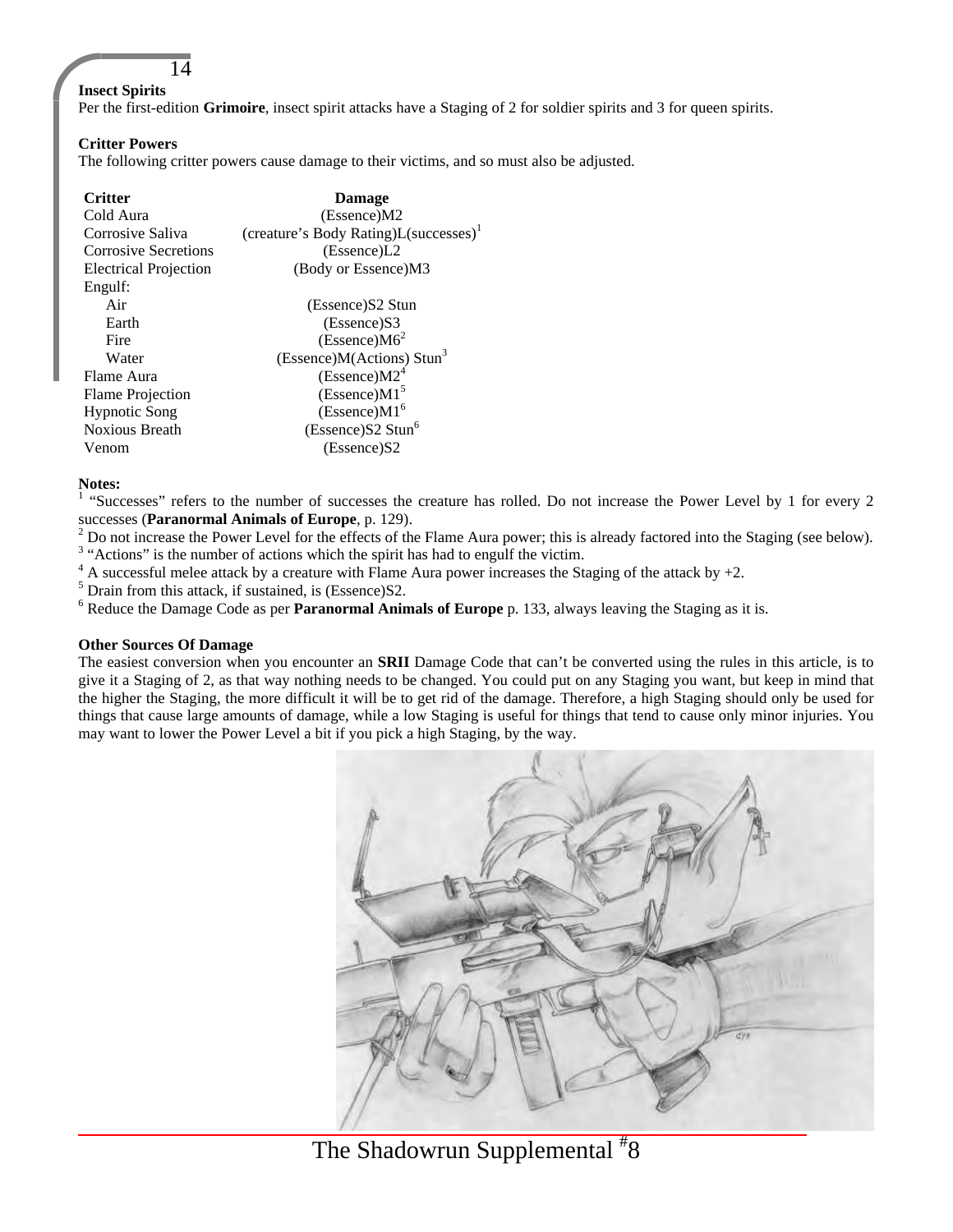#### **Insect Spirits**

14

Per the first-edition Grimoire, insect spirit attacks have a Staging of 2 for soldier spirits and 3 for queen spirits.

#### **Critter Powers**

The following critter powers cause damage to their victims, and so must also be adjusted.

| <b>Critter</b>               | <b>Damage</b>                                     |
|------------------------------|---------------------------------------------------|
| Cold Aura                    | (Escence)M2                                       |
| Corrosive Saliva             | (creature's Body Rating)L(successes) <sup>1</sup> |
| Corrosive Secretions         | (Essence)L2                                       |
| <b>Electrical Projection</b> | (Body or Essence)M3                               |
| Engulf:                      |                                                   |
| Air                          | (Essence) S2 Stun                                 |
| Earth                        | (Essence)S3                                       |
| Fire                         | (Escence)M6 <sup>2</sup>                          |
| Water                        | (Essence) $M(Actions) Stun3$                      |
| Flame Aura                   | (Escence)M2 <sup>4</sup>                          |
| <b>Flame Projection</b>      | (Escence)M1 <sup>5</sup>                          |
| <b>Hypnotic Song</b>         | (Escence)M1 <sup>6</sup>                          |
| <b>Noxious Breath</b>        | (Escence)S2 Stun <sup>6</sup>                     |
| Venom                        | (Essence)S2                                       |

#### **Notes:**

<sup>1</sup> "Successes" refers to the number of successes the creature has rolled. Do not increase the Power Level by 1 for every 2 successes (**Paranormal Animals of Europe**, p. 129).

 $2$  Do not increase the Power Level for the effects of the Flame Aura power; this is already factored into the Staging (see below).

<sup>3</sup> "Actions" is the number of actions which the spirit has had to engulf the victim.

 $4$  A successful melee attack by a creature with Flame Aura power increases the Staging of the attack by  $+2$ .

<sup>5</sup> Drain from this attack, if sustained, is (Essence)S2.

<sup>6</sup> Reduce the Damage Code as per **Paranormal Animals of Europe** p. 133, always leaving the Staging as it is.

#### **Other Sources Of Damage**

The easiest conversion when you encounter an **SRII** Damage Code that can't be converted using the rules in this article, is to give it a Staging of 2, as that way nothing needs to be changed. You could put on any Staging you want, but keep in mind that the higher the Staging, the more difficult it will be to get rid of the damage. Therefore, a high Staging should only be used for things that cause large amounts of damage, while a low Staging is useful for things that tend to cause only minor injuries. You may want to lower the Power Level a bit if you pick a high Staging, by the way.



# The Shadowrun Supplemental <sup>#</sup>8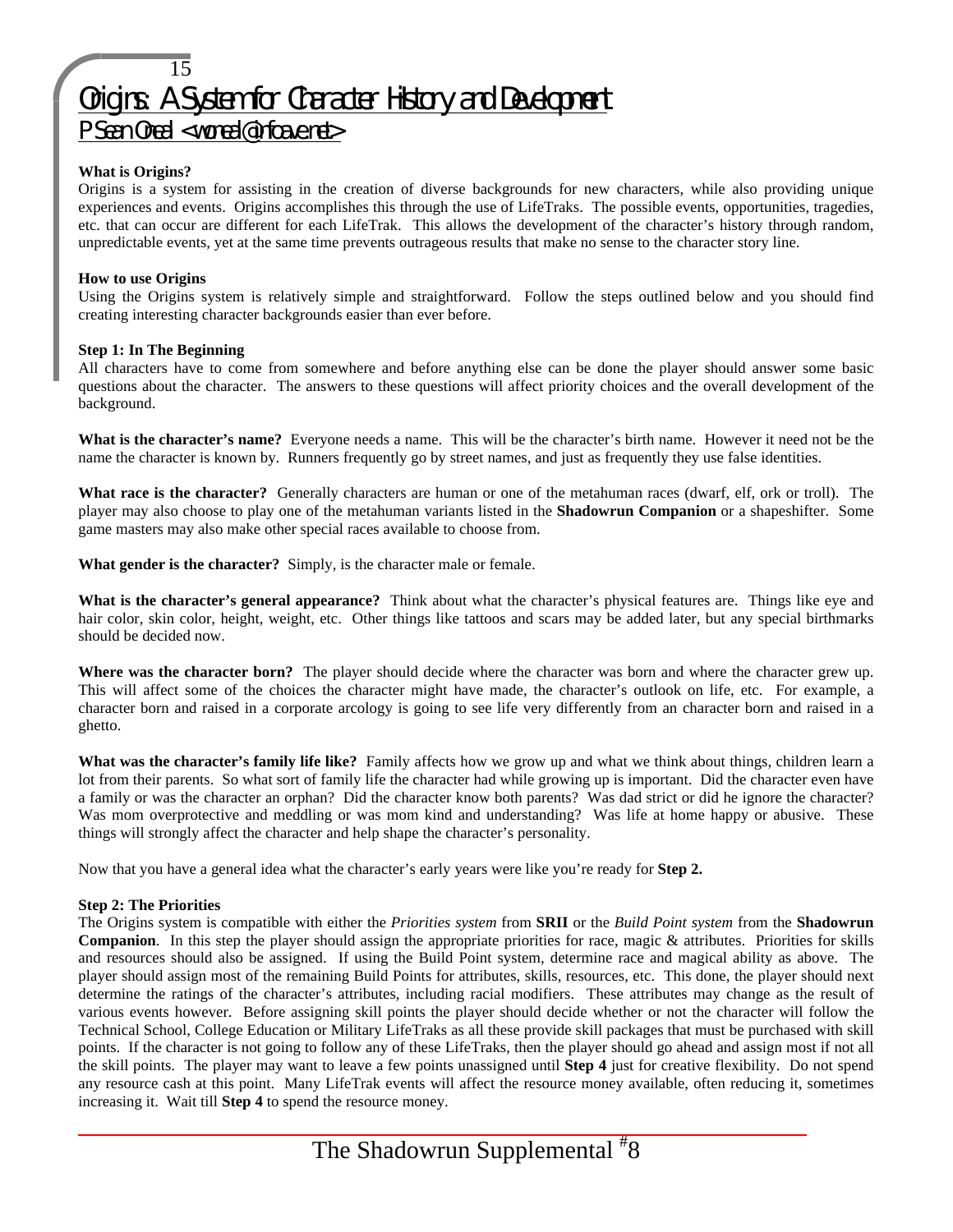# 15 Origins: A System for Character History and Development

P Sean Oneal <woneal@infoave.net>

#### **What is Origins?**

Origins is a system for assisting in the creation of diverse backgrounds for new characters, while also providing unique experiences and events. Origins accomplishes this through the use of LifeTraks. The possible events, opportunities, tragedies, etc. that can occur are different for each LifeTrak. This allows the development of the character's history through random, unpredictable events, yet at the same time prevents outrageous results that make no sense to the character story line.

#### **How to use Origins**

Using the Origins system is relatively simple and straightforward. Follow the steps outlined below and you should find creating interesting character backgrounds easier than ever before.

#### **Step 1: In The Beginning**

All characters have to come from somewhere and before anything else can be done the player should answer some basic questions about the character. The answers to these questions will affect priority choices and the overall development of the background.

**What is the character's name?** Everyone needs a name. This will be the character's birth name. However it need not be the name the character is known by. Runners frequently go by street names, and just as frequently they use false identities.

**What race is the character?** Generally characters are human or one of the metahuman races (dwarf, elf, ork or troll). The player may also choose to play one of the metahuman variants listed in the **Shadowrun Companion** or a shapeshifter. Some game masters may also make other special races available to choose from.

**What gender is the character?** Simply, is the character male or female.

**What is the character's general appearance?** Think about what the character's physical features are. Things like eye and hair color, skin color, height, weight, etc. Other things like tattoos and scars may be added later, but any special birthmarks should be decided now.

**Where was the character born?** The player should decide where the character was born and where the character grew up. This will affect some of the choices the character might have made, the character's outlook on life, etc. For example, a character born and raised in a corporate arcology is going to see life very differently from an character born and raised in a ghetto.

**What was the character's family life like?** Family affects how we grow up and what we think about things, children learn a lot from their parents. So what sort of family life the character had while growing up is important. Did the character even have a family or was the character an orphan? Did the character know both parents? Was dad strict or did he ignore the character? Was mom overprotective and meddling or was mom kind and understanding? Was life at home happy or abusive. These things will strongly affect the character and help shape the character's personality.

Now that you have a general idea what the character's early years were like you're ready for **Step 2.**

#### **Step 2: The Priorities**

The Origins system is compatible with either the *Priorities system* from **SRII** or the *Build Point system* from the **Shadowrun Companion**. In this step the player should assign the appropriate priorities for race, magic & attributes. Priorities for skills and resources should also be assigned. If using the Build Point system, determine race and magical ability as above. The player should assign most of the remaining Build Points for attributes, skills, resources, etc. This done, the player should next determine the ratings of the character's attributes, including racial modifiers. These attributes may change as the result of various events however. Before assigning skill points the player should decide whether or not the character will follow the Technical School, College Education or Military LifeTraks as all these provide skill packages that must be purchased with skill points. If the character is not going to follow any of these LifeTraks, then the player should go ahead and assign most if not all the skill points. The player may want to leave a few points unassigned until **Step 4** just for creative flexibility. Do not spend any resource cash at this point. Many LifeTrak events will affect the resource money available, often reducing it, sometimes increasing it. Wait till **Step 4** to spend the resource money.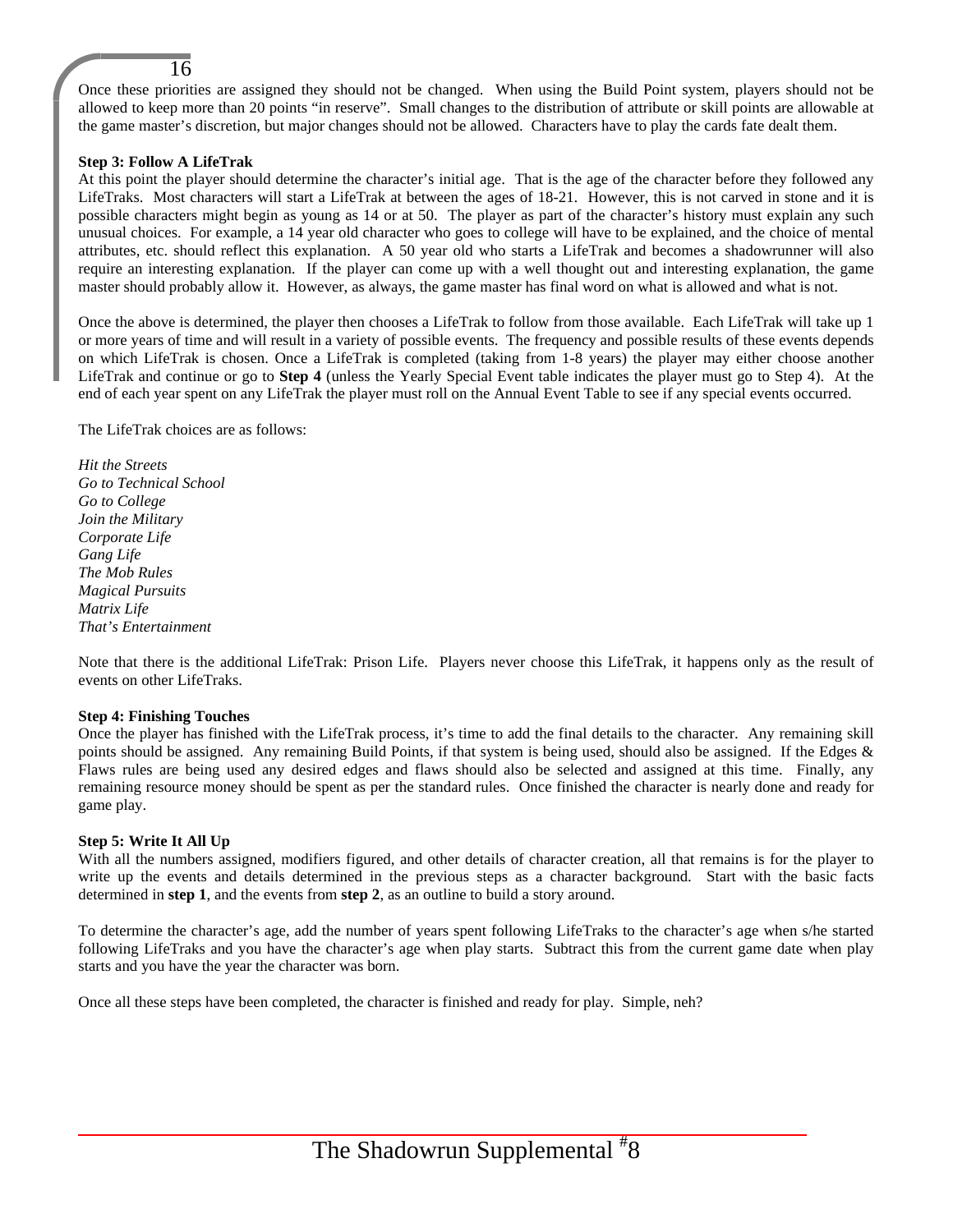Once these priorities are assigned they should not be changed. When using the Build Point system, players should not be allowed to keep more than 20 points "in reserve". Small changes to the distribution of attribute or skill points are allowable at the game master's discretion, but major changes should not be allowed. Characters have to play the cards fate dealt them.

#### **Step 3: Follow A LifeTrak**

16

At this point the player should determine the character's initial age. That is the age of the character before they followed any LifeTraks. Most characters will start a LifeTrak at between the ages of 18-21. However, this is not carved in stone and it is possible characters might begin as young as 14 or at 50. The player as part of the character's history must explain any such unusual choices. For example, a 14 year old character who goes to college will have to be explained, and the choice of mental attributes, etc. should reflect this explanation. A 50 year old who starts a LifeTrak and becomes a shadowrunner will also require an interesting explanation. If the player can come up with a well thought out and interesting explanation, the game master should probably allow it. However, as always, the game master has final word on what is allowed and what is not.

Once the above is determined, the player then chooses a LifeTrak to follow from those available. Each LifeTrak will take up 1 or more years of time and will result in a variety of possible events. The frequency and possible results of these events depends on which LifeTrak is chosen. Once a LifeTrak is completed (taking from 1-8 years) the player may either choose another LifeTrak and continue or go to **Step 4** (unless the Yearly Special Event table indicates the player must go to Step 4). At the end of each year spent on any LifeTrak the player must roll on the Annual Event Table to see if any special events occurred.

The LifeTrak choices are as follows:

*Hit the Streets Go to Technical School Go to College Join the Military Corporate Life Gang Life The Mob Rules Magical Pursuits Matrix Life That's Entertainment*

Note that there is the additional LifeTrak: Prison Life. Players never choose this LifeTrak, it happens only as the result of events on other LifeTraks.

#### **Step 4: Finishing Touches**

Once the player has finished with the LifeTrak process, it's time to add the final details to the character. Any remaining skill points should be assigned. Any remaining Build Points, if that system is being used, should also be assigned. If the Edges & Flaws rules are being used any desired edges and flaws should also be selected and assigned at this time. Finally, any remaining resource money should be spent as per the standard rules. Once finished the character is nearly done and ready for game play.

#### **Step 5: Write It All Up**

With all the numbers assigned, modifiers figured, and other details of character creation, all that remains is for the player to write up the events and details determined in the previous steps as a character background. Start with the basic facts determined in **step 1**, and the events from **step 2**, as an outline to build a story around.

To determine the character's age, add the number of years spent following LifeTraks to the character's age when s/he started following LifeTraks and you have the character's age when play starts. Subtract this from the current game date when play starts and you have the year the character was born.

Once all these steps have been completed, the character is finished and ready for play. Simple, neh?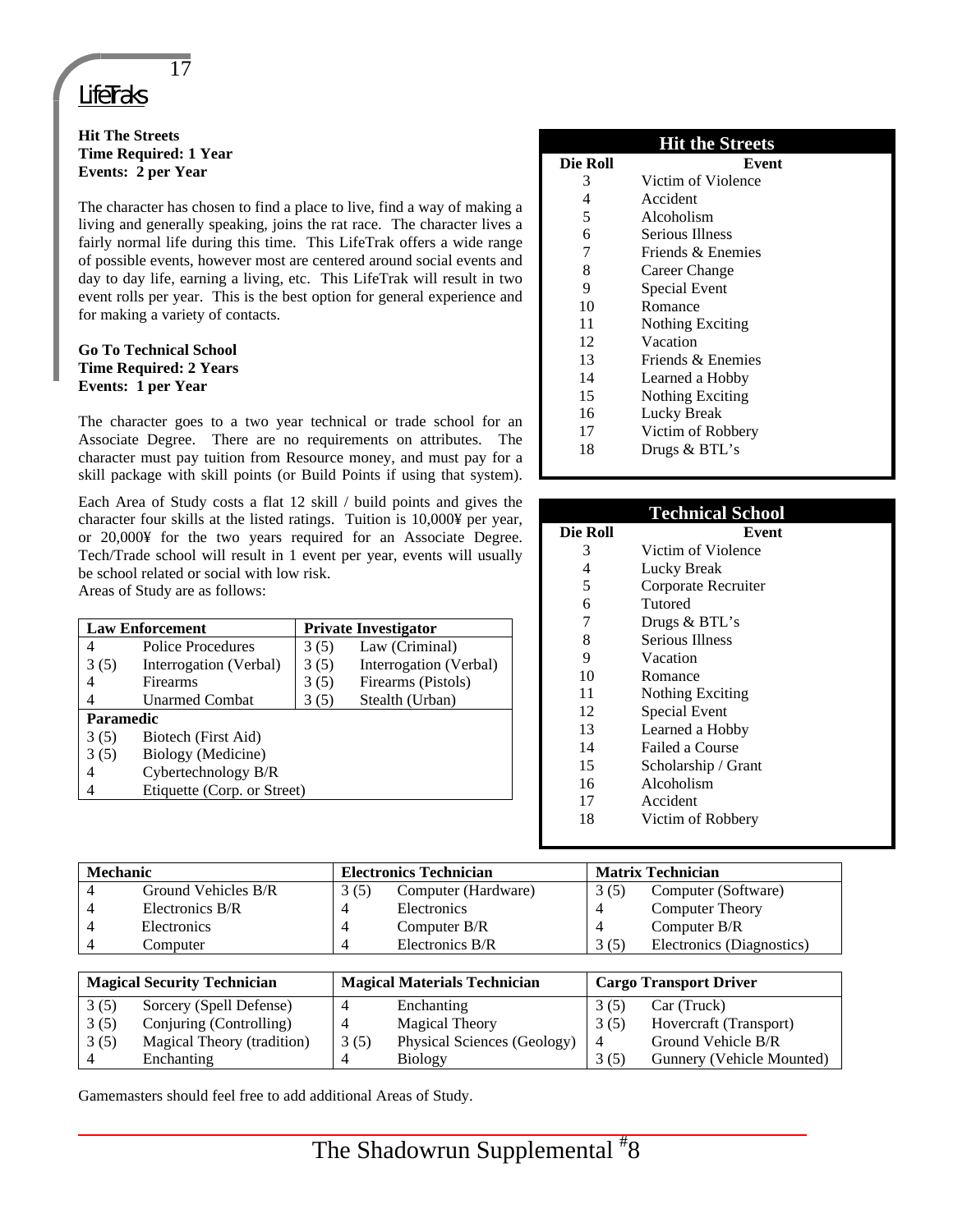## 17

## **LifeTraks**

#### **Hit The Streets Time Required: 1 Year Events: 2 per Year**

The character has chosen to find a place to live, find a way of making a living and generally speaking, joins the rat race. The character lives a fairly normal life during this time. This LifeTrak offers a wide range of possible events, however most are centered around social events and day to day life, earning a living, etc. This LifeTrak will result in two event rolls per year. This is the best option for general experience and for making a variety of contacts.

#### **Go To Technical School Time Required: 2 Years Events: 1 per Year**

The character goes to a two year technical or trade school for an Associate Degree. There are no requirements on attributes. The character must pay tuition from Resource money, and must pay for a skill package with skill points (or Build Points if using that system).

Each Area of Study costs a flat 12 skill / build points and gives the character four skills at the listed ratings. Tuition is 10,000¥ per year, or 20,000¥ for the two years required for an Associate Degree. Tech/Trade school will result in 1 event per year, events will usually be school related or social with low risk. Areas of Study are as follows:

| <b>Law Enforcement</b>           |                        |      | <b>Private Investigator</b> |  |  |
|----------------------------------|------------------------|------|-----------------------------|--|--|
| 4                                | Police Procedures      | 3(5) | Law (Criminal)              |  |  |
| 3(5)                             | Interrogation (Verbal) | 3(5) | Interrogation (Verbal)      |  |  |
| 4                                | Firearms               | 3(5) | Firearms (Pistols)          |  |  |
|                                  | <b>Unarmed Combat</b>  | 3(5) | Stealth (Urban)             |  |  |
| <b>Paramedic</b>                 |                        |      |                             |  |  |
| 3(5)<br>Biotech (First Aid)      |                        |      |                             |  |  |
| 3(5)                             | Biology (Medicine)     |      |                             |  |  |
| 4                                | Cybertechnology B/R    |      |                             |  |  |
| Etiquette (Corp. or Street)<br>4 |                        |      |                             |  |  |
|                                  |                        |      |                             |  |  |

|          | <b>Hit the Streets</b>  |
|----------|-------------------------|
| Die Roll | Event                   |
| 3        | Victim of Violence      |
| 4        | Accident                |
| 5        | Alcoholism              |
| 6        | Serious Illness         |
| 7        | Friends & Enemies       |
| 8        | Career Change           |
| 9        | Special Event           |
| 10       | Romance                 |
| 11       | <b>Nothing Exciting</b> |
| 12       | Vacation                |
| 13       | Friends & Enemies       |
| 14       | Learned a Hobby         |
| 15       | Nothing Exciting        |
| 16       | Lucky Break             |
| 17       | Victim of Robbery       |
| 18       | Drugs & BTL's           |

|          | <b>Technical School</b> |
|----------|-------------------------|
| Die Roll | Event                   |
| 3        | Victim of Violence      |
| 4        | Lucky Break             |
| 5        | Corporate Recruiter     |
| 6        | Tutored                 |
| 7        | Drugs & BTL's           |
| 8        | Serious Illness         |
| 9        | Vacation                |
| 10       | Romance                 |
| 11       | Nothing Exciting        |
| 12       | Special Event           |
| 13       | Learned a Hobby         |
| 14       | Failed a Course         |
| 15       | Scholarship / Grant     |
| 16       | Alcoholism              |
| 17       | Accident                |
| 18       | Victim of Robbery       |
|          |                         |

| <b>Mechanic</b> |                     | <b>Electronics Technician</b> |                     |      |                           | <b>Matrix Technician</b> |  |
|-----------------|---------------------|-------------------------------|---------------------|------|---------------------------|--------------------------|--|
|                 | Ground Vehicles B/R | 3(5)                          | Computer (Hardware) | 3(5) | Computer (Software)       |                          |  |
|                 | Electronics B/R     | Δ                             | Electronics         |      | <b>Computer Theory</b>    |                          |  |
|                 | Electronics         | л                             | Computer $B/R$      |      | Computer $B/R$            |                          |  |
|                 | Computer            | л                             | Electronics B/R     | 3(5) | Electronics (Diagnostics) |                          |  |

| <b>Magical Security Technician</b> |                            | <b>Magical Materials Technician</b> |                             | <b>Cargo Transport Driver</b> |                           |
|------------------------------------|----------------------------|-------------------------------------|-----------------------------|-------------------------------|---------------------------|
| 3(5)                               | Sorcery (Spell Defense)    |                                     | Enchanting                  | 3(5)                          | Car (Truck)               |
| 3(5)                               | Conjuring (Controlling)    |                                     | <b>Magical Theory</b>       | 3(5)                          | Hovercraft (Transport)    |
| 3(5)                               | Magical Theory (tradition) | 3(5)                                | Physical Sciences (Geology) | 4                             | Ground Vehicle B/R        |
|                                    | Enchanting                 |                                     | <b>Biology</b>              | 3(5)                          | Gunnery (Vehicle Mounted) |

Gamemasters should feel free to add additional Areas of Study.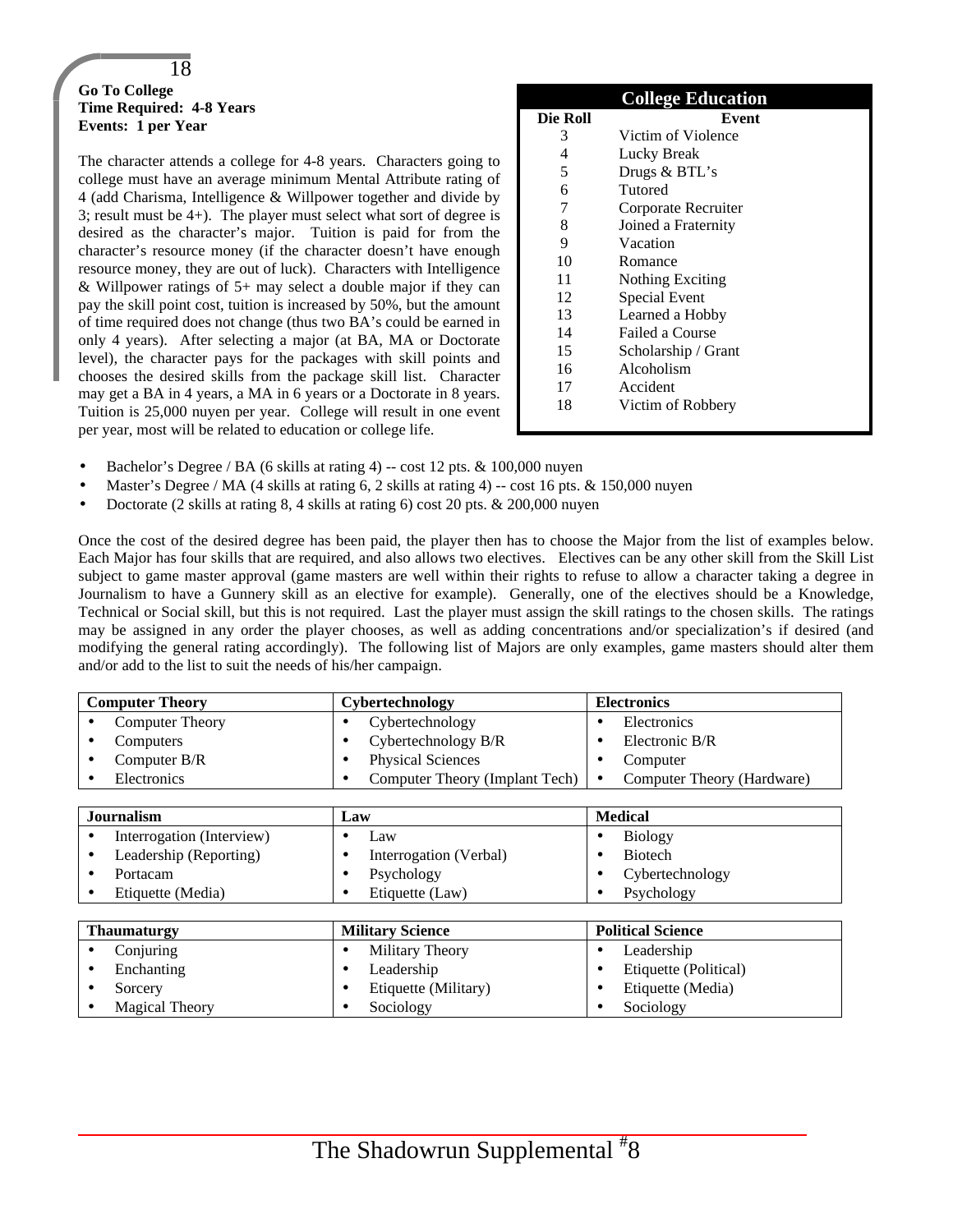#### 18 **Go To College Time Required: 4-8 Years Events: 1 per Year**

The character attends a college for 4-8 years. Characters going to college must have an average minimum Mental Attribute rating of 4 (add Charisma, Intelligence & Willpower together and divide by 3; result must be 4+). The player must select what sort of degree is desired as the character's major. Tuition is paid for from the character's resource money (if the character doesn't have enough resource money, they are out of luck). Characters with Intelligence & Willpower ratings of  $5+$  may select a double major if they can pay the skill point cost, tuition is increased by 50%, but the amount of time required does not change (thus two BA's could be earned in only 4 years). After selecting a major (at BA, MA or Doctorate level), the character pays for the packages with skill points and chooses the desired skills from the package skill list. Character may get a BA in 4 years, a MA in 6 years or a Doctorate in 8 years. Tuition is 25,000 nuyen per year. College will result in one event per year, most will be related to education or college life.

|          | <b>College Education</b> |
|----------|--------------------------|
| Die Roll | Event                    |
| 3        | Victim of Violence       |
| 4        | Lucky Break              |
| 5        | Drugs & BTL's            |
| 6        | Tutored                  |
| 7        | Corporate Recruiter      |
| 8        | Joined a Fraternity      |
| 9        | Vacation                 |
| 10       | Romance                  |
| 11       | Nothing Exciting         |
| 12       | <b>Special Event</b>     |
| 13       | Learned a Hobby          |
| 14       | Failed a Course          |
| 15       | Scholarship / Grant      |
| 16       | Alcoholism               |
| 17       | Accident                 |
| 18       | Victim of Robbery        |

- Bachelor's Degree / BA (6 skills at rating 4) -- cost 12 pts. & 100,000 nuyen
- Master's Degree / MA (4 skills at rating 6, 2 skills at rating 4) -- cost 16 pts. & 150,000 nuyen
- Doctorate (2 skills at rating 8, 4 skills at rating 6) cost 20 pts. & 200,000 nuyen

Once the cost of the desired degree has been paid, the player then has to choose the Major from the list of examples below. Each Major has four skills that are required, and also allows two electives. Electives can be any other skill from the Skill List subject to game master approval (game masters are well within their rights to refuse to allow a character taking a degree in Journalism to have a Gunnery skill as an elective for example). Generally, one of the electives should be a Knowledge, Technical or Social skill, but this is not required. Last the player must assign the skill ratings to the chosen skills. The ratings may be assigned in any order the player chooses, as well as adding concentrations and/or specialization's if desired (and modifying the general rating accordingly). The following list of Majors are only examples, game masters should alter them and/or add to the list to suit the needs of his/her campaign.

| <b>Computer Theory</b> |                        | Cybertechnology                                      | <b>Electronics</b>         |  |
|------------------------|------------------------|------------------------------------------------------|----------------------------|--|
|                        | <b>Computer Theory</b> | Cybertechnology                                      | Electronics                |  |
|                        | Computers              | Cybertechnology B/R                                  | Electronic B/R             |  |
|                        | Computer B/R           | <b>Physical Sciences</b>                             | Computer                   |  |
|                        | Electronics            | Computer Theory (Implant Tech) $\vert \bullet \vert$ | Computer Theory (Hardware) |  |

| <b>Journalism</b>         | Law                                 | <b>Medical</b>           |
|---------------------------|-------------------------------------|--------------------------|
| Interrogation (Interview) | Law                                 | <b>Biology</b>           |
| Leadership (Reporting)    | Interrogation (Verbal)<br>$\bullet$ | <b>Biotech</b>           |
| Portacam                  | Psychology                          | Cybertechnology          |
| Etiquette (Media)         | Etiquette (Law)                     | Psychology               |
|                           |                                     |                          |
| <b>Thaumaturgy</b>        | <b>Military Science</b>             | <b>Political Science</b> |
| Conjuring                 | Military Theory<br>$\bullet$        | Leadership<br>٠          |
| Enchanting                | Leadership<br>$\bullet$             | Etiquette (Political)    |
| Sorcery                   | Etiquette (Military)<br>٠           | Etiquette (Media)        |
| <b>Magical Theory</b>     | Sociology                           | Sociology                |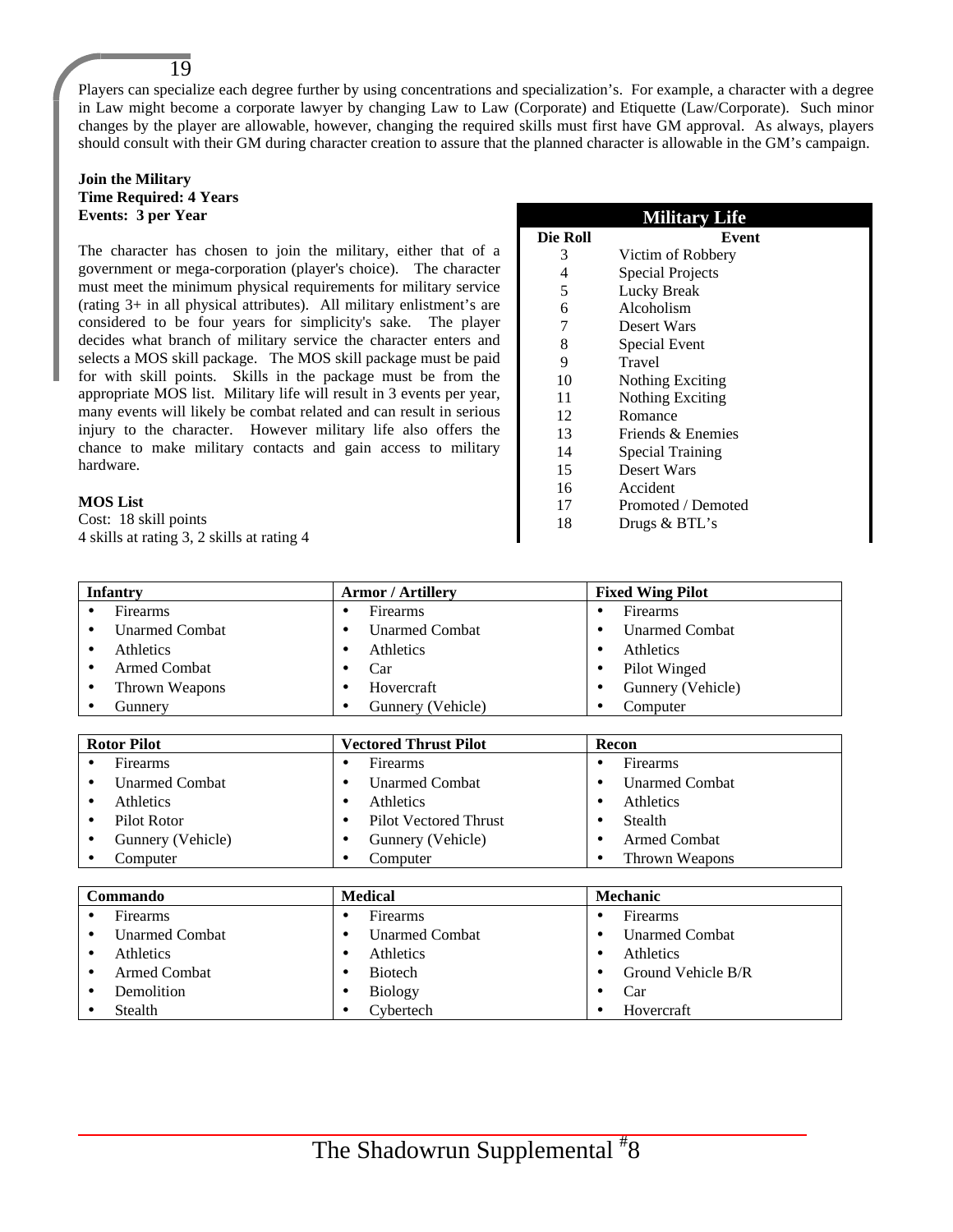Players can specialize each degree further by using concentrations and specialization's. For example, a character with a degree in Law might become a corporate lawyer by changing Law to Law (Corporate) and Etiquette (Law/Corporate). Such minor changes by the player are allowable, however, changing the required skills must first have GM approval. As always, players should consult with their GM during character creation to assure that the planned character is allowable in the GM's campaign.

#### **Join the Military Time Required: 4 Years Events: 3 per Year**

19

The character has chosen to join the military, either that of a government or mega-corporation (player's choice). The character must meet the minimum physical requirements for military service (rating 3+ in all physical attributes). All military enlistment's are considered to be four years for simplicity's sake. The player decides what branch of military service the character enters and selects a MOS skill package. The MOS skill package must be paid for with skill points. Skills in the package must be from the appropriate MOS list. Military life will result in 3 events per year, many events will likely be combat related and can result in serious injury to the character. However military life also offers the chance to make military contacts and gain access to military hardware.

#### **MOS List**

Cost: 18 skill points 4 skills at rating 3, 2 skills at rating 4

|          | <b>Military Life</b> |
|----------|----------------------|
| Die Roll | Event                |
| 3        | Victim of Robbery    |
| 4        | Special Projects     |
| 5        | Lucky Break          |
| 6        | Alcoholism           |
| 7        | Desert Wars          |
| 8        | Special Event        |
| 9        | Travel               |
| 10       | Nothing Exciting     |
| 11       | Nothing Exciting     |
| 12       | Romance              |
| 13       | Friends & Enemies    |
| 14       | Special Training     |
| 15       | Desert Wars          |
| 16       | Accident             |
| 17       | Promoted / Demoted   |
| 18       | Drugs & BTL's        |

| <b>Infantry</b>            | <b>Armor / Artillery</b>                  | <b>Fixed Wing Pilot</b> |  |  |
|----------------------------|-------------------------------------------|-------------------------|--|--|
| Firearms<br>$\bullet$      | Firearms<br>$\bullet$                     | Firearms<br>$\bullet$   |  |  |
| <b>Unarmed Combat</b><br>٠ | <b>Unarmed Combat</b><br>$\bullet$        | <b>Unarmed Combat</b>   |  |  |
| Athletics<br>٠             | Athletics<br>٠                            | Athletics               |  |  |
| <b>Armed Combat</b><br>٠   | Car<br>٠                                  | Pilot Winged            |  |  |
| Thrown Weapons<br>٠        | Hovercraft<br>٠                           | Gunnery (Vehicle)<br>٠  |  |  |
| Gunnery<br>٠               | Gunnery (Vehicle)<br>٠                    | Computer<br>٠           |  |  |
|                            |                                           |                         |  |  |
| <b>Rotor Pilot</b>         | <b>Vectored Thrust Pilot</b>              | Recon                   |  |  |
| Firearms                   | Firearms<br>$\bullet$                     | Firearms<br>٠           |  |  |
| <b>Unarmed Combat</b><br>٠ | <b>Unarmed Combat</b><br>$\bullet$        | <b>Unarmed Combat</b>   |  |  |
| Athletics<br>$\bullet$     | Athletics<br>$\bullet$                    | Athletics               |  |  |
| Pilot Rotor<br>٠           | <b>Pilot Vectored Thrust</b><br>$\bullet$ | Stealth                 |  |  |
| Gunnery (Vehicle)<br>٠     | Gunnery (Vehicle)<br>٠                    | <b>Armed Combat</b>     |  |  |
| Computer                   | Computer<br>٠                             | Thrown Weapons<br>٠     |  |  |
|                            |                                           |                         |  |  |
| Commando                   | <b>Medical</b>                            | Mechanic                |  |  |
| Firearms                   | Firearms<br>٠                             | Firearms<br>٠           |  |  |
| <b>Unarmed Combat</b><br>٠ | <b>Unarmed Combat</b><br>$\bullet$        | <b>Unarmed Combat</b>   |  |  |

| onamoa comoa        | onamoa comoa   | onamoa comoa       |
|---------------------|----------------|--------------------|
| Athletics           | Athletics      | Athletics          |
| <b>Armed Combat</b> | <b>Biotech</b> | Ground Vehicle B/R |
| Demolition          | <b>Biology</b> | Car                |
| Stealth             | ∑vbertech      | Hovercraft         |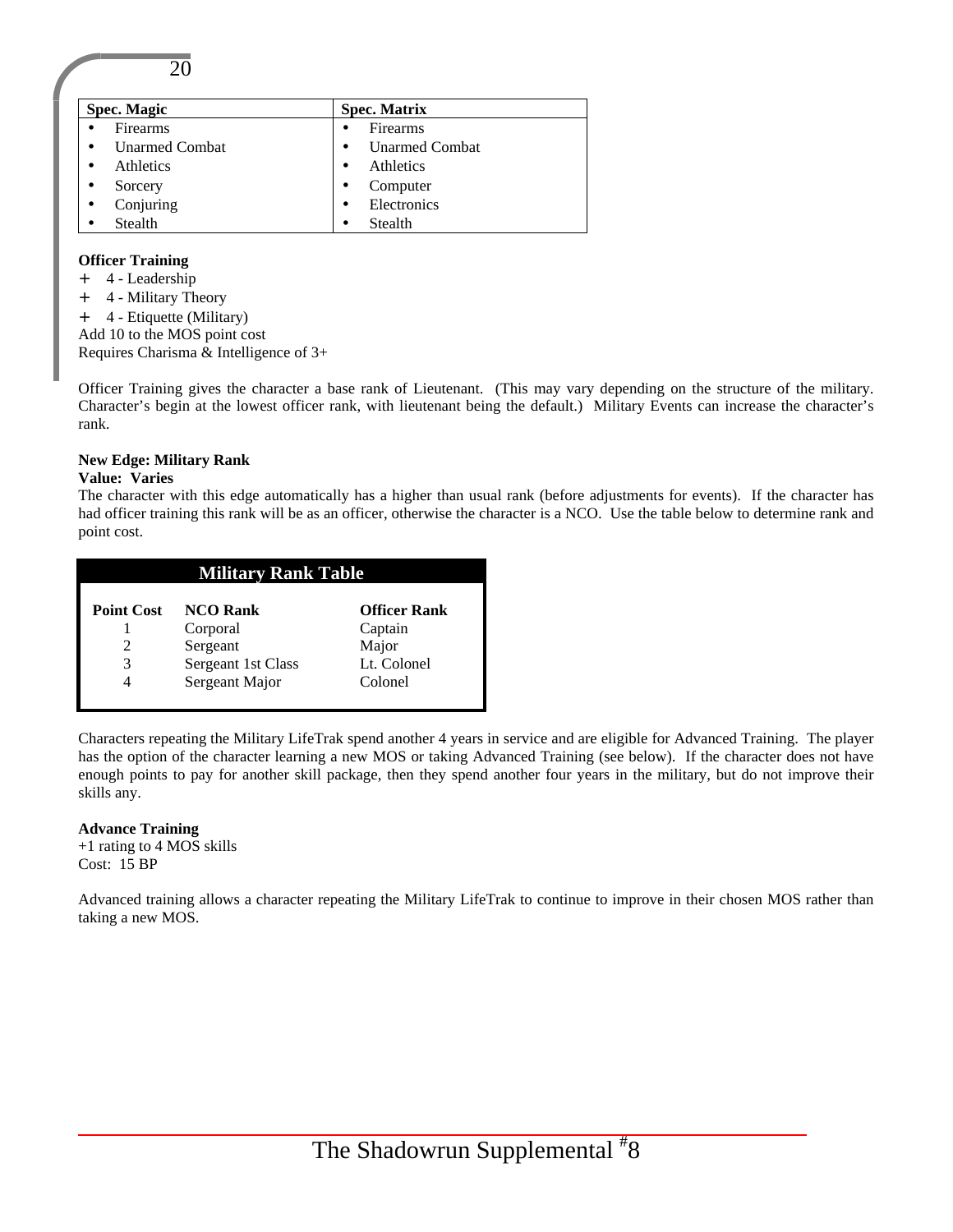20

| <b>Spec. Magic</b>                 | <b>Spec. Matrix</b>   |  |
|------------------------------------|-----------------------|--|
| <b>Firearms</b>                    | <b>Firearms</b>       |  |
| <b>Unarmed Combat</b><br>$\bullet$ | <b>Unarmed Combat</b> |  |
| <b>Athletics</b><br>$\bullet$      | Athletics             |  |
| Sorcery<br>$\bullet$               | Computer              |  |
| Conjuring<br>$\bullet$             | Electronics           |  |
| <b>Stealth</b>                     | Stealth<br>٠          |  |

#### **Officer Training**

- + 4 Leadership
- + 4 Military Theory
- + 4 Etiquette (Military)
- Add 10 to the MOS point cost

Requires Charisma & Intelligence of 3+

Officer Training gives the character a base rank of Lieutenant. (This may vary depending on the structure of the military. Character's begin at the lowest officer rank, with lieutenant being the default.) Military Events can increase the character's rank.

#### **New Edge: Military Rank**

#### **Value: Varies**

The character with this edge automatically has a higher than usual rank (before adjustments for events). If the character has had officer training this rank will be as an officer, otherwise the character is a NCO. Use the table below to determine rank and point cost.

| <b>Military Rank Table</b> |                    |                     |  |  |
|----------------------------|--------------------|---------------------|--|--|
| <b>Point Cost</b>          | <b>NCO Rank</b>    | <b>Officer Rank</b> |  |  |
|                            | Corporal           | Captain             |  |  |
|                            | Sergeant           | Major               |  |  |
| 3                          | Sergeant 1st Class | Lt. Colonel         |  |  |
|                            | Sergeant Major     | Colonel             |  |  |
|                            |                    |                     |  |  |

Characters repeating the Military LifeTrak spend another 4 years in service and are eligible for Advanced Training. The player has the option of the character learning a new MOS or taking Advanced Training (see below). If the character does not have enough points to pay for another skill package, then they spend another four years in the military, but do not improve their skills any.

#### **Advance Training**

+1 rating to 4 MOS skills Cost: 15 BP

Advanced training allows a character repeating the Military LifeTrak to continue to improve in their chosen MOS rather than taking a new MOS.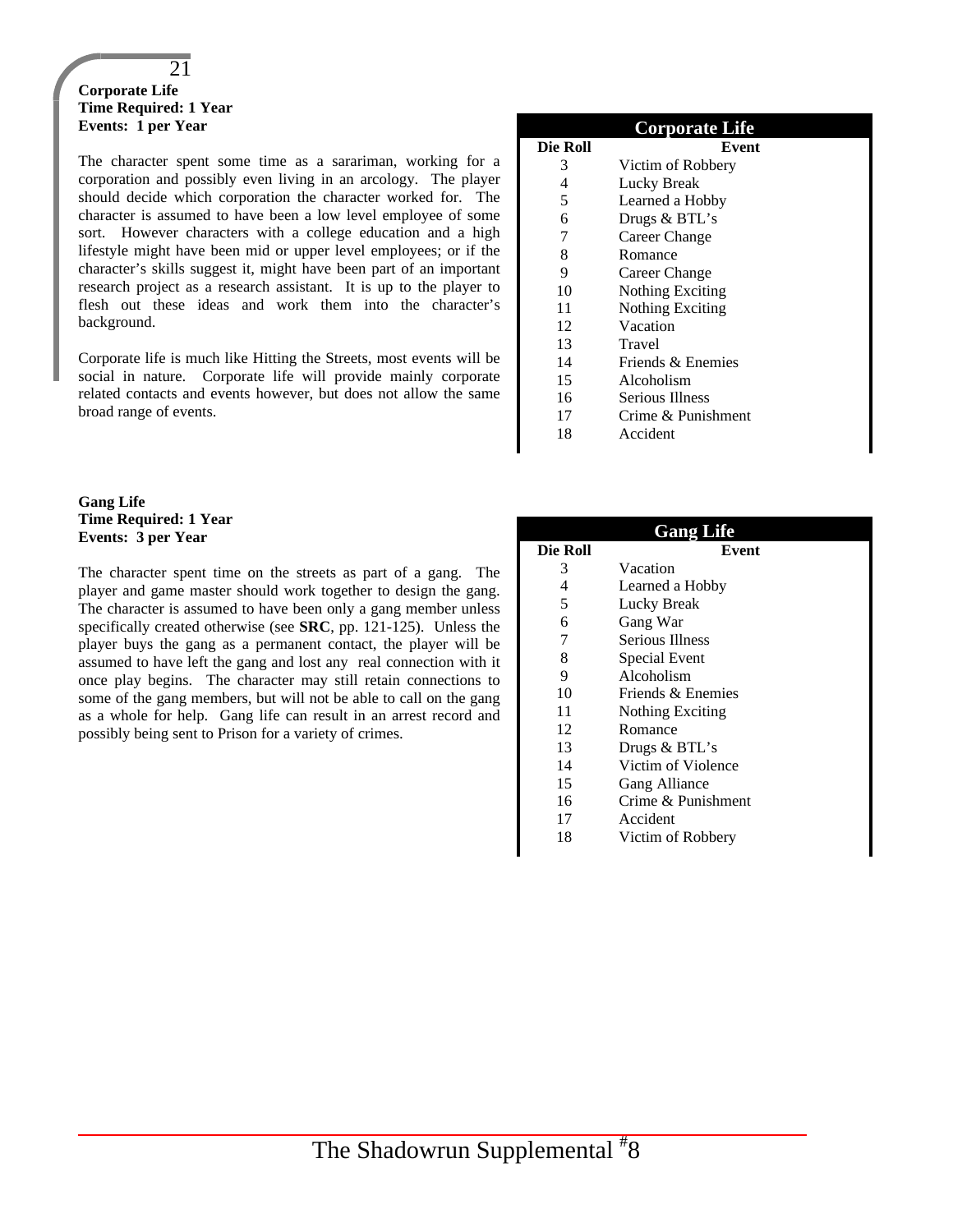#### 21 **Corporate Life Time Required: 1 Year Events: 1 per Year**

The character spent some time as a sarariman, working for a corporation and possibly even living in an arcology. The player should decide which corporation the character worked for. The character is assumed to have been a low level employee of some sort. However characters with a college education and a high lifestyle might have been mid or upper level employees; or if the character's skills suggest it, might have been part of an important research project as a research assistant. It is up to the player to flesh out these ideas and work them into the character's background.

Corporate life is much like Hitting the Streets, most events will be social in nature. Corporate life will provide mainly corporate related contacts and events however, but does not allow the same broad range of events.

#### **Gang Life Time Required: 1 Year Events: 3 per Year**

The character spent time on the streets as part of a gang. The player and game master should work together to design the gang. The character is assumed to have been only a gang member unless specifically created otherwise (see **SRC**, pp. 121-125). Unless the player buys the gang as a permanent contact, the player will be assumed to have left the gang and lost any real connection with it once play begins. The character may still retain connections to some of the gang members, but will not be able to call on the gang as a whole for help. Gang life can result in an arrest record and possibly being sent to Prison for a variety of crimes.

|          | <b>Corporate Life</b>   |
|----------|-------------------------|
| Die Roll | Event                   |
| 3        | Victim of Robbery       |
| 4        | Lucky Break             |
| 5        | Learned a Hobby         |
| 6        | Drugs & BTL's           |
| 7        | Career Change           |
| 8        | Romance                 |
| 9        | Career Change           |
| 10       | <b>Nothing Exciting</b> |
| 11       | Nothing Exciting        |
| 12       | Vacation                |
| 13       | Travel                  |
| 14       | Friends & Enemies       |
| 15       | Alcoholism              |
| 16       | Serious Illness         |
| 17       | Crime & Punishment      |

18 Accident

|          | <b>Gang Life</b>       |
|----------|------------------------|
| Die Roll | Event                  |
| 3        | Vacation               |
| 4        | Learned a Hobby        |
| 5        | Lucky Break            |
| 6        | Gang War               |
| 7        | <b>Serious Illness</b> |
| 8        | Special Event          |
| 9        | Alcoholism             |
| 10       | Friends & Enemies      |
| 11       | Nothing Exciting       |
| 12       | Romance                |
| 13       | Drugs & BTL's          |
| 14       | Victim of Violence     |
| 15       | Gang Alliance          |
| 16       | Crime & Punishment     |
| 17       | Accident               |
| 18       | Victim of Robbery      |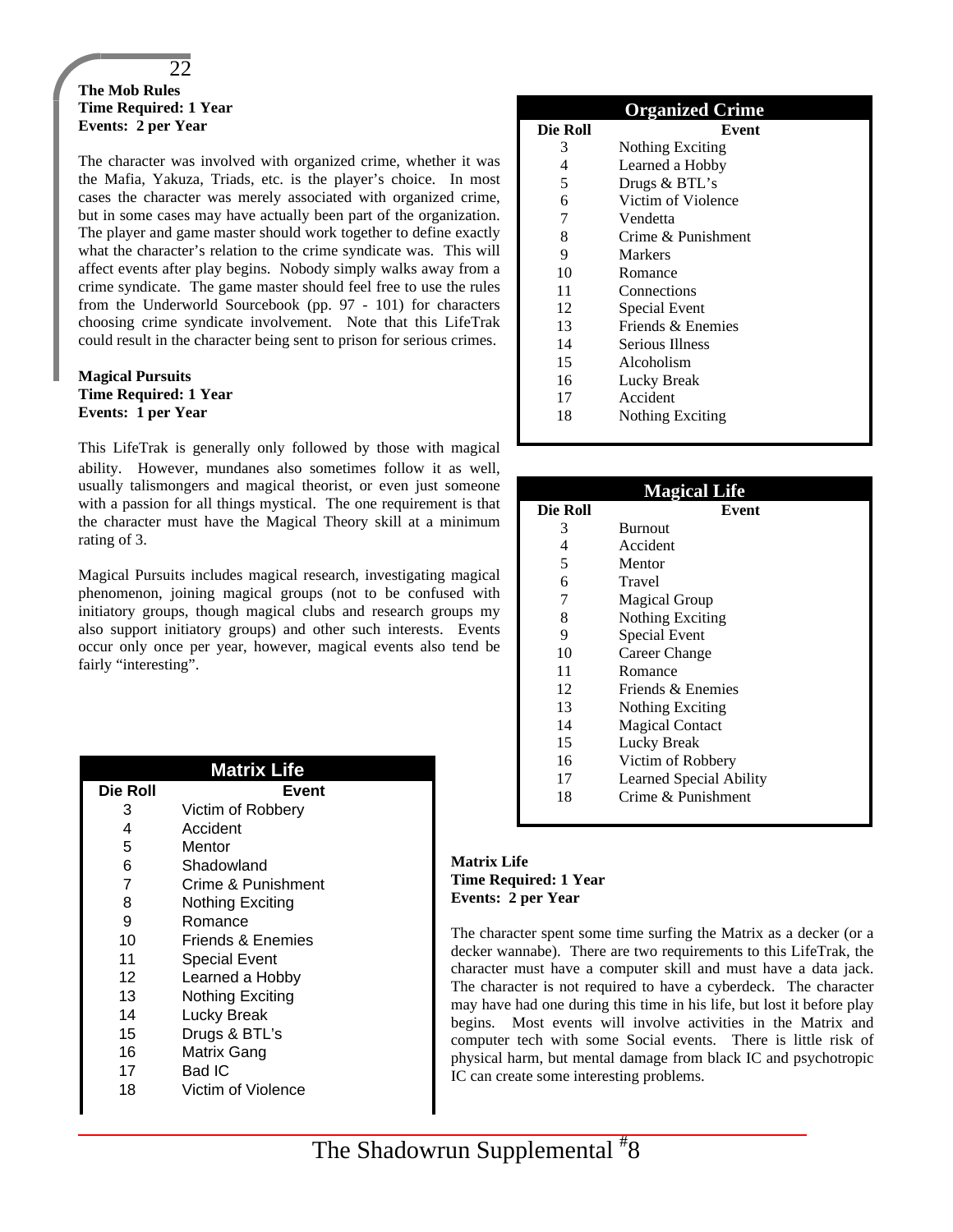#### 22

#### **The Mob Rules Time Required: 1 Year Events: 2 per Year**

The character was involved with organized crime, whether it was the Mafia, Yakuza, Triads, etc. is the player's choice. In most cases the character was merely associated with organized crime, but in some cases may have actually been part of the organization. The player and game master should work together to define exactly what the character's relation to the crime syndicate was. This will affect events after play begins. Nobody simply walks away from a crime syndicate. The game master should feel free to use the rules from the Underworld Sourcebook (pp. 97 - 101) for characters choosing crime syndicate involvement. Note that this LifeTrak could result in the character being sent to prison for serious crimes.

#### **Magical Pursuits Time Required: 1 Year Events: 1 per Year**

This LifeTrak is generally only followed by those with magical ability. However, mundanes also sometimes follow it as well, usually talismongers and magical theorist, or even just someone with a passion for all things mystical. The one requirement is that the character must have the Magical Theory skill at a minimum rating of 3.

Magical Pursuits includes magical research, investigating magical phenomenon, joining magical groups (not to be confused with initiatory groups, though magical clubs and research groups my also support initiatory groups) and other such interests. Events occur only once per year, however, magical events also tend be fairly "interesting".

|          | <b>Matrix Life</b>   |
|----------|----------------------|
| Die Roll | Event                |
| З        | Victim of Robbery    |
| 4        | Accident             |
| 5        | Mentor               |
| 6        | Shadowland           |
| 7        | Crime & Punishment   |
| 8        | Nothing Exciting     |
| 9        | Romance              |
| 10       | Friends & Enemies    |
| 11       | <b>Special Event</b> |
| 12       | Learned a Hobby      |
| 13       | Nothing Exciting     |
| 14       | Lucky Break          |
| 15       | Drugs & BTL's        |
| 16       | Matrix Gang          |
| 17       | Bad IC               |
| 18       | Victim of Violence   |

| <b>Organized Crime</b> |                    |  |
|------------------------|--------------------|--|
| Die Roll               | Event              |  |
| 3                      | Nothing Exciting   |  |
| 4                      | Learned a Hobby    |  |
| 5                      | Drugs & BTL's      |  |
| 6                      | Victim of Violence |  |
| 7                      | Vendetta           |  |
| 8                      | Crime & Punishment |  |
| 9                      | Markers            |  |
| 10                     | Romance            |  |
| 11                     | Connections        |  |
| 12                     | Special Event      |  |
| 13                     | Friends & Enemies  |  |
| 14                     | Serious Illness    |  |
| 15                     | Alcoholism         |  |
| 16                     | Lucky Break        |  |
| 17                     | Accident           |  |
| 18                     | Nothing Exciting   |  |

| <b>Magical Life</b> |                         |  |
|---------------------|-------------------------|--|
| Die Roll            | Event                   |  |
| 3                   | <b>Burnout</b>          |  |
| 4                   | Accident                |  |
| 5                   | Mentor                  |  |
| 6                   | Travel                  |  |
| 7                   | <b>Magical Group</b>    |  |
| 8                   | <b>Nothing Exciting</b> |  |
| 9                   | Special Event           |  |
| 10                  | Career Change           |  |
| 11                  | Romance                 |  |
| 12                  | Friends & Enemies       |  |
| 13                  | Nothing Exciting        |  |
| 14                  | <b>Magical Contact</b>  |  |
| 15                  | Lucky Break             |  |
| 16                  | Victim of Robbery       |  |
| 17                  | Learned Special Ability |  |
| 18                  | Crime & Punishment      |  |
|                     |                         |  |

#### **Matrix Life Time Required: 1 Year Events: 2 per Year**

The character spent some time surfing the Matrix as a decker (or a decker wannabe). There are two requirements to this LifeTrak, the character must have a computer skill and must have a data jack. The character is not required to have a cyberdeck. The character may have had one during this time in his life, but lost it before play begins. Most events will involve activities in the Matrix and computer tech with some Social events. There is little risk of physical harm, but mental damage from black IC and psychotropic IC can create some interesting problems.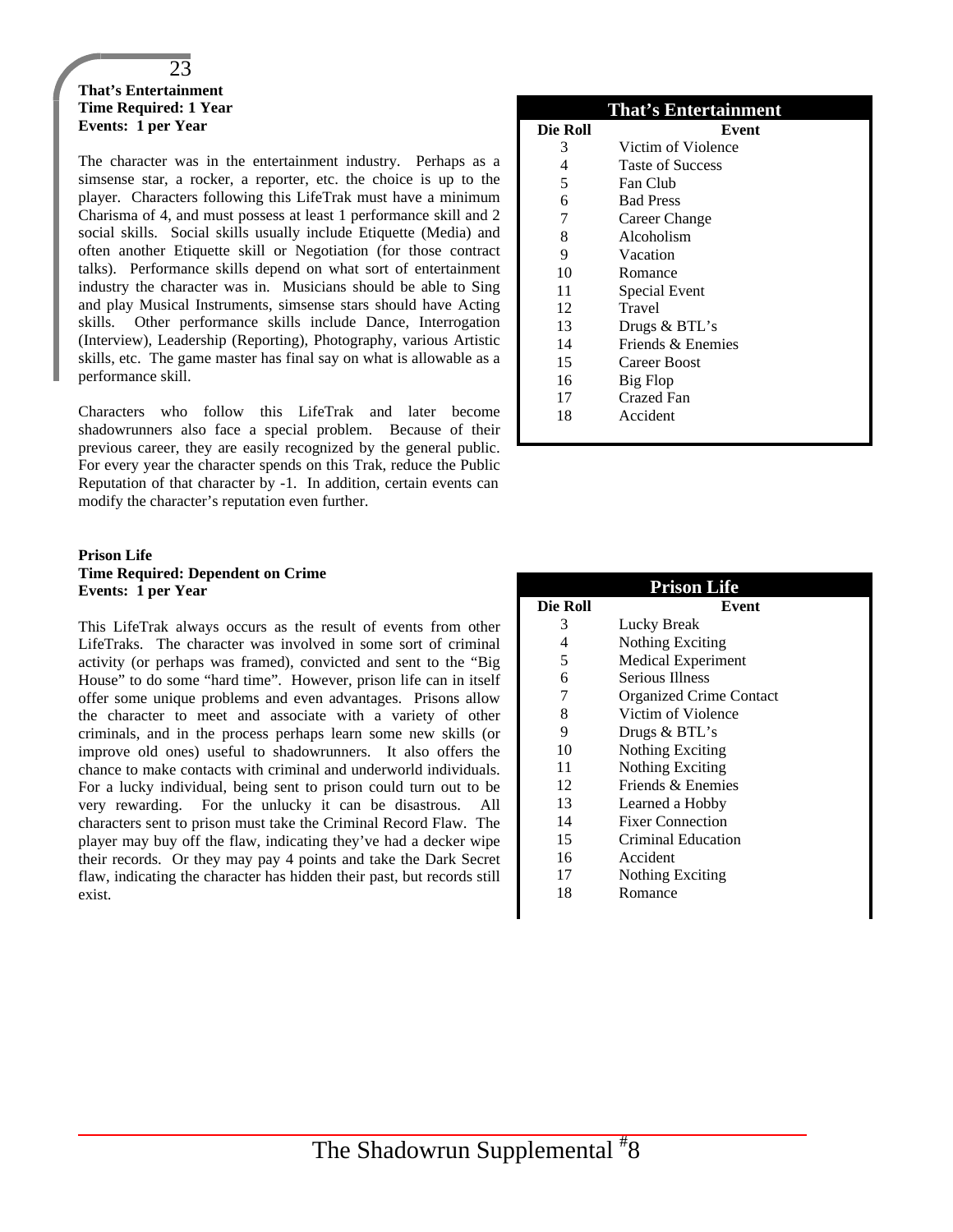#### 23 **That's Entertainment Time Required: 1 Year Events: 1 per Year**

The character was in the entertainment industry. Perhaps as a simsense star, a rocker, a reporter, etc. the choice is up to the player. Characters following this LifeTrak must have a minimum Charisma of 4, and must possess at least 1 performance skill and 2 social skills. Social skills usually include Etiquette (Media) and often another Etiquette skill or Negotiation (for those contract talks). Performance skills depend on what sort of entertainment industry the character was in. Musicians should be able to Sing and play Musical Instruments, simsense stars should have Acting skills. Other performance skills include Dance, Interrogation (Interview), Leadership (Reporting), Photography, various Artistic skills, etc. The game master has final say on what is allowable as a performance skill.

Characters who follow this LifeTrak and later become shadowrunners also face a special problem. Because of their previous career, they are easily recognized by the general public. For every year the character spends on this Trak, reduce the Public Reputation of that character by -1. In addition, certain events can modify the character's reputation even further.

#### **Prison Life Time Required: Dependent on Crime Events: 1 per Year**

This LifeTrak always occurs as the result of events from other LifeTraks. The character was involved in some sort of criminal activity (or perhaps was framed), convicted and sent to the "Big House" to do some "hard time". However, prison life can in itself offer some unique problems and even advantages. Prisons allow the character to meet and associate with a variety of other criminals, and in the process perhaps learn some new skills (or improve old ones) useful to shadowrunners. It also offers the chance to make contacts with criminal and underworld individuals. For a lucky individual, being sent to prison could turn out to be very rewarding. For the unlucky it can be disastrous. All characters sent to prison must take the Criminal Record Flaw. The player may buy off the flaw, indicating they've had a decker wipe their records. Or they may pay 4 points and take the Dark Secret flaw, indicating the character has hidden their past, but records still exist.

| <b>That's Entertainment</b> |                         |  |
|-----------------------------|-------------------------|--|
| Die Roll                    | Event                   |  |
| 3                           | Victim of Violence      |  |
| 4                           | <b>Taste of Success</b> |  |
| 5                           | Fan Club                |  |
| 6                           | <b>Bad Press</b>        |  |
| 7                           | Career Change           |  |
| 8                           | Alcoholism              |  |
| 9                           | Vacation                |  |
| 10                          | Romance                 |  |
| 11                          | <b>Special Event</b>    |  |
| 12                          | Travel                  |  |
| 13                          | Drugs & BTL's           |  |
| 14                          | Friends & Enemies       |  |
| 15                          | Career Boost            |  |
| 16                          | Big Flop                |  |
| 17                          | Crazed Fan              |  |
| 18                          | Accident                |  |
|                             |                         |  |

| <b>Prison Life</b> |                                |  |
|--------------------|--------------------------------|--|
| Die Roll           | Event                          |  |
| 3                  | Lucky Break                    |  |
| 4                  | Nothing Exciting               |  |
| 5                  | <b>Medical Experiment</b>      |  |
| 6                  | Serious Illness                |  |
| 7                  | <b>Organized Crime Contact</b> |  |
| 8                  | Victim of Violence             |  |
| 9                  | Drugs & BTL's                  |  |
| 10                 | Nothing Exciting               |  |
| 11                 | <b>Nothing Exciting</b>        |  |
| 12                 | Friends & Enemies              |  |
| 13                 | Learned a Hobby                |  |
| 14                 | <b>Fixer Connection</b>        |  |
| 15                 | Criminal Education             |  |
| 16                 | Accident                       |  |
| 17                 | Nothing Exciting               |  |
| 18                 | Romance                        |  |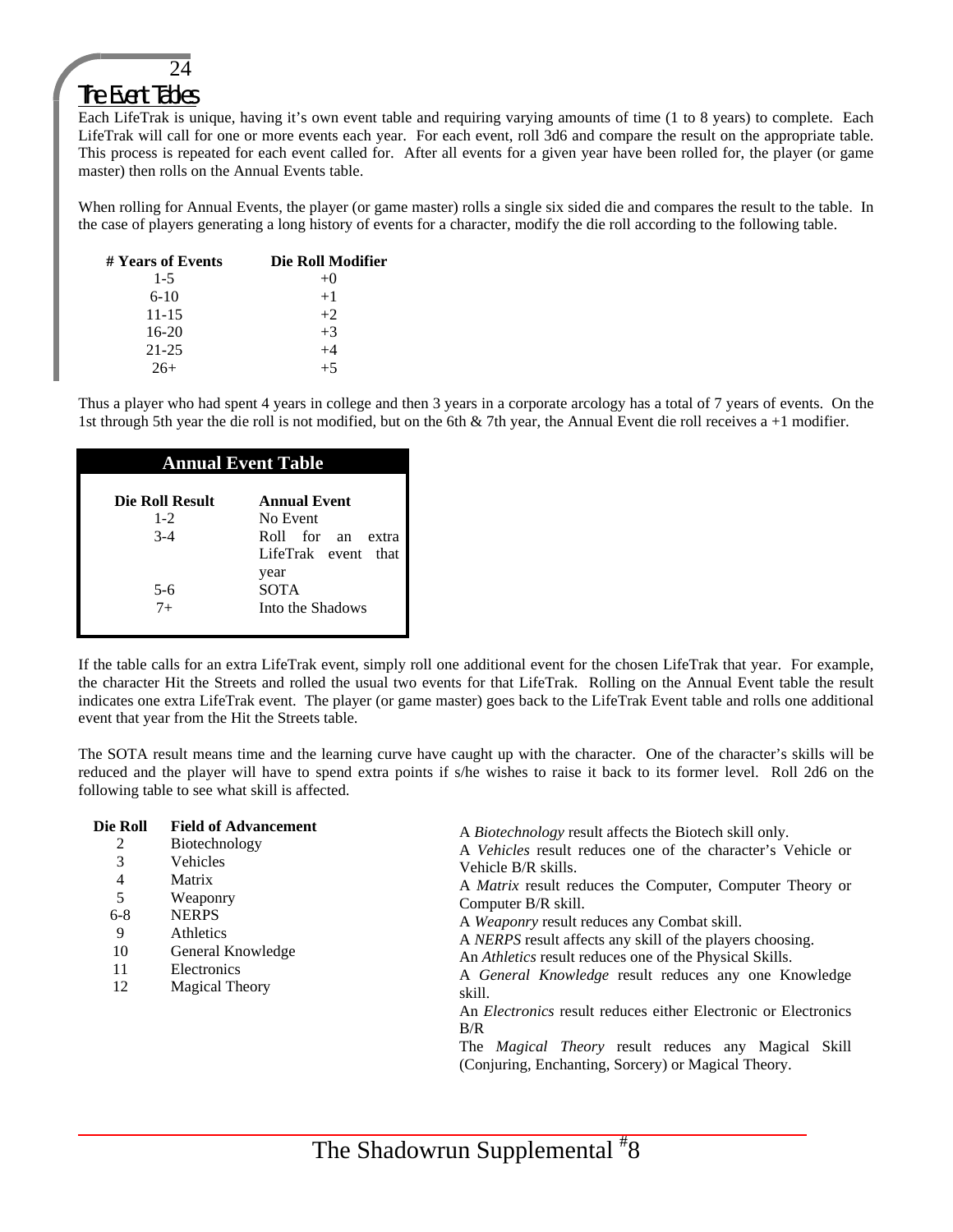## 24

## The Event Tables

Each LifeTrak is unique, having it's own event table and requiring varying amounts of time (1 to 8 years) to complete. Each LifeTrak will call for one or more events each year. For each event, roll 3d6 and compare the result on the appropriate table. This process is repeated for each event called for. After all events for a given year have been rolled for, the player (or game master) then rolls on the Annual Events table.

When rolling for Annual Events, the player (or game master) rolls a single six sided die and compares the result to the table. In the case of players generating a long history of events for a character, modify the die roll according to the following table.

| # Years of Events | Die Roll Modifier |
|-------------------|-------------------|
| $1 - 5$           | $+()$             |
| $6-10$            | $+1$              |
| $11 - 15$         | $+2$              |
| $16-20$           | $+3$              |
| $21 - 25$         | $+4$              |
| $26+$             | $+5$              |

Thus a player who had spent 4 years in college and then 3 years in a corporate arcology has a total of 7 years of events. On the 1st through 5th year the die roll is not modified, but on the 6th & 7th year, the Annual Event die roll receives a +1 modifier.

#### **Annual Event Table**

| Die Roll Result | <b>Annual Event</b>  |
|-----------------|----------------------|
| $1 - 2$         | No Event             |
| $3-4$           | Roll for an<br>extra |
|                 | LifeTrak event that  |
|                 | year                 |
| 5-6             | <b>SOTA</b>          |
| $7^{+}$         | Into the Shadows     |

If the table calls for an extra LifeTrak event, simply roll one additional event for the chosen LifeTrak that year. For example, the character Hit the Streets and rolled the usual two events for that LifeTrak. Rolling on the Annual Event table the result indicates one extra LifeTrak event. The player (or game master) goes back to the LifeTrak Event table and rolls one additional event that year from the Hit the Streets table.

The SOTA result means time and the learning curve have caught up with the character. One of the character's skills will be reduced and the player will have to spend extra points if s/he wishes to raise it back to its former level. Roll 2d6 on the following table to see what skill is affected.

| Die Roll | <b>Field of Advancement</b> | A <i>Biotechnology</i> result affects the Biotech skill only.         |
|----------|-----------------------------|-----------------------------------------------------------------------|
| 2        | Biotechnology               | A <i>Vehicles</i> result reduces one of the character's Vehicle or    |
| 3        | <b>Vehicles</b>             | Vehicle B/R skills.                                                   |
| 4        | Matrix                      | A <i>Matrix</i> result reduces the Computer, Computer Theory or       |
| 5        | Weaponry                    | Computer B/R skill.                                                   |
| $6 - 8$  | <b>NERPS</b>                | A <i>Weaponry</i> result reduces any Combat skill.                    |
| 9        | <b>Athletics</b>            | A <i>NERPS</i> result affects any skill of the players choosing.      |
| 10       | General Knowledge           | An <i>Athletics</i> result reduces one of the Physical Skills.        |
| 11       | Electronics                 | A General Knowledge result reduces any one Knowledge                  |
| 12       | <b>Magical Theory</b>       | skill.                                                                |
|          |                             | An <i>Electronics</i> result reduces either Electronic or Electronics |
|          |                             | B/R                                                                   |
|          |                             | The <i>Magical Theory</i> result reduces any Magical Skill            |
|          |                             | (Conjuring, Enchanting, Sorcery) or Magical Theory.                   |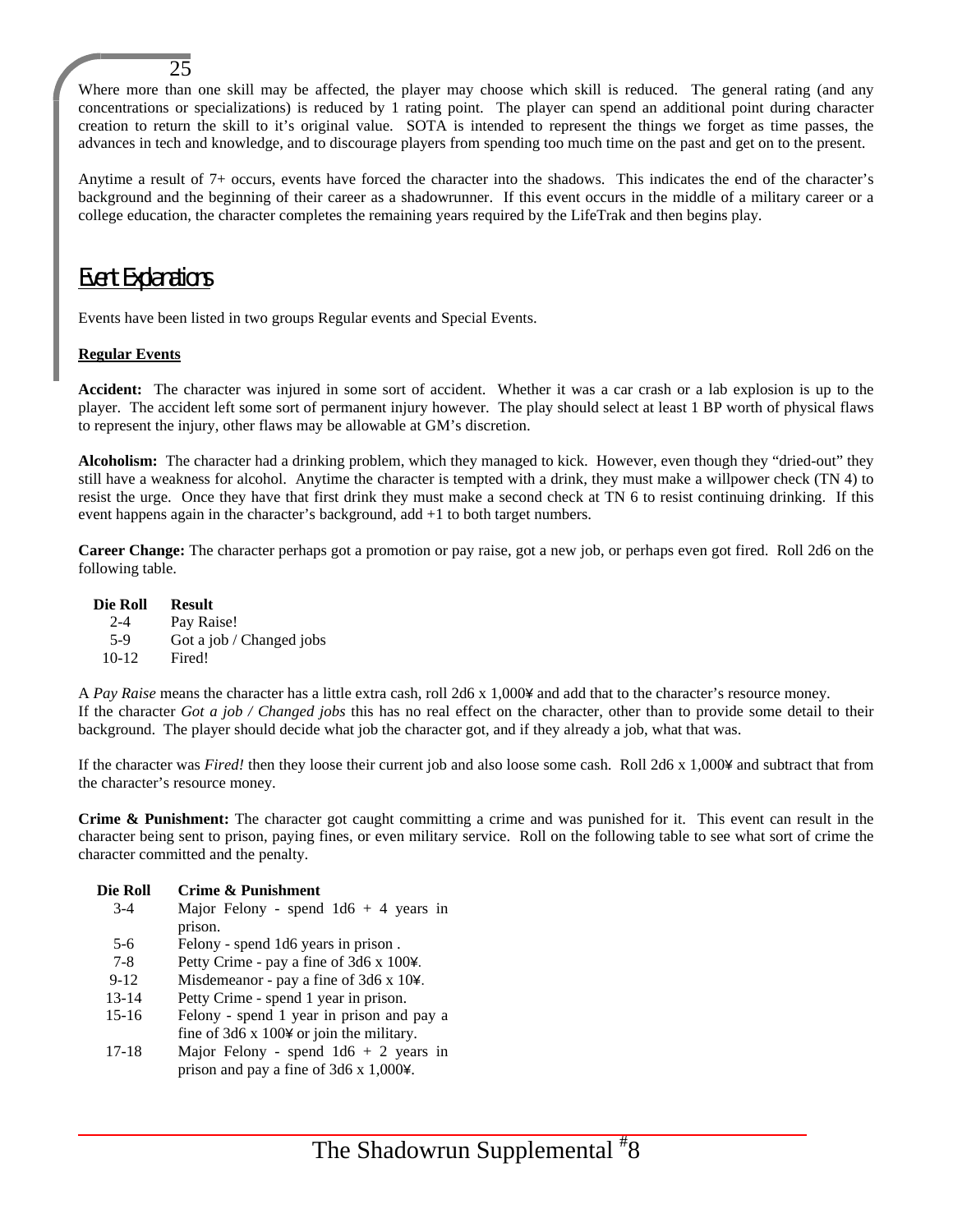Where more than one skill may be affected, the player may choose which skill is reduced. The general rating (and any concentrations or specializations) is reduced by 1 rating point. The player can spend an additional point during character creation to return the skill to it's original value. SOTA is intended to represent the things we forget as time passes, the advances in tech and knowledge, and to discourage players from spending too much time on the past and get on to the present.

Anytime a result of 7+ occurs, events have forced the character into the shadows. This indicates the end of the character's background and the beginning of their career as a shadowrunner. If this event occurs in the middle of a military career or a college education, the character completes the remaining years required by the LifeTrak and then begins play.

## Event Explanations

25

Events have been listed in two groups Regular events and Special Events.

#### **Regular Events**

**Accident:** The character was injured in some sort of accident. Whether it was a car crash or a lab explosion is up to the player. The accident left some sort of permanent injury however. The play should select at least 1 BP worth of physical flaws to represent the injury, other flaws may be allowable at GM's discretion.

**Alcoholism:** The character had a drinking problem, which they managed to kick. However, even though they "dried-out" they still have a weakness for alcohol. Anytime the character is tempted with a drink, they must make a willpower check (TN 4) to resist the urge. Once they have that first drink they must make a second check at TN 6 to resist continuing drinking. If this event happens again in the character's background, add +1 to both target numbers.

**Career Change:** The character perhaps got a promotion or pay raise, got a new job, or perhaps even got fired. Roll 2d6 on the following table.

**Die Roll Result** 2-4 Pay Raise! 5-9 Got a job / Changed jobs<br>10-12 Fired! Fired!

A *Pay Raise* means the character has a little extra cash, roll 2d6 x 1,000¥ and add that to the character's resource money. If the character *Got a job / Changed jobs* this has no real effect on the character, other than to provide some detail to their background. The player should decide what job the character got, and if they already a job, what that was.

If the character was *Fired!* then they loose their current job and also loose some cash. Roll 2d6 x 1,000¥ and subtract that from the character's resource money.

**Crime & Punishment:** The character got caught committing a crime and was punished for it. This event can result in the character being sent to prison, paying fines, or even military service. Roll on the following table to see what sort of crime the character committed and the penalty.

| Die Roll  | Crime & Punishment                              |
|-----------|-------------------------------------------------|
| $3 - 4$   | Major Felony - spend $1d6 + 4$ years in         |
|           | prison.                                         |
| 5-6       | Felony - spend 1d6 years in prison.             |
| $7 - 8$   | Petty Crime - pay a fine of 3d6 x 100¥.         |
| $9 - 12$  | Misdemeanor - pay a fine of 3d6 x 10¥.          |
| $13 - 14$ | Petty Crime - spend 1 year in prison.           |
| $15 - 16$ | Felony - spend 1 year in prison and pay a       |
|           | fine of $3d6 \times 1004$ or join the military. |
| $17 - 18$ | Major Felony - spend $1d6 + 2$ years in         |
|           | prison and pay a fine of $3d6 \times 1,0004$ .  |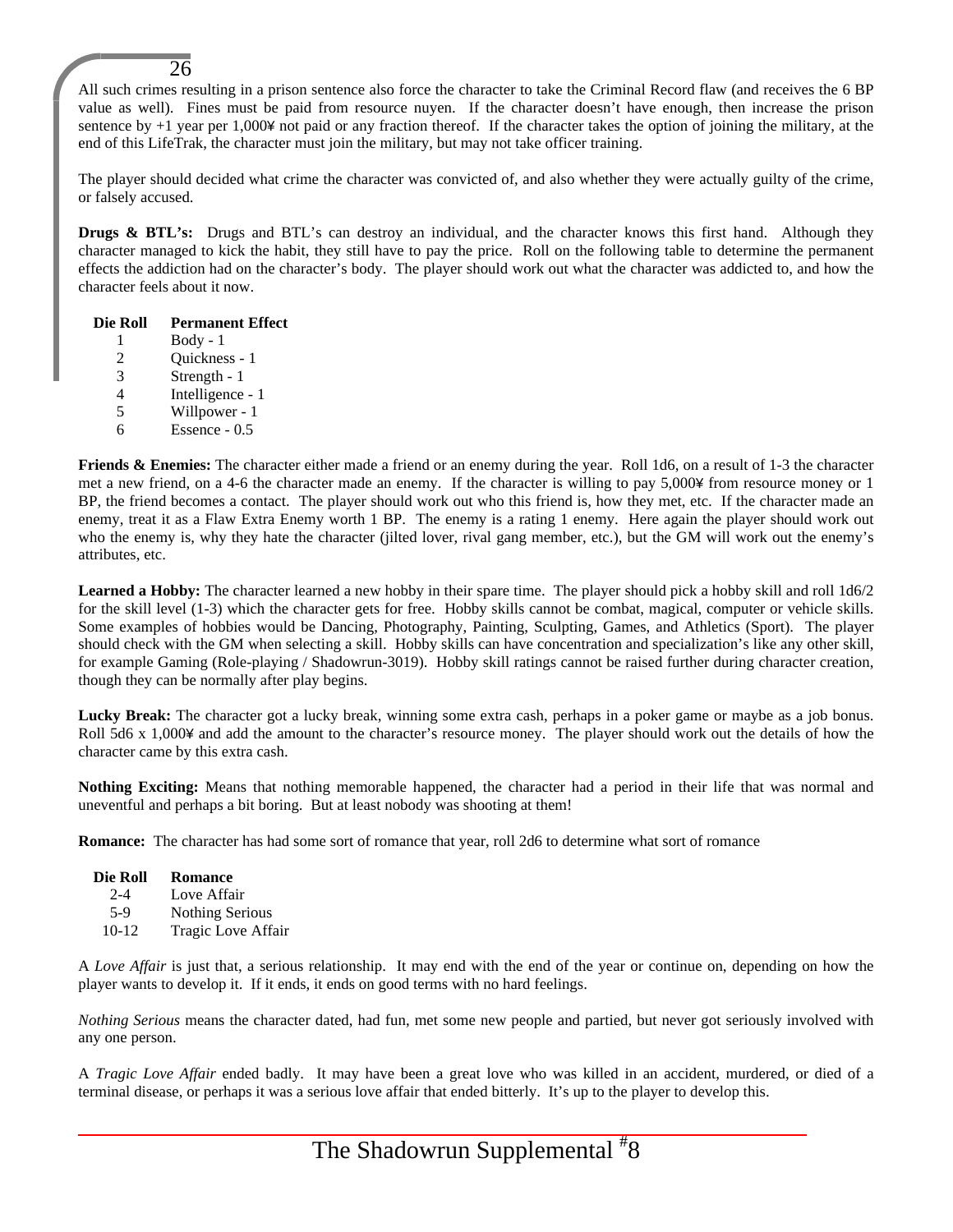All such crimes resulting in a prison sentence also force the character to take the Criminal Record flaw (and receives the 6 BP value as well). Fines must be paid from resource nuyen. If the character doesn't have enough, then increase the prison sentence by +1 year per 1,000¥ not paid or any fraction thereof. If the character takes the option of joining the military, at the end of this LifeTrak, the character must join the military, but may not take officer training.

The player should decided what crime the character was convicted of, and also whether they were actually guilty of the crime, or falsely accused.

**Drugs & BTL's:** Drugs and BTL's can destroy an individual, and the character knows this first hand. Although they character managed to kick the habit, they still have to pay the price. Roll on the following table to determine the permanent effects the addiction had on the character's body. The player should work out what the character was addicted to, and how the character feels about it now.

#### **Die Roll Permanent Effect**

26

- 1 Body 1
- 2 Quickness 1
- 3 Strength 1
- 4 Intelligence 1
- 5 Willpower 1
- 6 Essence 0.5

**Friends & Enemies:** The character either made a friend or an enemy during the year. Roll 1d6, on a result of 1-3 the character met a new friend, on a 4-6 the character made an enemy. If the character is willing to pay 5,000¥ from resource money or 1 BP, the friend becomes a contact. The player should work out who this friend is, how they met, etc. If the character made an enemy, treat it as a Flaw Extra Enemy worth 1 BP. The enemy is a rating 1 enemy. Here again the player should work out who the enemy is, why they hate the character (jilted lover, rival gang member, etc.), but the GM will work out the enemy's attributes, etc.

**Learned a Hobby:** The character learned a new hobby in their spare time. The player should pick a hobby skill and roll 1d6/2 for the skill level (1-3) which the character gets for free. Hobby skills cannot be combat, magical, computer or vehicle skills. Some examples of hobbies would be Dancing, Photography, Painting, Sculpting, Games, and Athletics (Sport). The player should check with the GM when selecting a skill. Hobby skills can have concentration and specialization's like any other skill, for example Gaming (Role-playing / Shadowrun-3019). Hobby skill ratings cannot be raised further during character creation, though they can be normally after play begins.

Lucky Break: The character got a lucky break, winning some extra cash, perhaps in a poker game or maybe as a job bonus. Roll 5d6 x 1,000¥ and add the amount to the character's resource money. The player should work out the details of how the character came by this extra cash.

**Nothing Exciting:** Means that nothing memorable happened, the character had a period in their life that was normal and uneventful and perhaps a bit boring. But at least nobody was shooting at them!

**Romance:** The character has had some sort of romance that year, roll 2d6 to determine what sort of romance

#### **Die Roll Romance**

- 2-4 Love Affair
- 5-9 Nothing Serious
- 10-12 Tragic Love Affair

A *Love Affair* is just that, a serious relationship. It may end with the end of the year or continue on, depending on how the player wants to develop it. If it ends, it ends on good terms with no hard feelings.

*Nothing Serious* means the character dated, had fun, met some new people and partied, but never got seriously involved with any one person.

A *Tragic Love Affair* ended badly. It may have been a great love who was killed in an accident, murdered, or died of a terminal disease, or perhaps it was a serious love affair that ended bitterly. It's up to the player to develop this.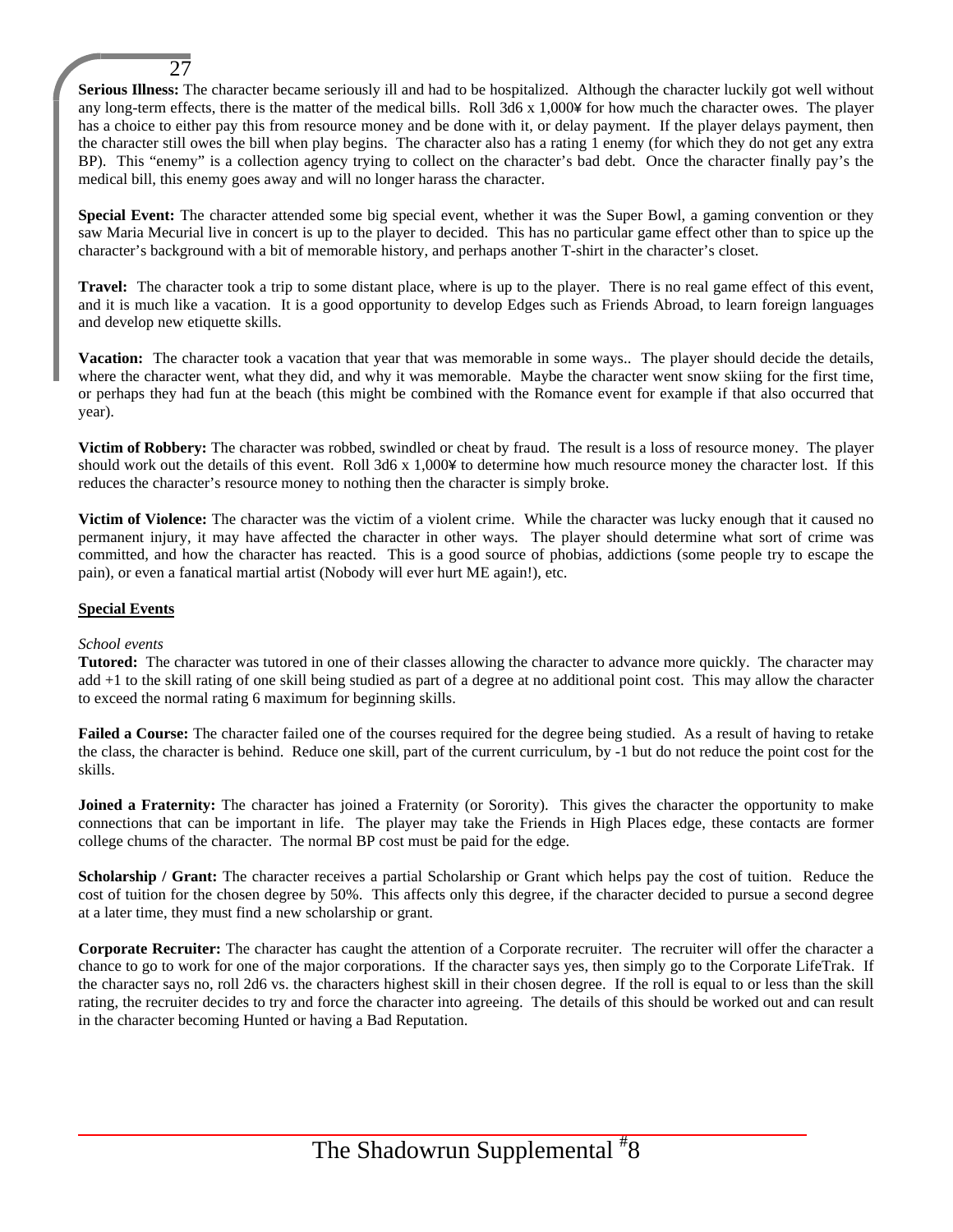**Serious Illness:** The character became seriously ill and had to be hospitalized. Although the character luckily got well without any long-term effects, there is the matter of the medical bills. Roll 3d6 x 1,000¥ for how much the character owes. The player has a choice to either pay this from resource money and be done with it, or delay payment. If the player delays payment, then the character still owes the bill when play begins. The character also has a rating 1 enemy (for which they do not get any extra BP). This "enemy" is a collection agency trying to collect on the character's bad debt. Once the character finally pay's the medical bill, this enemy goes away and will no longer harass the character.

**Special Event:** The character attended some big special event, whether it was the Super Bowl, a gaming convention or they saw Maria Mecurial live in concert is up to the player to decided. This has no particular game effect other than to spice up the character's background with a bit of memorable history, and perhaps another T-shirt in the character's closet.

**Travel:** The character took a trip to some distant place, where is up to the player. There is no real game effect of this event, and it is much like a vacation. It is a good opportunity to develop Edges such as Friends Abroad, to learn foreign languages and develop new etiquette skills.

**Vacation:** The character took a vacation that year that was memorable in some ways.. The player should decide the details, where the character went, what they did, and why it was memorable. Maybe the character went snow skiing for the first time, or perhaps they had fun at the beach (this might be combined with the Romance event for example if that also occurred that year).

**Victim of Robbery:** The character was robbed, swindled or cheat by fraud. The result is a loss of resource money. The player should work out the details of this event. Roll 3d6 x 1,000¥ to determine how much resource money the character lost. If this reduces the character's resource money to nothing then the character is simply broke.

**Victim of Violence:** The character was the victim of a violent crime. While the character was lucky enough that it caused no permanent injury, it may have affected the character in other ways. The player should determine what sort of crime was committed, and how the character has reacted. This is a good source of phobias, addictions (some people try to escape the pain), or even a fanatical martial artist (Nobody will ever hurt ME again!), etc.

#### **Special Events**

27

#### *School events*

**Tutored:** The character was tutored in one of their classes allowing the character to advance more quickly. The character may add +1 to the skill rating of one skill being studied as part of a degree at no additional point cost. This may allow the character to exceed the normal rating 6 maximum for beginning skills.

**Failed a Course:** The character failed one of the courses required for the degree being studied. As a result of having to retake the class, the character is behind. Reduce one skill, part of the current curriculum, by -1 but do not reduce the point cost for the skills.

**Joined a Fraternity:** The character has joined a Fraternity (or Sorority). This gives the character the opportunity to make connections that can be important in life. The player may take the Friends in High Places edge, these contacts are former college chums of the character. The normal BP cost must be paid for the edge.

**Scholarship / Grant:** The character receives a partial Scholarship or Grant which helps pay the cost of tuition. Reduce the cost of tuition for the chosen degree by 50%. This affects only this degree, if the character decided to pursue a second degree at a later time, they must find a new scholarship or grant.

**Corporate Recruiter:** The character has caught the attention of a Corporate recruiter. The recruiter will offer the character a chance to go to work for one of the major corporations. If the character says yes, then simply go to the Corporate LifeTrak. If the character says no, roll 2d6 vs. the characters highest skill in their chosen degree. If the roll is equal to or less than the skill rating, the recruiter decides to try and force the character into agreeing. The details of this should be worked out and can result in the character becoming Hunted or having a Bad Reputation.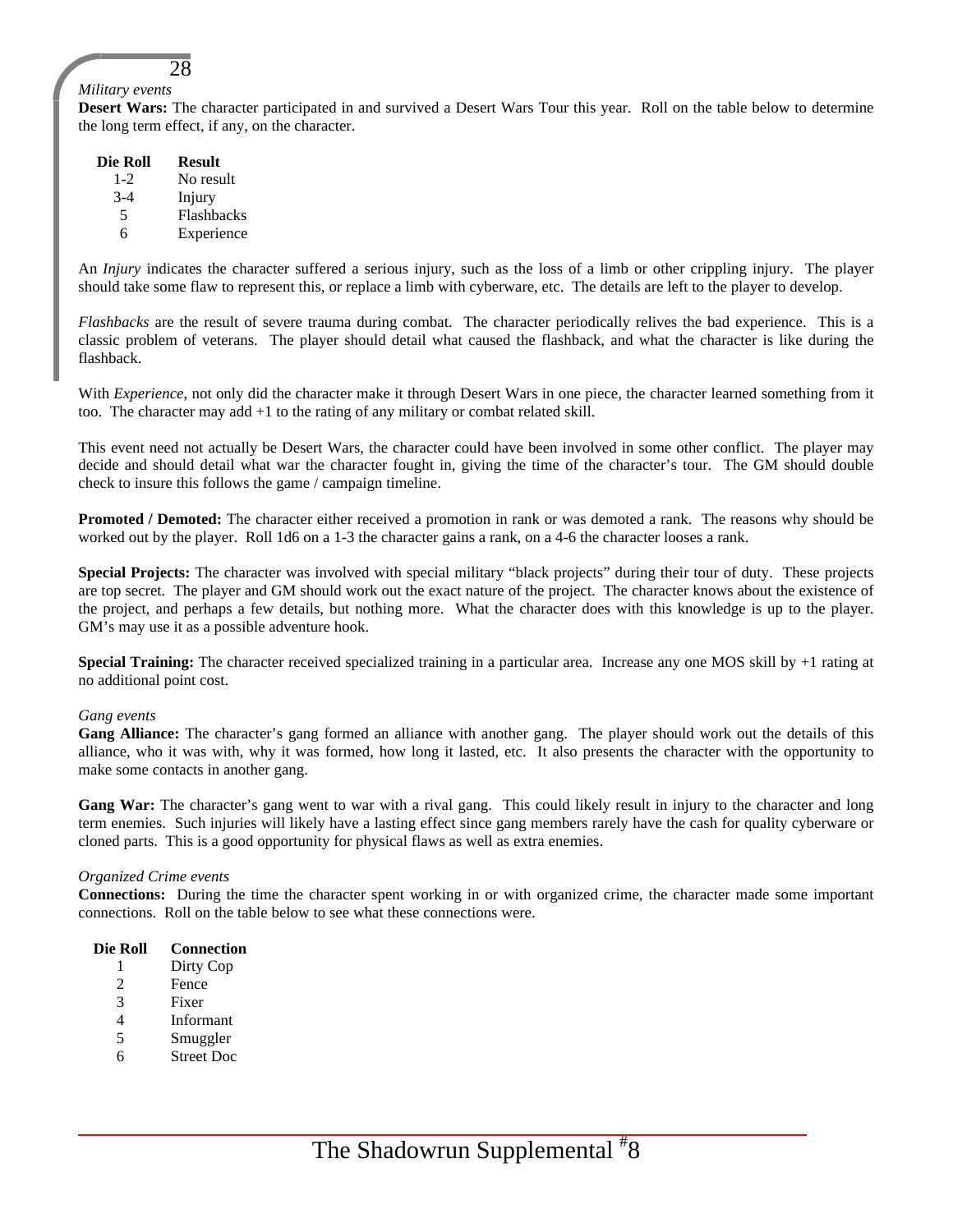#### *Military events*

**Desert Wars:** The character participated in and survived a Desert Wars Tour this year. Roll on the table below to determine the long term effect, if any, on the character.

| Die Roll | <b>Result</b> |
|----------|---------------|
| $1 - 2$  | No result     |
| $3-4$    | Injury        |
| 5        | Flashbacks    |
| 6        | Experience    |

28

An *Injury* indicates the character suffered a serious injury, such as the loss of a limb or other crippling injury. The player should take some flaw to represent this, or replace a limb with cyberware, etc. The details are left to the player to develop.

*Flashbacks* are the result of severe trauma during combat. The character periodically relives the bad experience. This is a classic problem of veterans. The player should detail what caused the flashback, and what the character is like during the flashback.

With *Experience*, not only did the character make it through Desert Wars in one piece, the character learned something from it too. The character may add +1 to the rating of any military or combat related skill.

This event need not actually be Desert Wars, the character could have been involved in some other conflict. The player may decide and should detail what war the character fought in, giving the time of the character's tour. The GM should double check to insure this follows the game / campaign timeline.

**Promoted / Demoted:** The character either received a promotion in rank or was demoted a rank. The reasons why should be worked out by the player. Roll 1d6 on a 1-3 the character gains a rank, on a 4-6 the character looses a rank.

**Special Projects:** The character was involved with special military "black projects" during their tour of duty. These projects are top secret. The player and GM should work out the exact nature of the project. The character knows about the existence of the project, and perhaps a few details, but nothing more. What the character does with this knowledge is up to the player. GM's may use it as a possible adventure hook.

**Special Training:** The character received specialized training in a particular area. Increase any one MOS skill by +1 rating at no additional point cost.

#### *Gang events*

**Gang Alliance:** The character's gang formed an alliance with another gang. The player should work out the details of this alliance, who it was with, why it was formed, how long it lasted, etc. It also presents the character with the opportunity to make some contacts in another gang.

Gang War: The character's gang went to war with a rival gang. This could likely result in injury to the character and long term enemies. Such injuries will likely have a lasting effect since gang members rarely have the cash for quality cyberware or cloned parts. This is a good opportunity for physical flaws as well as extra enemies.

#### *Organized Crime events*

**Connections:** During the time the character spent working in or with organized crime, the character made some important connections. Roll on the table below to see what these connections were.

#### **Die Roll Connection**

- 1 Dirty Cop
- 2 Fence
- 3 Fixer
- 4 Informant
- 5 Smuggler
- 6 Street Doc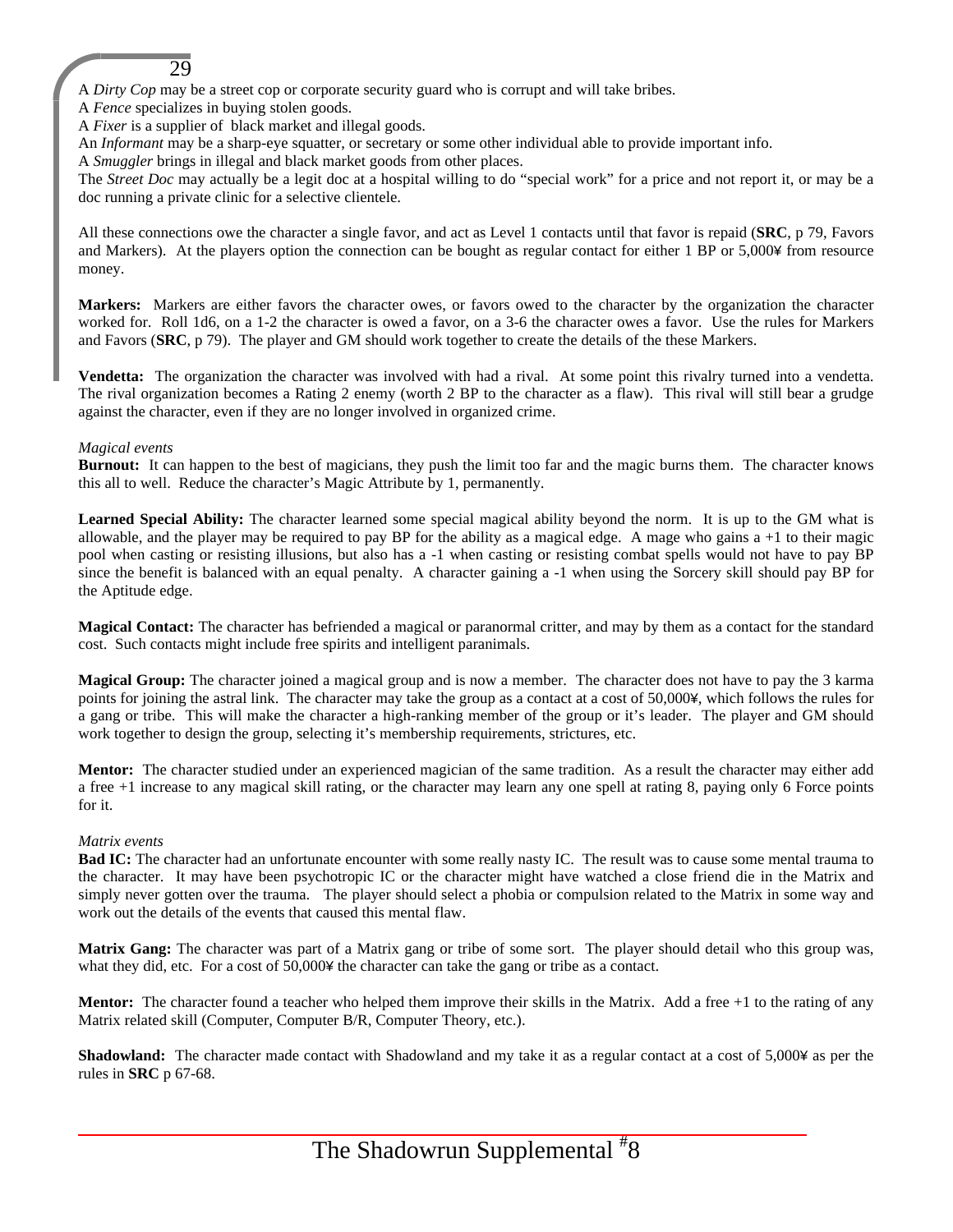A *Dirty Cop* may be a street cop or corporate security guard who is corrupt and will take bribes.

A *Fence* specializes in buying stolen goods.

29

A *Fixer* is a supplier of black market and illegal goods.

An *Informant* may be a sharp-eye squatter, or secretary or some other individual able to provide important info.

A *Smuggler* brings in illegal and black market goods from other places.

The *Street Doc* may actually be a legit doc at a hospital willing to do "special work" for a price and not report it, or may be a doc running a private clinic for a selective clientele.

All these connections owe the character a single favor, and act as Level 1 contacts until that favor is repaid (**SRC**, p 79, Favors and Markers). At the players option the connection can be bought as regular contact for either 1 BP or 5,000¥ from resource money.

**Markers:** Markers are either favors the character owes, or favors owed to the character by the organization the character worked for. Roll 1d6, on a 1-2 the character is owed a favor, on a 3-6 the character owes a favor. Use the rules for Markers and Favors (**SRC**, p 79). The player and GM should work together to create the details of the these Markers.

**Vendetta:** The organization the character was involved with had a rival. At some point this rivalry turned into a vendetta. The rival organization becomes a Rating 2 enemy (worth 2 BP to the character as a flaw). This rival will still bear a grudge against the character, even if they are no longer involved in organized crime.

#### *Magical events*

**Burnout:** It can happen to the best of magicians, they push the limit too far and the magic burns them. The character knows this all to well. Reduce the character's Magic Attribute by 1, permanently.

**Learned Special Ability:** The character learned some special magical ability beyond the norm. It is up to the GM what is allowable, and the player may be required to pay BP for the ability as a magical edge. A mage who gains  $a + 1$  to their magic pool when casting or resisting illusions, but also has a -1 when casting or resisting combat spells would not have to pay BP since the benefit is balanced with an equal penalty. A character gaining a -1 when using the Sorcery skill should pay BP for the Aptitude edge.

**Magical Contact:** The character has befriended a magical or paranormal critter, and may by them as a contact for the standard cost. Such contacts might include free spirits and intelligent paranimals.

**Magical Group:** The character joined a magical group and is now a member. The character does not have to pay the 3 karma points for joining the astral link. The character may take the group as a contact at a cost of 50,000¥, which follows the rules for a gang or tribe. This will make the character a high-ranking member of the group or it's leader. The player and GM should work together to design the group, selecting it's membership requirements, strictures, etc.

**Mentor:** The character studied under an experienced magician of the same tradition. As a result the character may either add a free +1 increase to any magical skill rating, or the character may learn any one spell at rating 8, paying only 6 Force points for it.

#### *Matrix events*

**Bad IC:** The character had an unfortunate encounter with some really nasty IC. The result was to cause some mental trauma to the character. It may have been psychotropic IC or the character might have watched a close friend die in the Matrix and simply never gotten over the trauma. The player should select a phobia or compulsion related to the Matrix in some way and work out the details of the events that caused this mental flaw.

**Matrix Gang:** The character was part of a Matrix gang or tribe of some sort. The player should detail who this group was, what they did, etc. For a cost of 50,000¥ the character can take the gang or tribe as a contact.

**Mentor:** The character found a teacher who helped them improve their skills in the Matrix. Add a free +1 to the rating of any Matrix related skill (Computer, Computer B/R, Computer Theory, etc.).

**Shadowland:** The character made contact with Shadowland and my take it as a regular contact at a cost of 5,000¥ as per the rules in **SRC** p 67-68.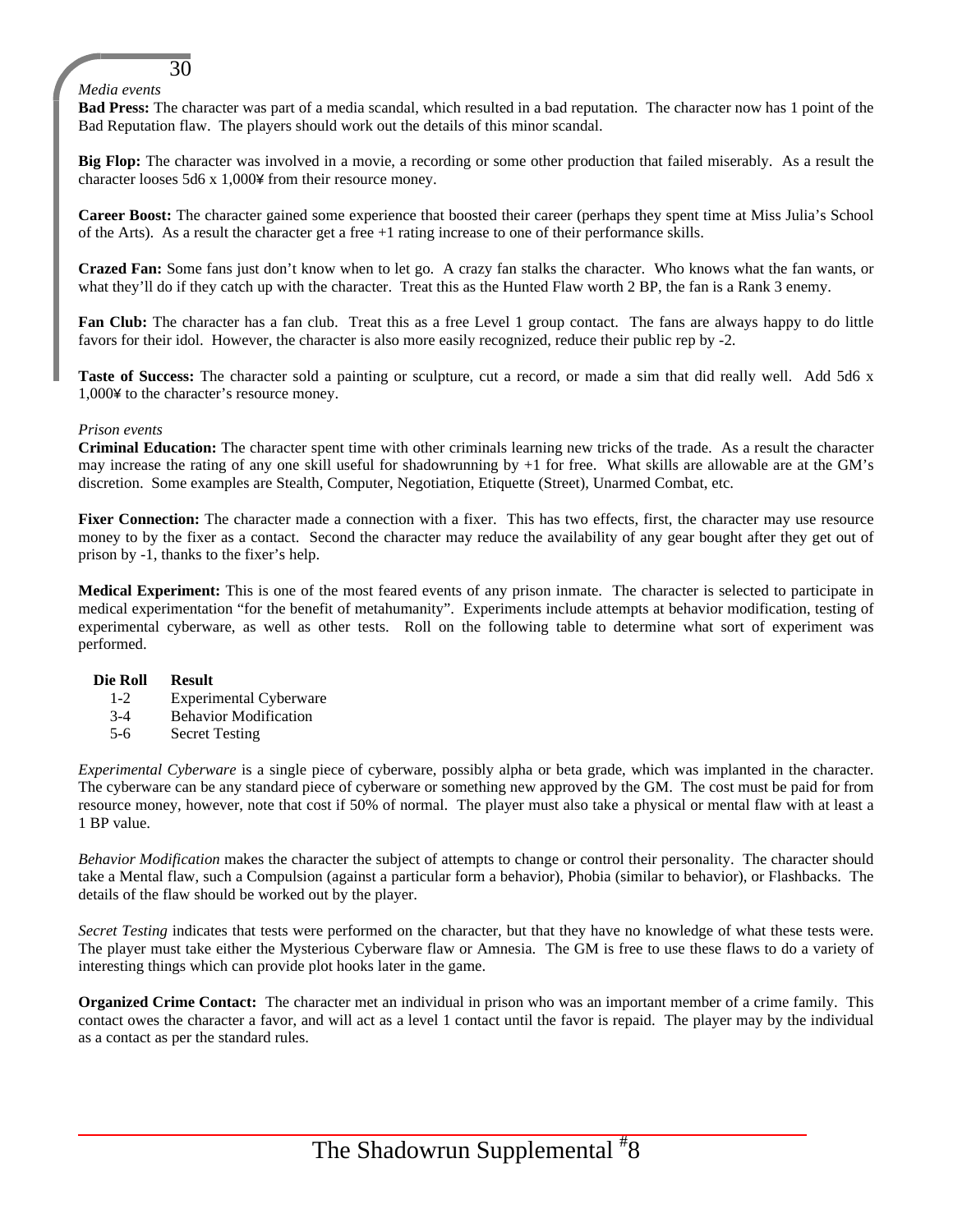#### *Media events*

30

**Bad Press:** The character was part of a media scandal, which resulted in a bad reputation. The character now has 1 point of the Bad Reputation flaw. The players should work out the details of this minor scandal.

**Big Flop:** The character was involved in a movie, a recording or some other production that failed miserably. As a result the character looses 5d6 x 1,000¥ from their resource money.

**Career Boost:** The character gained some experience that boosted their career (perhaps they spent time at Miss Julia's School of the Arts). As a result the character get a free +1 rating increase to one of their performance skills.

**Crazed Fan:** Some fans just don't know when to let go. A crazy fan stalks the character. Who knows what the fan wants, or what they'll do if they catch up with the character. Treat this as the Hunted Flaw worth 2 BP, the fan is a Rank 3 enemy.

**Fan Club:** The character has a fan club. Treat this as a free Level 1 group contact. The fans are always happy to do little favors for their idol. However, the character is also more easily recognized, reduce their public rep by -2.

**Taste of Success:** The character sold a painting or sculpture, cut a record, or made a sim that did really well. Add 5d6 x 1,000¥ to the character's resource money.

#### *Prison events*

**Criminal Education:** The character spent time with other criminals learning new tricks of the trade. As a result the character may increase the rating of any one skill useful for shadowrunning by +1 for free. What skills are allowable are at the GM's discretion. Some examples are Stealth, Computer, Negotiation, Etiquette (Street), Unarmed Combat, etc.

Fixer Connection: The character made a connection with a fixer. This has two effects, first, the character may use resource money to by the fixer as a contact. Second the character may reduce the availability of any gear bought after they get out of prison by -1, thanks to the fixer's help.

**Medical Experiment:** This is one of the most feared events of any prison inmate. The character is selected to participate in medical experimentation "for the benefit of metahumanity". Experiments include attempts at behavior modification, testing of experimental cyberware, as well as other tests. Roll on the following table to determine what sort of experiment was performed.

#### **Die Roll Result**

- 1-2 Experimental Cyberware
- 3-4 Behavior Modification
- 5-6 Secret Testing

*Experimental Cyberware* is a single piece of cyberware, possibly alpha or beta grade, which was implanted in the character. The cyberware can be any standard piece of cyberware or something new approved by the GM. The cost must be paid for from resource money, however, note that cost if 50% of normal. The player must also take a physical or mental flaw with at least a 1 BP value.

*Behavior Modification* makes the character the subject of attempts to change or control their personality. The character should take a Mental flaw, such a Compulsion (against a particular form a behavior), Phobia (similar to behavior), or Flashbacks. The details of the flaw should be worked out by the player.

*Secret Testing* indicates that tests were performed on the character, but that they have no knowledge of what these tests were. The player must take either the Mysterious Cyberware flaw or Amnesia. The GM is free to use these flaws to do a variety of interesting things which can provide plot hooks later in the game.

**Organized Crime Contact:** The character met an individual in prison who was an important member of a crime family. This contact owes the character a favor, and will act as a level 1 contact until the favor is repaid. The player may by the individual as a contact as per the standard rules.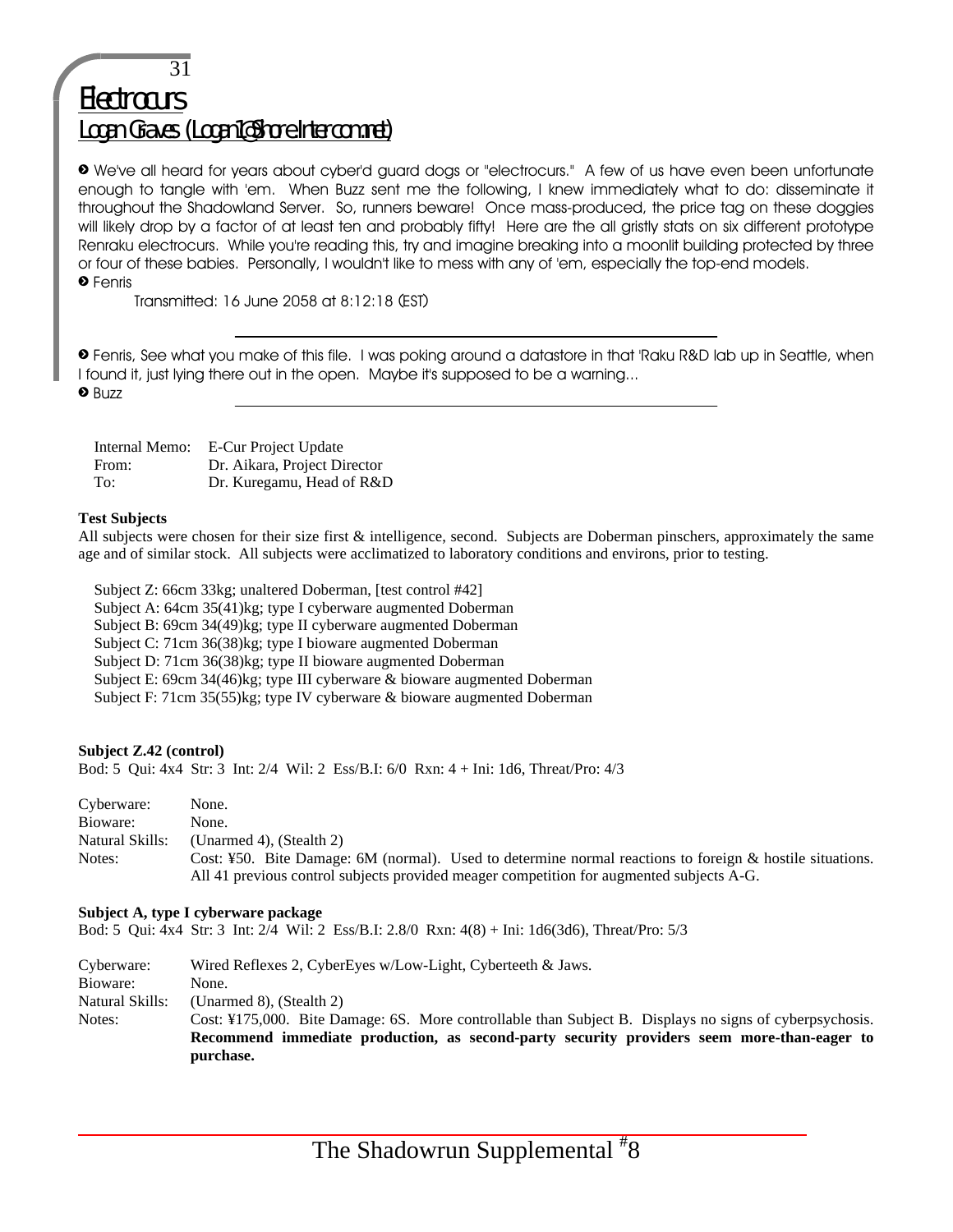## 31 **Electrocurs** Logan Graves (Logan1@Shore.Intercom.net)

» We've all heard for years about cyber'd guard dogs or "electrocurs." A few of us have even been unfortunate enough to tangle with 'em. When Buzz sent me the following, I knew immediately what to do: disseminate it throughout the Shadowland Server. So, runners beware! Once mass-produced, the price tag on these doggies will likely drop by a factor of at least ten and probably fifty! Here are the all gristly stats on six different prototype Renraku electrocurs. While you're reading this, try and imagine breaking into a moonlit building protected by three or four of these babies. Personally, I wouldn't like to mess with any of 'em, especially the top-end models. » Fenris

Transmitted: 16 June 2058 at 8:12:18 (EST)

» Fenris, See what you make of this file. I was poking around a datastore in that 'Raku R&D lab up in Seattle, when I found it, just lying there out in the open. Maybe it's supposed to be a warning... **•** Buzz

 Internal Memo: E-Cur Project Update From: Dr. Aikara, Project Director To: Dr. Kuregamu, Head of R&D

#### **Test Subjects**

All subjects were chosen for their size first & intelligence, second. Subjects are Doberman pinschers, approximately the same age and of similar stock. All subjects were acclimatized to laboratory conditions and environs, prior to testing.

 Subject Z: 66cm 33kg; unaltered Doberman, [test control #42] Subject A: 64cm 35(41)kg; type I cyberware augmented Doberman Subject B: 69cm 34(49)kg; type II cyberware augmented Doberman Subject C: 71cm 36(38)kg; type I bioware augmented Doberman Subject D: 71cm 36(38)kg; type II bioware augmented Doberman Subject E: 69cm 34(46)kg; type III cyberware & bioware augmented Doberman Subject F: 71cm 35(55)kg; type IV cyberware & bioware augmented Doberman

#### **Subject Z.42 (control)**

Bod: 5 Qui: 4x4 Str: 3 Int: 2/4 Wil: 2 Ess/B.I: 6/0 Rxn: 4 + Ini: 1d6, Threat/Pro: 4/3

| Cyberware:      | None.                                                                                                                                                                                                   |
|-----------------|---------------------------------------------------------------------------------------------------------------------------------------------------------------------------------------------------------|
| Bioware:        | None.                                                                                                                                                                                                   |
| Natural Skills: | (Unarmed 4), (Stealth 2)                                                                                                                                                                                |
| Notes:          | Cost: ¥50. Bite Damage: 6M (normal). Used to determine normal reactions to foreign $\&$ hostile situations.<br>All 41 previous control subjects provided meager competition for augmented subjects A-G. |

#### **Subject A, type I cyberware package**

Bod: 5 Qui: 4x4 Str: 3 Int: 2/4 Wil: 2 Ess/B.I: 2.8/0 Rxn: 4(8) + Ini: 1d6(3d6), Threat/Pro: 5/3

Cyberware: Wired Reflexes 2, CyberEyes w/Low-Light, Cyberteeth & Jaws. Bioware: None. Natural Skills: (Unarmed 8), (Stealth 2) Notes: Cost: ¥175,000. Bite Damage: 6S. More controllable than Subject B. Displays no signs of cyberpsychosis. **Recommend immediate production, as second-party security providers seem more-than-eager to purchase.**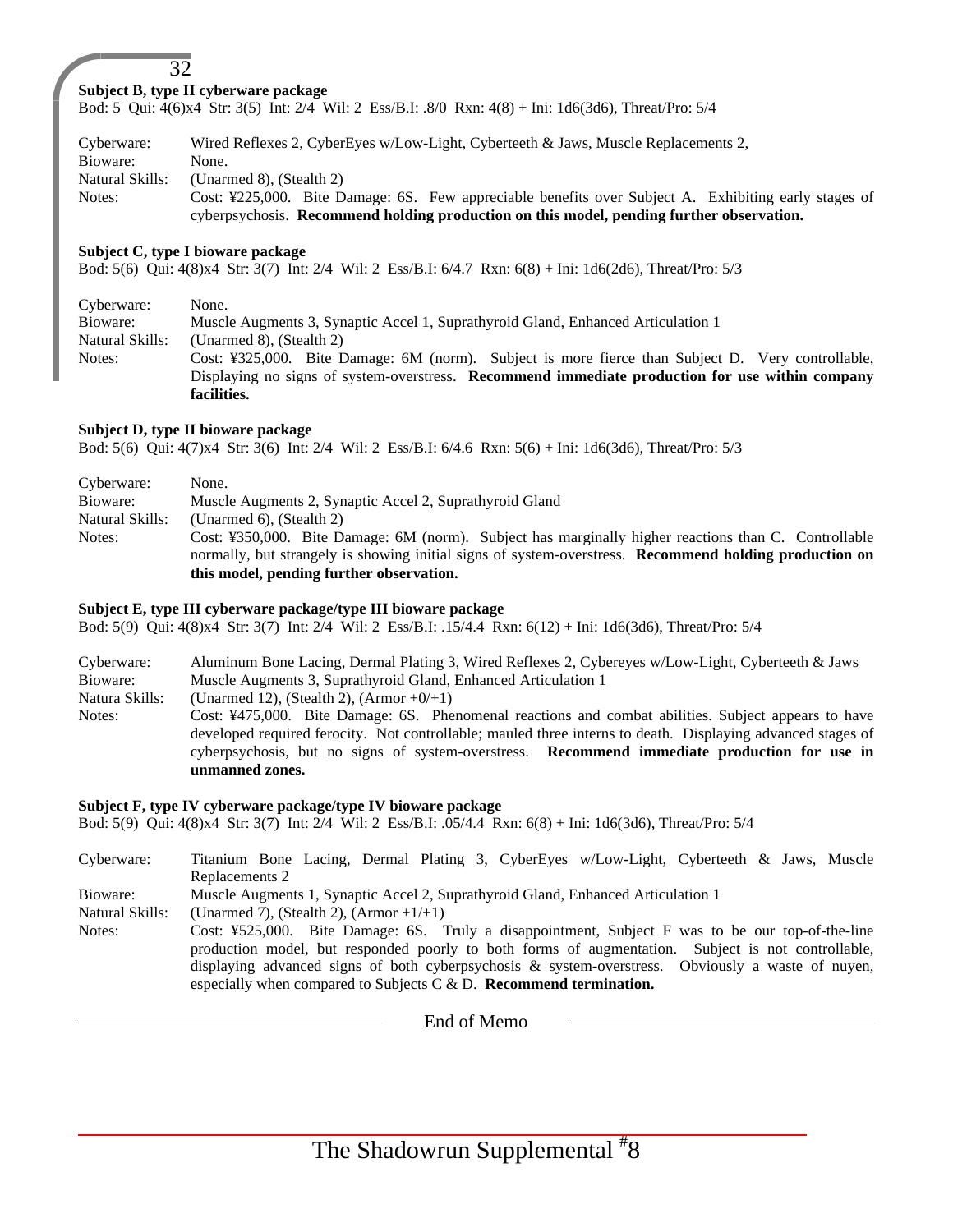#### 32 **Subject B, type II cyberware package**

Bod: 5 Qui: 4(6)x4 Str: 3(5) Int: 2/4 Wil: 2 Ess/B.I: .8/0 Rxn: 4(8) + Ini: 1d6(3d6), Threat/Pro: 5/4

Cyberware: Wired Reflexes 2, CyberEyes w/Low-Light, Cyberteeth & Jaws, Muscle Replacements 2, Bioware: None. Natural Skills: (Unarmed 8), (Stealth 2) Notes: Cost: ¥225,000. Bite Damage: 6S. Few appreciable benefits over Subject A. Exhibiting early stages of cyberpsychosis. **Recommend holding production on this model, pending further observation.**

#### **Subject C, type I bioware package**

Bod: 5(6) Qui: 4(8)x4 Str: 3(7) Int: 2/4 Wil: 2 Ess/B.I: 6/4.7 Rxn: 6(8) + Ini: 1d6(2d6), Threat/Pro: 5/3

| Cyberware:      | None.                                                                                             |
|-----------------|---------------------------------------------------------------------------------------------------|
| Bioware:        | Muscle Augments 3, Synaptic Accel 1, Suprathyroid Gland, Enhanced Articulation 1                  |
| Natural Skills: | (Unarmed 8). (Stealth 2)                                                                          |
| Notes:          | Cost: ¥325,000. Bite Damage: 6M (norm). Subject is more fierce than Subject D. Very controllable, |
|                 | Displaying no signs of system-overstress. Recommend immediate production for use within company   |
|                 | facilities.                                                                                       |

#### **Subject D, type II bioware package**

Bod: 5(6) Qui: 4(7)x4 Str: 3(6) Int: 2/4 Wil: 2 Ess/B.I: 6/4.6 Rxn: 5(6) + Ini: 1d6(3d6), Threat/Pro: 5/3

| Cyberware:      | None.                                                                                                         |
|-----------------|---------------------------------------------------------------------------------------------------------------|
| Bioware:        | Muscle Augments 2, Synaptic Accel 2, Suprathyroid Gland                                                       |
| Natural Skills: | (Unarmed 6). (Stealth 2)                                                                                      |
| Notes:          | Cost: ¥350,000. Bite Damage: 6M (norm). Subject has marginally higher reactions than C. Controllable          |
|                 | normally, but strangely is showing initial signs of system-overstress. <b>Recommend holding production on</b> |
|                 | this model, pending further observation.                                                                      |

#### **Subject E, type III cyberware package/type III bioware package**

Bod: 5(9) Qui: 4(8)x4 Str: 3(7) Int: 2/4 Wil: 2 Ess/B.I: .15/4.4 Rxn: 6(12) + Ini: 1d6(3d6), Threat/Pro: 5/4

| Cyberware:     | Aluminum Bone Lacing, Dermal Plating 3, Wired Reflexes 2, Cybereyes w/Low-Light, Cyberteeth & Jaws          |  |  |
|----------------|-------------------------------------------------------------------------------------------------------------|--|--|
| Bioware:       | Muscle Augments 3, Suprathyroid Gland, Enhanced Articulation 1                                              |  |  |
| Natura Skills: | (Unarmed 12), (Stealth 2), (Armor $+0/+1$ )                                                                 |  |  |
| Notes:         | Cost: ¥475,000. Bite Damage: 6S. Phenomenal reactions and combat abilities. Subject appears to have         |  |  |
|                | developed required ferocity. Not controllable; mauled three interns to death. Displaying advanced stages of |  |  |
|                | cyberpsychosis, but no signs of system-overstress. Recommend immediate production for use in                |  |  |
|                | unmanned zones.                                                                                             |  |  |

#### **Subject F, type IV cyberware package/type IV bioware package**

Bod: 5(9) Qui: 4(8)x4 Str: 3(7) Int: 2/4 Wil: 2 Ess/B.I: .05/4.4 Rxn: 6(8) + Ini: 1d6(3d6), Threat/Pro: 5/4

Cyberware: Titanium Bone Lacing, Dermal Plating 3, CyberEyes w/Low-Light, Cyberteeth & Jaws, Muscle Replacements 2 Bioware: Muscle Augments 1, Synaptic Accel 2, Suprathyroid Gland, Enhanced Articulation 1 Natural Skills: (Unarmed 7), (Stealth 2),  $(Arm +1)$ Notes: Cost: ¥525,000. Bite Damage: 6S. Truly a disappointment, Subject F was to be our top-of-the-line production model, but responded poorly to both forms of augmentation. Subject is not controllable, displaying advanced signs of both cyberpsychosis & system-overstress. Obviously a waste of nuyen, especially when compared to Subjects C & D. **Recommend termination.**

End of Memo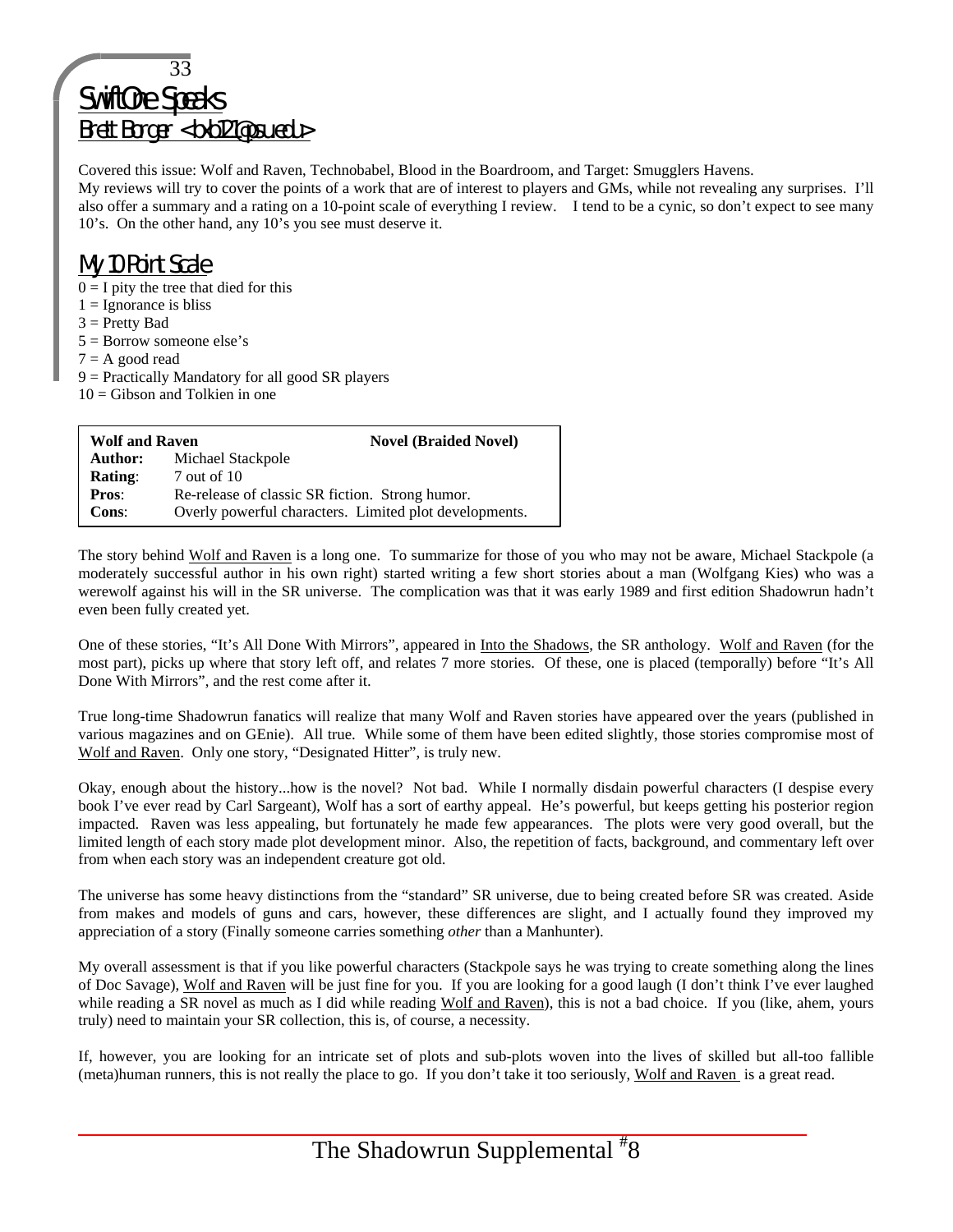## 33 SwiftOne Speaks Brett Borger <bxb121@psu.edu>

Covered this issue: Wolf and Raven, Technobabel, Blood in the Boardroom, and Target: Smugglers Havens.

My reviews will try to cover the points of a work that are of interest to players and GMs, while not revealing any surprises. I'll also offer a summary and a rating on a 10-point scale of everything I review. I tend to be a cynic, so don't expect to see many 10's. On the other hand, any 10's you see must deserve it.

## My 10 Point Scale

- $0 = I$  pity the tree that died for this
- $1 = \text{Ignorance}$  is bliss
- $3$  = Pretty Bad
- 5 = Borrow someone else's
- $7 = A$  good read
- 9 = Practically Mandatory for all good SR players
- $10 =$  Gibson and Tolkien in one

| <b>Wolf and Raven</b> | <b>Novel (Braided Novel)</b>                           |  |
|-----------------------|--------------------------------------------------------|--|
| Author:               | Michael Stackpole                                      |  |
| <b>Rating:</b>        | 7 out of 10                                            |  |
| Pros:                 | Re-release of classic SR fiction. Strong humor.        |  |
| Cons:                 | Overly powerful characters. Limited plot developments. |  |

The story behind Wolf and Raven is a long one. To summarize for those of you who may not be aware, Michael Stackpole (a moderately successful author in his own right) started writing a few short stories about a man (Wolfgang Kies) who was a werewolf against his will in the SR universe. The complication was that it was early 1989 and first edition Shadowrun hadn't even been fully created yet.

One of these stories, "It's All Done With Mirrors", appeared in Into the Shadows, the SR anthology. Wolf and Raven (for the most part), picks up where that story left off, and relates 7 more stories. Of these, one is placed (temporally) before "It's All Done With Mirrors", and the rest come after it.

True long-time Shadowrun fanatics will realize that many Wolf and Raven stories have appeared over the years (published in various magazines and on GEnie). All true. While some of them have been edited slightly, those stories compromise most of Wolf and Raven. Only one story, "Designated Hitter", is truly new.

Okay, enough about the history...how is the novel? Not bad. While I normally disdain powerful characters (I despise every book I've ever read by Carl Sargeant), Wolf has a sort of earthy appeal. He's powerful, but keeps getting his posterior region impacted. Raven was less appealing, but fortunately he made few appearances. The plots were very good overall, but the limited length of each story made plot development minor. Also, the repetition of facts, background, and commentary left over from when each story was an independent creature got old.

The universe has some heavy distinctions from the "standard" SR universe, due to being created before SR was created. Aside from makes and models of guns and cars, however, these differences are slight, and I actually found they improved my appreciation of a story (Finally someone carries something *other* than a Manhunter).

My overall assessment is that if you like powerful characters (Stackpole says he was trying to create something along the lines of Doc Savage), Wolf and Raven will be just fine for you. If you are looking for a good laugh (I don't think I've ever laughed while reading a SR novel as much as I did while reading Wolf and Raven), this is not a bad choice. If you (like, ahem, yours truly) need to maintain your SR collection, this is, of course, a necessity.

If, however, you are looking for an intricate set of plots and sub-plots woven into the lives of skilled but all-too fallible (meta)human runners, this is not really the place to go. If you don't take it too seriously, Wolf and Raven is a great read.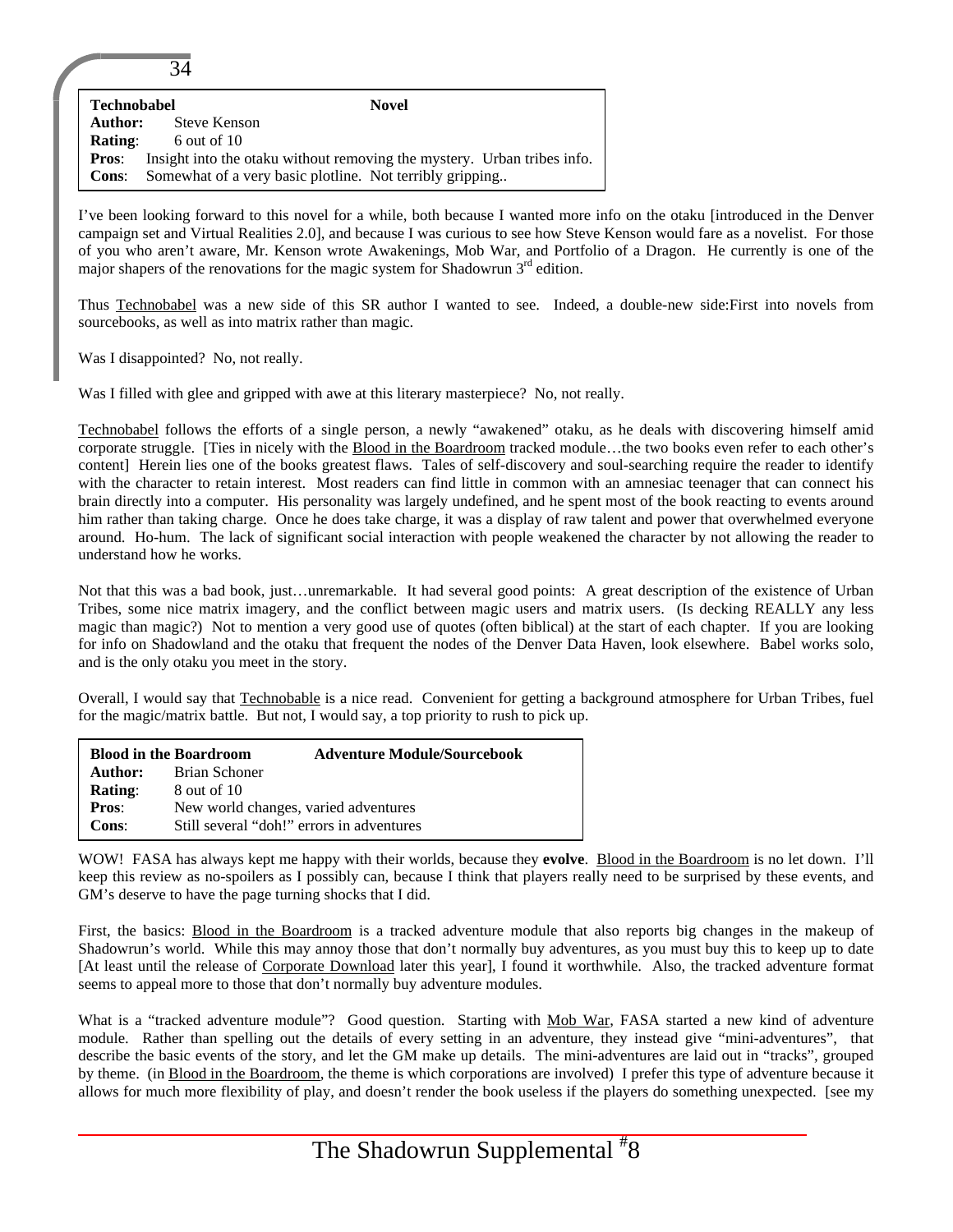| <b>Technobabel</b>                                                                      | <b>Novel</b>                                             |  |
|-----------------------------------------------------------------------------------------|----------------------------------------------------------|--|
| Author:                                                                                 | <b>Steve Kenson</b>                                      |  |
| Rating:                                                                                 | 6 out of $10$                                            |  |
| Insight into the otaku without removing the mystery. Urban tribes info.<br><b>Pros:</b> |                                                          |  |
| <b>Cons:</b>                                                                            | Somewhat of a very basic plotline. Not terribly gripping |  |

I've been looking forward to this novel for a while, both because I wanted more info on the otaku [introduced in the Denver campaign set and Virtual Realities 2.0], and because I was curious to see how Steve Kenson would fare as a novelist. For those of you who aren't aware, Mr. Kenson wrote Awakenings, Mob War, and Portfolio of a Dragon. He currently is one of the major shapers of the renovations for the magic system for Shadowrun  $3<sup>rd</sup>$  edition.

Thus Technobabel was a new side of this SR author I wanted to see. Indeed, a double-new side:First into novels from sourcebooks, as well as into matrix rather than magic.

Was I disappointed? No, not really.

 $\overline{\mathcal{A}}$ 

Was I filled with glee and gripped with awe at this literary masterpiece? No, not really.

Technobabel follows the efforts of a single person, a newly "awakened" otaku, as he deals with discovering himself amid corporate struggle. [Ties in nicely with the Blood in the Boardroom tracked module…the two books even refer to each other's content] Herein lies one of the books greatest flaws. Tales of self-discovery and soul-searching require the reader to identify with the character to retain interest. Most readers can find little in common with an amnesiac teenager that can connect his brain directly into a computer. His personality was largely undefined, and he spent most of the book reacting to events around him rather than taking charge. Once he does take charge, it was a display of raw talent and power that overwhelmed everyone around. Ho-hum. The lack of significant social interaction with people weakened the character by not allowing the reader to understand how he works.

Not that this was a bad book, just…unremarkable. It had several good points: A great description of the existence of Urban Tribes, some nice matrix imagery, and the conflict between magic users and matrix users. (Is decking REALLY any less magic than magic?) Not to mention a very good use of quotes (often biblical) at the start of each chapter. If you are looking for info on Shadowland and the otaku that frequent the nodes of the Denver Data Haven, look elsewhere. Babel works solo, and is the only otaku you meet in the story.

Overall, I would say that Technobable is a nice read. Convenient for getting a background atmosphere for Urban Tribes, fuel for the magic/matrix battle. But not, I would say, a top priority to rush to pick up.

|                | <b>Blood in the Boardroom</b> | <b>Adventure Module/Sourcebook</b>        |
|----------------|-------------------------------|-------------------------------------------|
| Author:        | Brian Schoner                 |                                           |
| <b>Rating:</b> | 8 out of 10                   |                                           |
| <b>Pros:</b>   |                               | New world changes, varied adventures      |
| Cons:          |                               | Still several "doh!" errors in adventures |

WOW! FASA has always kept me happy with their worlds, because they **evolve**. Blood in the Boardroom is no let down. I'll keep this review as no-spoilers as I possibly can, because I think that players really need to be surprised by these events, and GM's deserve to have the page turning shocks that I did.

First, the basics: Blood in the Boardroom is a tracked adventure module that also reports big changes in the makeup of Shadowrun's world. While this may annoy those that don't normally buy adventures, as you must buy this to keep up to date [At least until the release of Corporate Download later this year], I found it worthwhile. Also, the tracked adventure format seems to appeal more to those that don't normally buy adventure modules.

What is a "tracked adventure module"? Good question. Starting with Mob War, FASA started a new kind of adventure module. Rather than spelling out the details of every setting in an adventure, they instead give "mini-adventures", that describe the basic events of the story, and let the GM make up details. The mini-adventures are laid out in "tracks", grouped by theme. (in Blood in the Boardroom, the theme is which corporations are involved) I prefer this type of adventure because it allows for much more flexibility of play, and doesn't render the book useless if the players do something unexpected. [see my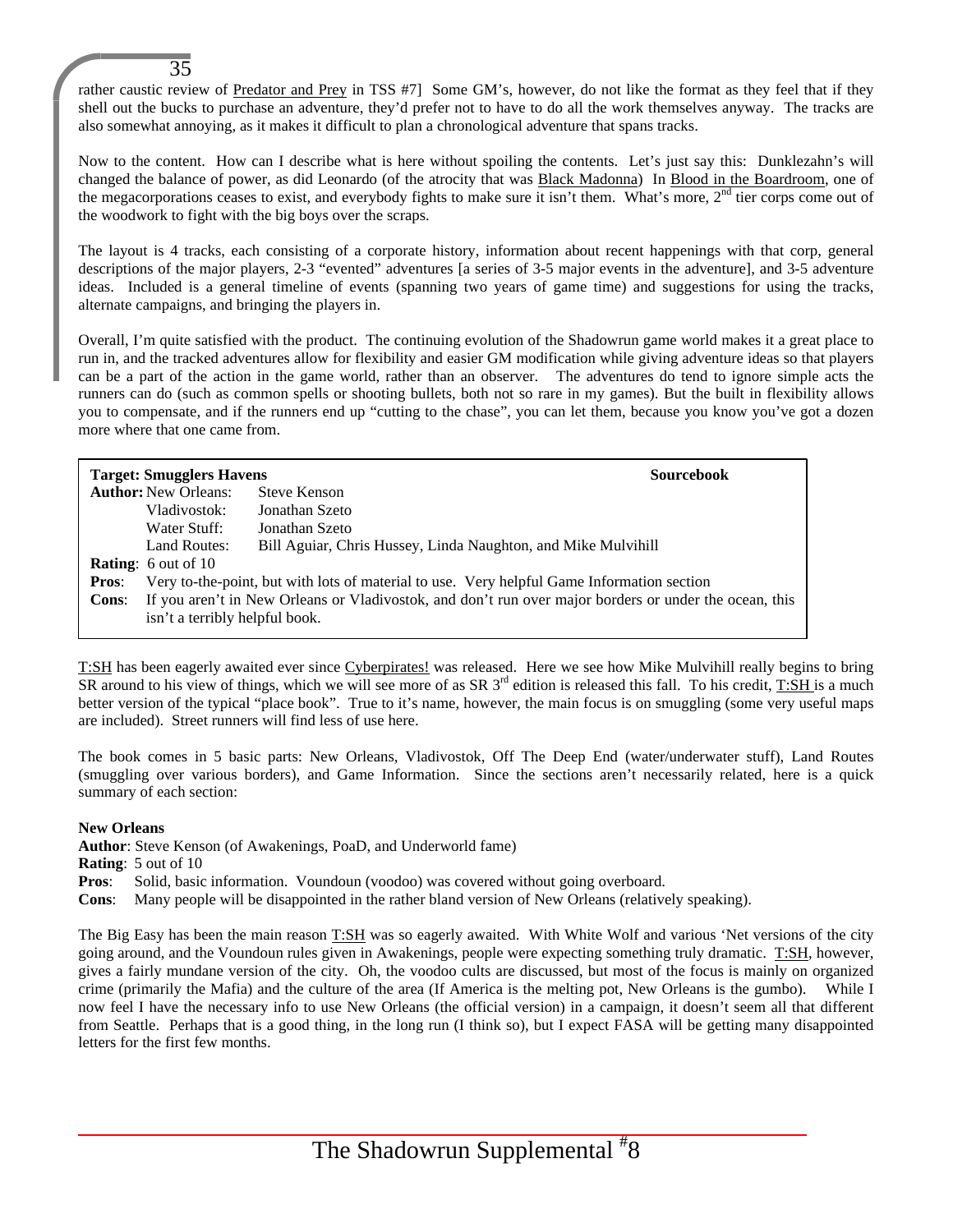rather caustic review of Predator and Prey in TSS #7] Some GM's, however, do not like the format as they feel that if they shell out the bucks to purchase an adventure, they'd prefer not to have to do all the work themselves anyway. The tracks are also somewhat annoying, as it makes it difficult to plan a chronological adventure that spans tracks.

Now to the content. How can I describe what is here without spoiling the contents. Let's just say this: Dunklezahn's will changed the balance of power, as did Leonardo (of the atrocity that was Black Madonna) In Blood in the Boardroom, one of the megacorporations ceases to exist, and everybody fights to make sure it isn't them. What's more,  $2<sup>nd</sup>$  tier corps come out of the woodwork to fight with the big boys over the scraps.

The layout is 4 tracks, each consisting of a corporate history, information about recent happenings with that corp, general descriptions of the major players, 2-3 "evented" adventures [a series of 3-5 major events in the adventure], and 3-5 adventure ideas. Included is a general timeline of events (spanning two years of game time) and suggestions for using the tracks, alternate campaigns, and bringing the players in.

Overall, I'm quite satisfied with the product. The continuing evolution of the Shadowrun game world makes it a great place to run in, and the tracked adventures allow for flexibility and easier GM modification while giving adventure ideas so that players can be a part of the action in the game world, rather than an observer. The adventures do tend to ignore simple acts the runners can do (such as common spells or shooting bullets, both not so rare in my games). But the built in flexibility allows you to compensate, and if the runners end up "cutting to the chase", you can let them, because you know you've got a dozen more where that one came from.

|              | <b>Target: Smugglers Havens</b>                                                                        |                                                                                            | <b>Sourcebook</b> |
|--------------|--------------------------------------------------------------------------------------------------------|--------------------------------------------------------------------------------------------|-------------------|
|              | <b>Author:</b> New Orleans:                                                                            | Steve Kenson                                                                               |                   |
|              | Vladivostok:                                                                                           | Jonathan Szeto                                                                             |                   |
|              | Water Stuff:                                                                                           | Jonathan Szeto                                                                             |                   |
|              | Land Routes:                                                                                           | Bill Aguiar, Chris Hussey, Linda Naughton, and Mike Mulvihill                              |                   |
|              | <b>Rating:</b> 6 out of 10                                                                             |                                                                                            |                   |
| <b>Pros:</b> |                                                                                                        | Very to-the-point, but with lots of material to use. Very helpful Game Information section |                   |
| <b>Cons:</b> | If you aren't in New Orleans or Vladivostok, and don't run over major borders or under the ocean, this |                                                                                            |                   |
|              | isn't a terribly helpful book.                                                                         |                                                                                            |                   |

T:SH has been eagerly awaited ever since Cyberpirates! was released. Here we see how Mike Mulvihill really begins to bring  $\overline{SR}$  around to his view of things, which we will see more of as  $SR$  3<sup>rd</sup> edition is released this fall. To his credit, T:SH is a much better version of the typical "place book". True to it's name, however, the main focus is on smuggling (some very useful maps are included). Street runners will find less of use here.

The book comes in 5 basic parts: New Orleans, Vladivostok, Off The Deep End (water/underwater stuff), Land Routes (smuggling over various borders), and Game Information. Since the sections aren't necessarily related, here is a quick summary of each section:

#### **New Orleans**

**Author**: Steve Kenson (of Awakenings, PoaD, and Underworld fame)

**Rating**: 5 out of 10

35

**Pros**: Solid, basic information. Voundoun (voodoo) was covered without going overboard.

**Cons**: Many people will be disappointed in the rather bland version of New Orleans (relatively speaking).

The Big Easy has been the main reason T:SH was so eagerly awaited. With White Wolf and various 'Net versions of the city going around, and the Voundoun rules given in Awakenings, people were expecting something truly dramatic. T:SH, however, gives a fairly mundane version of the city. Oh, the voodoo cults are discussed, but most of the focus is mainly on organized crime (primarily the Mafia) and the culture of the area (If America is the melting pot, New Orleans is the gumbo). While I now feel I have the necessary info to use New Orleans (the official version) in a campaign, it doesn't seem all that different from Seattle. Perhaps that is a good thing, in the long run (I think so), but I expect FASA will be getting many disappointed letters for the first few months.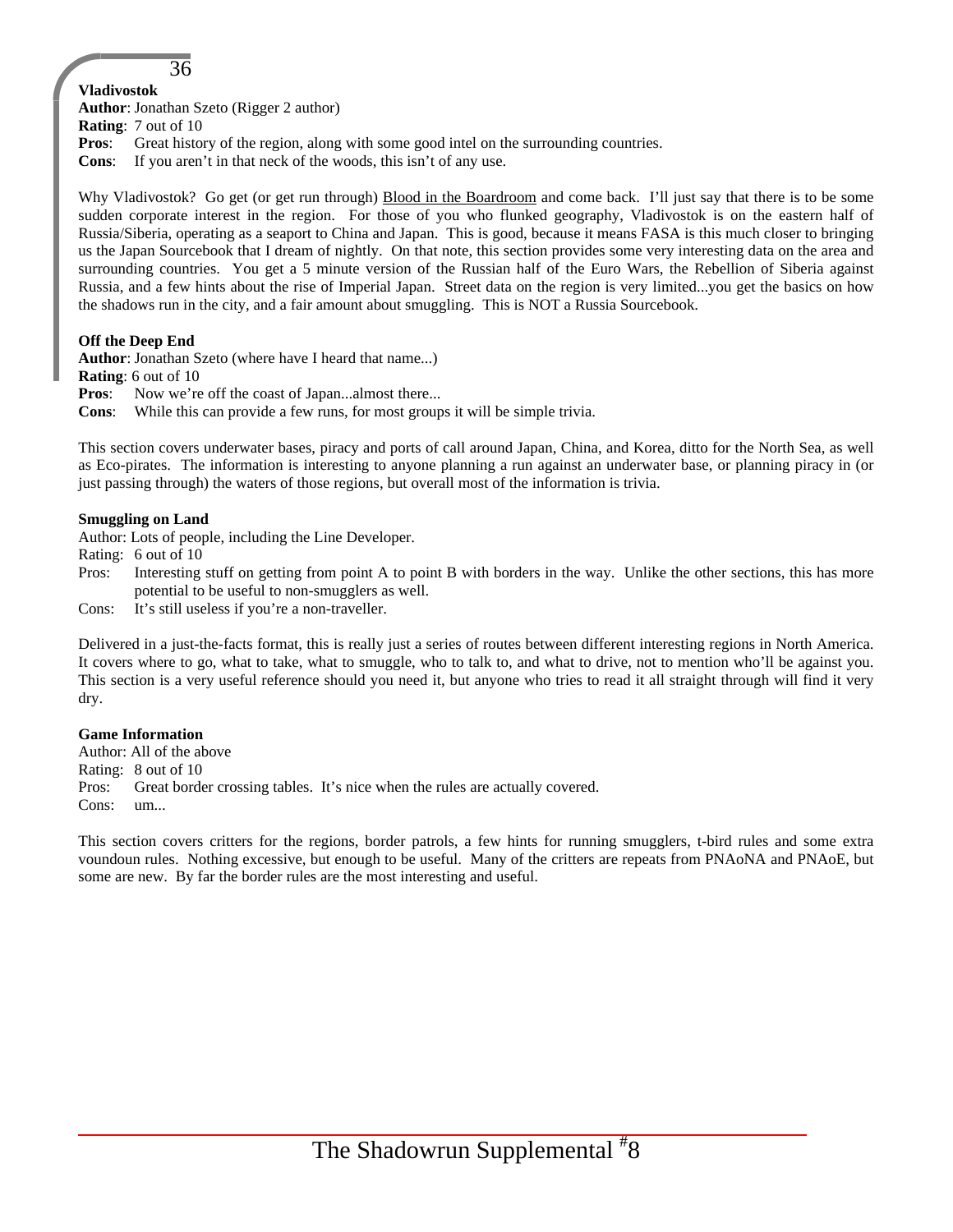## **Vladivostok**

**Author**: Jonathan Szeto (Rigger 2 author)

36

**Rating**: 7 out of 10

**Pros**: Great history of the region, along with some good intel on the surrounding countries.

**Cons**: If you aren't in that neck of the woods, this isn't of any use.

Why Vladivostok? Go get (or get run through) Blood in the Boardroom and come back. I'll just say that there is to be some sudden corporate interest in the region. For those of you who flunked geography, Vladivostok is on the eastern half of Russia/Siberia, operating as a seaport to China and Japan. This is good, because it means FASA is this much closer to bringing us the Japan Sourcebook that I dream of nightly. On that note, this section provides some very interesting data on the area and surrounding countries. You get a 5 minute version of the Russian half of the Euro Wars, the Rebellion of Siberia against Russia, and a few hints about the rise of Imperial Japan. Street data on the region is very limited...you get the basics on how the shadows run in the city, and a fair amount about smuggling. This is NOT a Russia Sourcebook.

#### **Off the Deep End**

**Author**: Jonathan Szeto (where have I heard that name...)

**Rating**: 6 out of 10

**Pros:** Now we're off the coast of Japan...almost there...

**Cons**: While this can provide a few runs, for most groups it will be simple trivia.

This section covers underwater bases, piracy and ports of call around Japan, China, and Korea, ditto for the North Sea, as well as Eco-pirates. The information is interesting to anyone planning a run against an underwater base, or planning piracy in (or just passing through) the waters of those regions, but overall most of the information is trivia.

#### **Smuggling on Land**

Author: Lots of people, including the Line Developer.

Rating: 6 out of 10

Pros: Interesting stuff on getting from point A to point B with borders in the way. Unlike the other sections, this has more potential to be useful to non-smugglers as well.

Cons: It's still useless if you're a non-traveller.

Delivered in a just-the-facts format, this is really just a series of routes between different interesting regions in North America. It covers where to go, what to take, what to smuggle, who to talk to, and what to drive, not to mention who'll be against you. This section is a very useful reference should you need it, but anyone who tries to read it all straight through will find it very dry.

#### **Game Information**

Author: All of the above Rating: 8 out of 10 Pros: Great border crossing tables. It's nice when the rules are actually covered. Cons: um...

This section covers critters for the regions, border patrols, a few hints for running smugglers, t-bird rules and some extra voundoun rules. Nothing excessive, but enough to be useful. Many of the critters are repeats from PNAoNA and PNAoE, but some are new. By far the border rules are the most interesting and useful.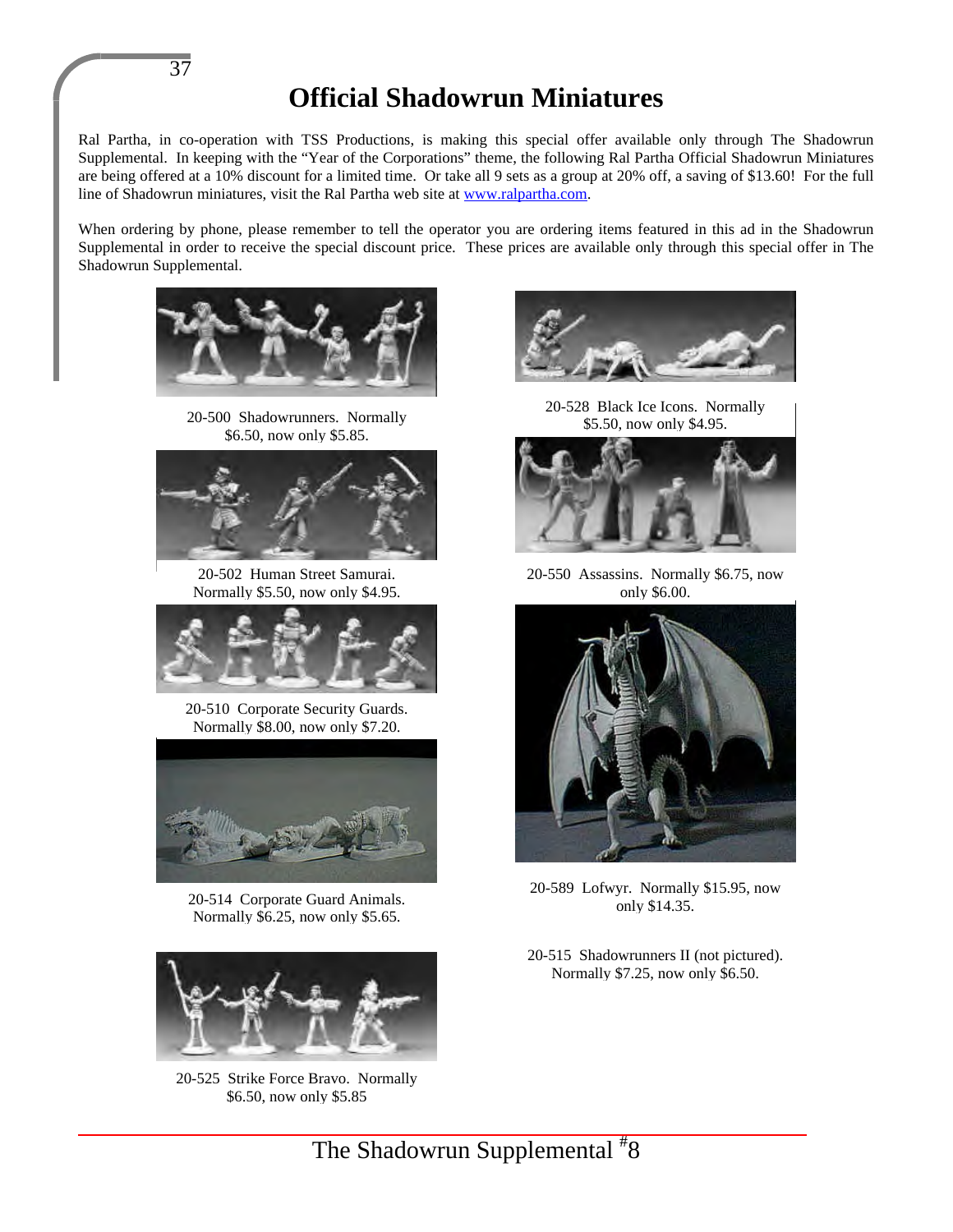# **Official Shadowrun Miniatures**

Ral Partha, in co-operation with TSS Productions, is making this special offer available only through The Shadowrun Supplemental. In keeping with the "Year of the Corporations" theme, the following Ral Partha Official Shadowrun Miniatures are being offered at a 10% discount for a limited time. Or take all 9 sets as a group at 20% off, a saving of \$13.60! For the full line of Shadowrun miniatures, visit the Ral Partha web site at www.ralpartha.com.

When ordering by phone, please remember to tell the operator you are ordering items featured in this ad in the Shadowrun Supplemental in order to receive the special discount price. These prices are available only through this special offer in The Shadowrun Supplemental.



37

20-500 Shadowrunners. Normally \$6.50, now only \$5.85.



20-502 Human Street Samurai. Normally \$5.50, now only \$4.95.



20-510 Corporate Security Guards. Normally \$8.00, now only \$7.20.



20-514 Corporate Guard Animals. Normally \$6.25, now only \$5.65.



20-525 Strike Force Bravo. Normally \$6.50, now only \$5.85



20-528 Black Ice Icons. Normally \$5.50, now only \$4.95.



20-550 Assassins. Normally \$6.75, now only \$6.00.



20-589 Lofwyr. Normally \$15.95, now only \$14.35.

20-515 Shadowrunners II (not pictured). Normally \$7.25, now only \$6.50.